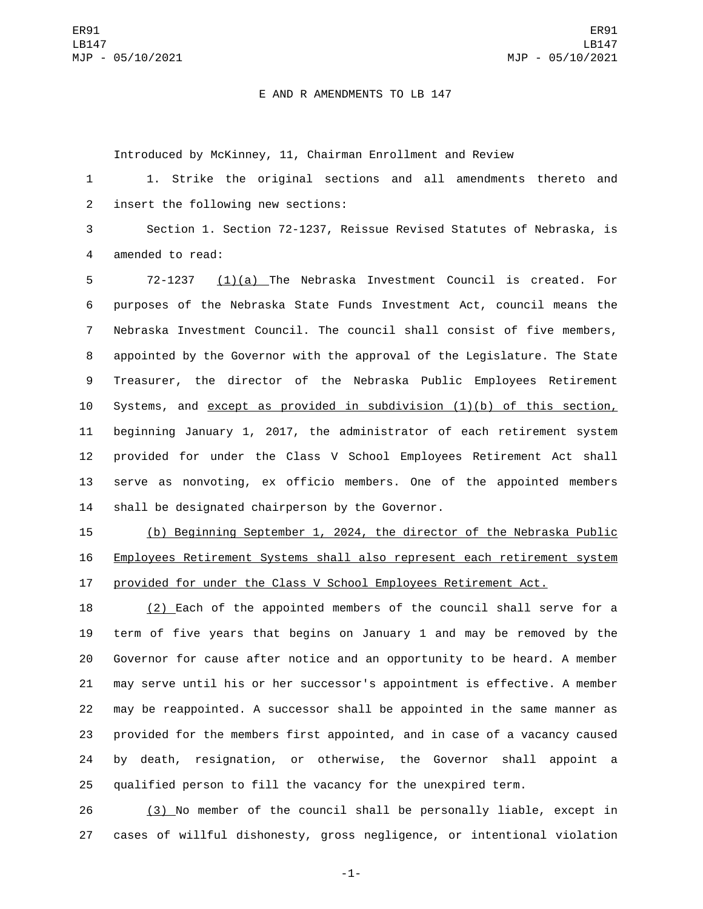## E AND R AMENDMENTS TO LB 147

Introduced by McKinney, 11, Chairman Enrollment and Review

 1. Strike the original sections and all amendments thereto and 2 insert the following new sections:

 Section 1. Section 72-1237, Reissue Revised Statutes of Nebraska, is 4 amended to read:

 72-1237 (1)(a) The Nebraska Investment Council is created. For purposes of the Nebraska State Funds Investment Act, council means the Nebraska Investment Council. The council shall consist of five members, appointed by the Governor with the approval of the Legislature. The State Treasurer, the director of the Nebraska Public Employees Retirement Systems, and except as provided in subdivision (1)(b) of this section, beginning January 1, 2017, the administrator of each retirement system provided for under the Class V School Employees Retirement Act shall serve as nonvoting, ex officio members. One of the appointed members 14 shall be designated chairperson by the Governor.

 (b) Beginning September 1, 2024, the director of the Nebraska Public Employees Retirement Systems shall also represent each retirement system provided for under the Class V School Employees Retirement Act.

 (2) Each of the appointed members of the council shall serve for a term of five years that begins on January 1 and may be removed by the Governor for cause after notice and an opportunity to be heard. A member may serve until his or her successor's appointment is effective. A member may be reappointed. A successor shall be appointed in the same manner as provided for the members first appointed, and in case of a vacancy caused by death, resignation, or otherwise, the Governor shall appoint a qualified person to fill the vacancy for the unexpired term.

 (3) No member of the council shall be personally liable, except in cases of willful dishonesty, gross negligence, or intentional violation

-1-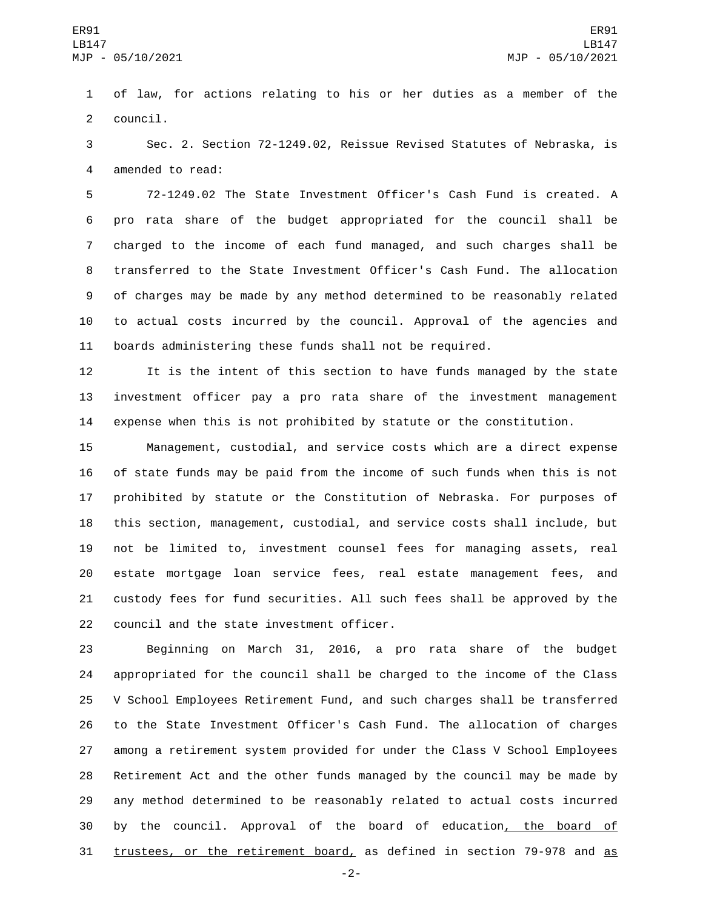of law, for actions relating to his or her duties as a member of the 2 council.

 Sec. 2. Section 72-1249.02, Reissue Revised Statutes of Nebraska, is 4 amended to read:

 72-1249.02 The State Investment Officer's Cash Fund is created. A pro rata share of the budget appropriated for the council shall be charged to the income of each fund managed, and such charges shall be transferred to the State Investment Officer's Cash Fund. The allocation of charges may be made by any method determined to be reasonably related to actual costs incurred by the council. Approval of the agencies and boards administering these funds shall not be required.

 It is the intent of this section to have funds managed by the state investment officer pay a pro rata share of the investment management expense when this is not prohibited by statute or the constitution.

 Management, custodial, and service costs which are a direct expense of state funds may be paid from the income of such funds when this is not prohibited by statute or the Constitution of Nebraska. For purposes of this section, management, custodial, and service costs shall include, but not be limited to, investment counsel fees for managing assets, real estate mortgage loan service fees, real estate management fees, and custody fees for fund securities. All such fees shall be approved by the 22 council and the state investment officer.

 Beginning on March 31, 2016, a pro rata share of the budget appropriated for the council shall be charged to the income of the Class V School Employees Retirement Fund, and such charges shall be transferred to the State Investment Officer's Cash Fund. The allocation of charges among a retirement system provided for under the Class V School Employees Retirement Act and the other funds managed by the council may be made by any method determined to be reasonably related to actual costs incurred by the council. Approval of the board of education, the board of trustees, or the retirement board, as defined in section 79-978 and as

-2-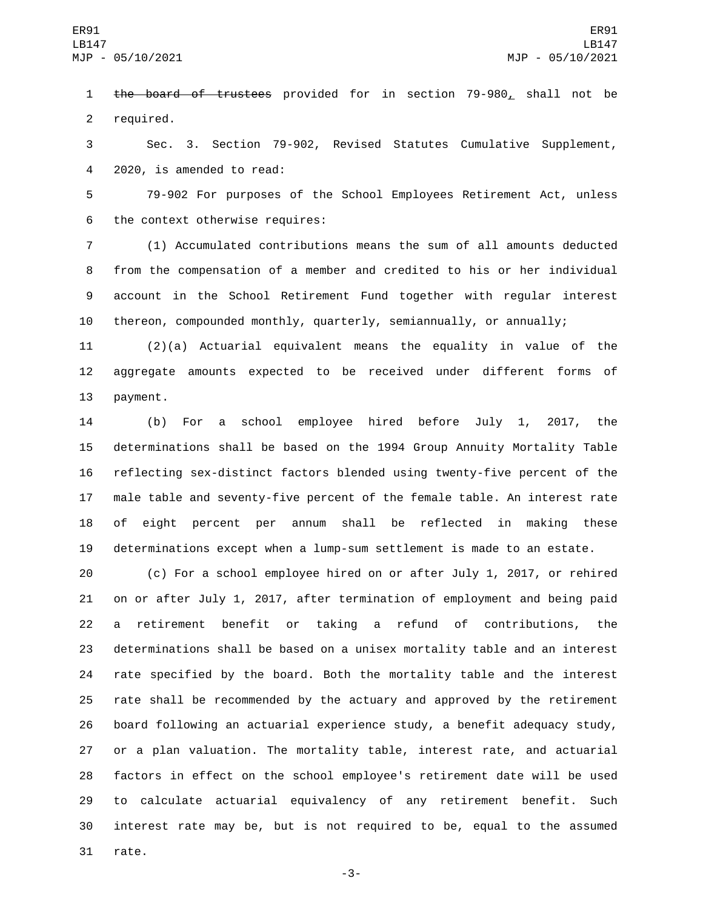1 the board of trustees provided for in section 79-980, shall not be 2 required.

 Sec. 3. Section 79-902, Revised Statutes Cumulative Supplement, 4 2020, is amended to read:

 79-902 For purposes of the School Employees Retirement Act, unless 6 the context otherwise requires:

 (1) Accumulated contributions means the sum of all amounts deducted from the compensation of a member and credited to his or her individual account in the School Retirement Fund together with regular interest thereon, compounded monthly, quarterly, semiannually, or annually;

 (2)(a) Actuarial equivalent means the equality in value of the aggregate amounts expected to be received under different forms of 13 payment.

 (b) For a school employee hired before July 1, 2017, the determinations shall be based on the 1994 Group Annuity Mortality Table reflecting sex-distinct factors blended using twenty-five percent of the male table and seventy-five percent of the female table. An interest rate of eight percent per annum shall be reflected in making these determinations except when a lump-sum settlement is made to an estate.

 (c) For a school employee hired on or after July 1, 2017, or rehired on or after July 1, 2017, after termination of employment and being paid a retirement benefit or taking a refund of contributions, the determinations shall be based on a unisex mortality table and an interest rate specified by the board. Both the mortality table and the interest rate shall be recommended by the actuary and approved by the retirement board following an actuarial experience study, a benefit adequacy study, or a plan valuation. The mortality table, interest rate, and actuarial factors in effect on the school employee's retirement date will be used to calculate actuarial equivalency of any retirement benefit. Such interest rate may be, but is not required to be, equal to the assumed 31 rate.

-3-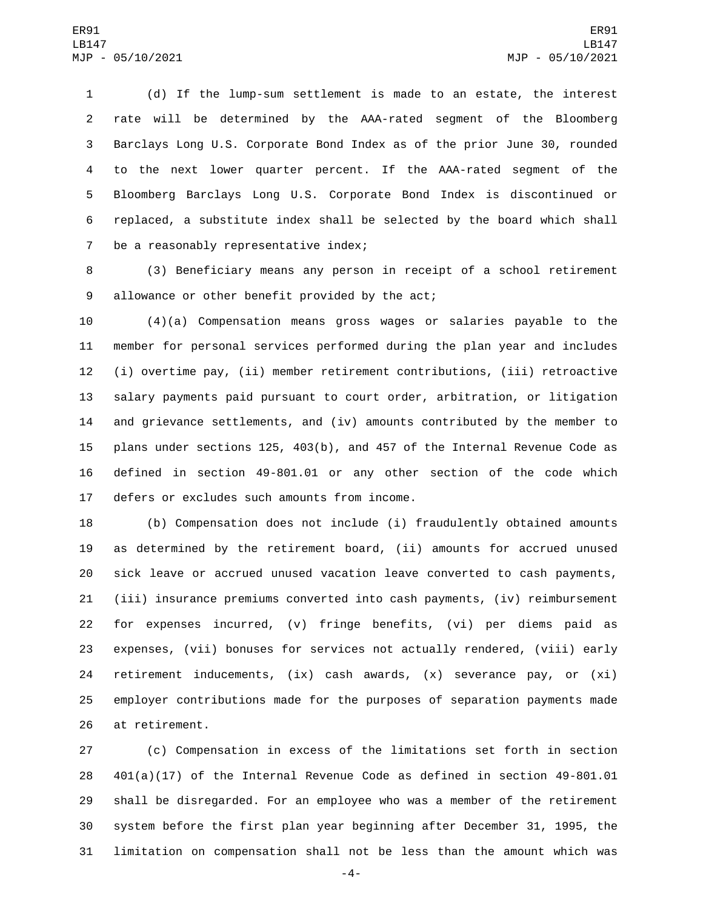(d) If the lump-sum settlement is made to an estate, the interest rate will be determined by the AAA-rated segment of the Bloomberg Barclays Long U.S. Corporate Bond Index as of the prior June 30, rounded to the next lower quarter percent. If the AAA-rated segment of the Bloomberg Barclays Long U.S. Corporate Bond Index is discontinued or replaced, a substitute index shall be selected by the board which shall 7 be a reasonably representative index;

 (3) Beneficiary means any person in receipt of a school retirement 9 allowance or other benefit provided by the act;

 (4)(a) Compensation means gross wages or salaries payable to the member for personal services performed during the plan year and includes (i) overtime pay, (ii) member retirement contributions, (iii) retroactive salary payments paid pursuant to court order, arbitration, or litigation and grievance settlements, and (iv) amounts contributed by the member to plans under sections 125, 403(b), and 457 of the Internal Revenue Code as defined in section 49-801.01 or any other section of the code which 17 defers or excludes such amounts from income.

 (b) Compensation does not include (i) fraudulently obtained amounts as determined by the retirement board, (ii) amounts for accrued unused sick leave or accrued unused vacation leave converted to cash payments, (iii) insurance premiums converted into cash payments, (iv) reimbursement for expenses incurred, (v) fringe benefits, (vi) per diems paid as expenses, (vii) bonuses for services not actually rendered, (viii) early retirement inducements, (ix) cash awards, (x) severance pay, or (xi) employer contributions made for the purposes of separation payments made 26 at retirement.

 (c) Compensation in excess of the limitations set forth in section 401(a)(17) of the Internal Revenue Code as defined in section 49-801.01 shall be disregarded. For an employee who was a member of the retirement system before the first plan year beginning after December 31, 1995, the limitation on compensation shall not be less than the amount which was

-4-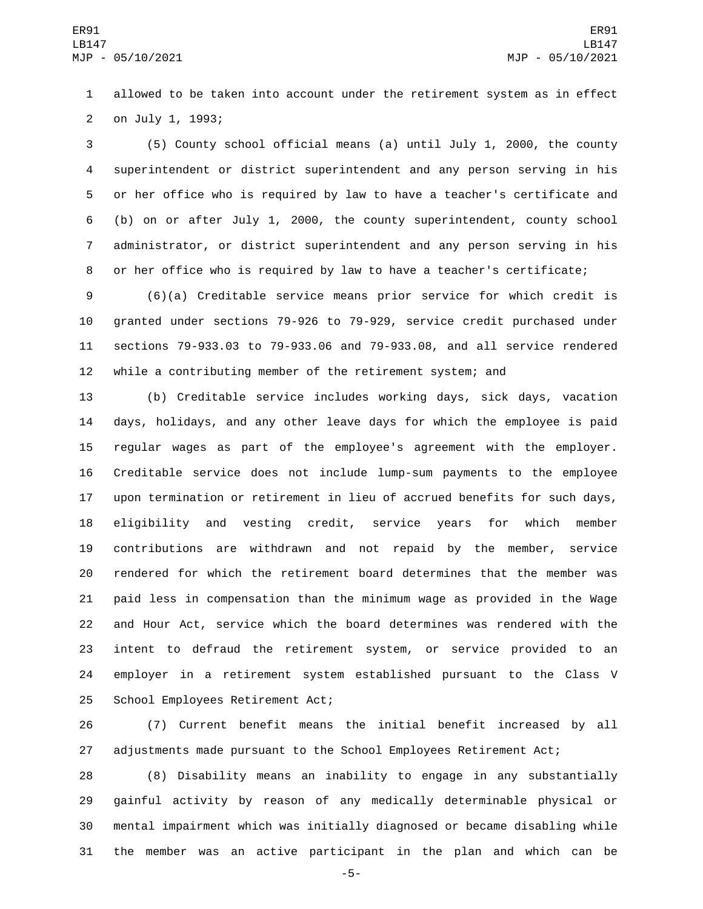allowed to be taken into account under the retirement system as in effect 2 on July 1, 1993;

 (5) County school official means (a) until July 1, 2000, the county superintendent or district superintendent and any person serving in his or her office who is required by law to have a teacher's certificate and (b) on or after July 1, 2000, the county superintendent, county school administrator, or district superintendent and any person serving in his or her office who is required by law to have a teacher's certificate;

 (6)(a) Creditable service means prior service for which credit is granted under sections 79-926 to 79-929, service credit purchased under sections 79-933.03 to 79-933.06 and 79-933.08, and all service rendered while a contributing member of the retirement system; and

 (b) Creditable service includes working days, sick days, vacation days, holidays, and any other leave days for which the employee is paid regular wages as part of the employee's agreement with the employer. Creditable service does not include lump-sum payments to the employee upon termination or retirement in lieu of accrued benefits for such days, eligibility and vesting credit, service years for which member contributions are withdrawn and not repaid by the member, service rendered for which the retirement board determines that the member was paid less in compensation than the minimum wage as provided in the Wage and Hour Act, service which the board determines was rendered with the intent to defraud the retirement system, or service provided to an employer in a retirement system established pursuant to the Class V 25 School Employees Retirement Act;

 (7) Current benefit means the initial benefit increased by all adjustments made pursuant to the School Employees Retirement Act;

 (8) Disability means an inability to engage in any substantially gainful activity by reason of any medically determinable physical or mental impairment which was initially diagnosed or became disabling while the member was an active participant in the plan and which can be

-5-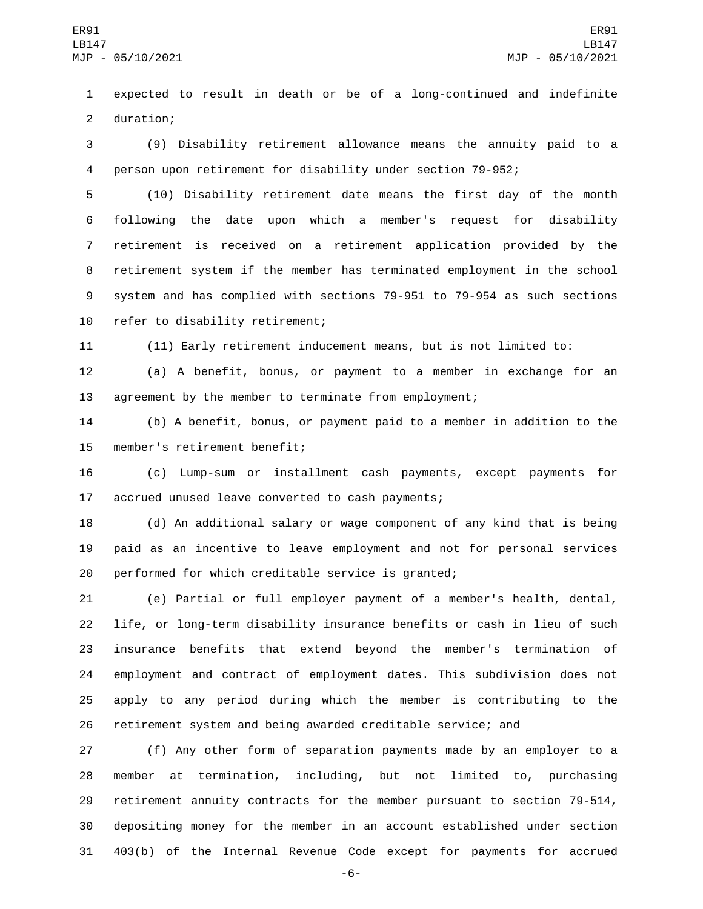expected to result in death or be of a long-continued and indefinite 2 duration;

 (9) Disability retirement allowance means the annuity paid to a person upon retirement for disability under section 79-952;

 (10) Disability retirement date means the first day of the month following the date upon which a member's request for disability retirement is received on a retirement application provided by the retirement system if the member has terminated employment in the school system and has complied with sections 79-951 to 79-954 as such sections 10 refer to disability retirement;

(11) Early retirement inducement means, but is not limited to:

 (a) A benefit, bonus, or payment to a member in exchange for an agreement by the member to terminate from employment;

 (b) A benefit, bonus, or payment paid to a member in addition to the 15 member's retirement benefit;

 (c) Lump-sum or installment cash payments, except payments for 17 accrued unused leave converted to cash payments;

 (d) An additional salary or wage component of any kind that is being paid as an incentive to leave employment and not for personal services performed for which creditable service is granted;

 (e) Partial or full employer payment of a member's health, dental, life, or long-term disability insurance benefits or cash in lieu of such insurance benefits that extend beyond the member's termination of employment and contract of employment dates. This subdivision does not apply to any period during which the member is contributing to the retirement system and being awarded creditable service; and

 (f) Any other form of separation payments made by an employer to a member at termination, including, but not limited to, purchasing retirement annuity contracts for the member pursuant to section 79-514, depositing money for the member in an account established under section 403(b) of the Internal Revenue Code except for payments for accrued

-6-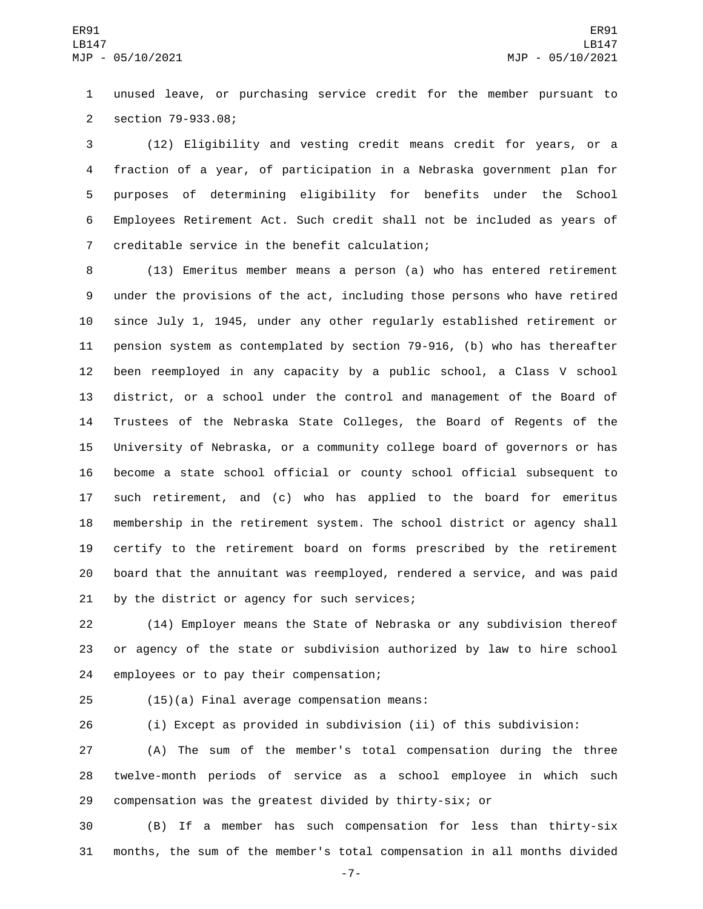unused leave, or purchasing service credit for the member pursuant to section 79-933.08;2

 (12) Eligibility and vesting credit means credit for years, or a fraction of a year, of participation in a Nebraska government plan for purposes of determining eligibility for benefits under the School Employees Retirement Act. Such credit shall not be included as years of 7 creditable service in the benefit calculation;

 (13) Emeritus member means a person (a) who has entered retirement under the provisions of the act, including those persons who have retired since July 1, 1945, under any other regularly established retirement or pension system as contemplated by section 79-916, (b) who has thereafter been reemployed in any capacity by a public school, a Class V school district, or a school under the control and management of the Board of Trustees of the Nebraska State Colleges, the Board of Regents of the University of Nebraska, or a community college board of governors or has become a state school official or county school official subsequent to such retirement, and (c) who has applied to the board for emeritus membership in the retirement system. The school district or agency shall certify to the retirement board on forms prescribed by the retirement board that the annuitant was reemployed, rendered a service, and was paid 21 by the district or agency for such services;

 (14) Employer means the State of Nebraska or any subdivision thereof or agency of the state or subdivision authorized by law to hire school 24 employees or to pay their compensation;

(15)(a) Final average compensation means:25

(i) Except as provided in subdivision (ii) of this subdivision:

 (A) The sum of the member's total compensation during the three twelve-month periods of service as a school employee in which such compensation was the greatest divided by thirty-six; or

 (B) If a member has such compensation for less than thirty-six months, the sum of the member's total compensation in all months divided

-7-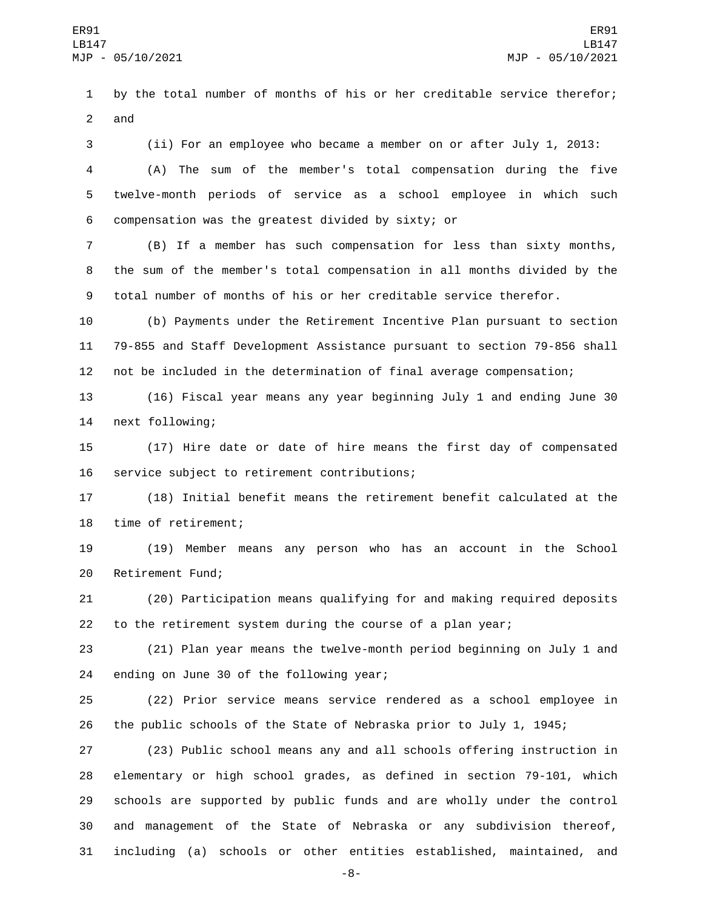by the total number of months of his or her creditable service therefor; and

 (ii) For an employee who became a member on or after July 1, 2013: (A) The sum of the member's total compensation during the five twelve-month periods of service as a school employee in which such compensation was the greatest divided by sixty; or6

 (B) If a member has such compensation for less than sixty months, the sum of the member's total compensation in all months divided by the total number of months of his or her creditable service therefor.

 (b) Payments under the Retirement Incentive Plan pursuant to section 79-855 and Staff Development Assistance pursuant to section 79-856 shall not be included in the determination of final average compensation;

 (16) Fiscal year means any year beginning July 1 and ending June 30 14 next following;

 (17) Hire date or date of hire means the first day of compensated 16 service subject to retirement contributions;

 (18) Initial benefit means the retirement benefit calculated at the 18 time of retirement;

 (19) Member means any person who has an account in the School 20 Retirement Fund;

 (20) Participation means qualifying for and making required deposits to the retirement system during the course of a plan year;

 (21) Plan year means the twelve-month period beginning on July 1 and 24 ending on June 30 of the following year;

 (22) Prior service means service rendered as a school employee in the public schools of the State of Nebraska prior to July 1, 1945;

 (23) Public school means any and all schools offering instruction in elementary or high school grades, as defined in section 79-101, which schools are supported by public funds and are wholly under the control and management of the State of Nebraska or any subdivision thereof, including (a) schools or other entities established, maintained, and

-8-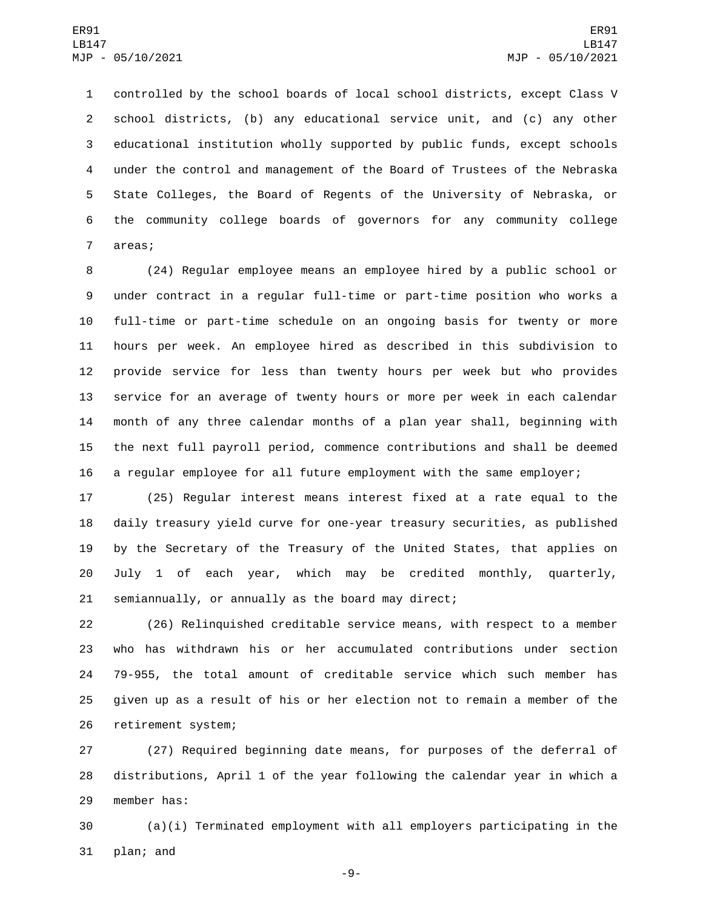controlled by the school boards of local school districts, except Class V school districts, (b) any educational service unit, and (c) any other educational institution wholly supported by public funds, except schools under the control and management of the Board of Trustees of the Nebraska State Colleges, the Board of Regents of the University of Nebraska, or the community college boards of governors for any community college 7 areas;

 (24) Regular employee means an employee hired by a public school or under contract in a regular full-time or part-time position who works a full-time or part-time schedule on an ongoing basis for twenty or more hours per week. An employee hired as described in this subdivision to provide service for less than twenty hours per week but who provides service for an average of twenty hours or more per week in each calendar month of any three calendar months of a plan year shall, beginning with the next full payroll period, commence contributions and shall be deemed a regular employee for all future employment with the same employer;

 (25) Regular interest means interest fixed at a rate equal to the daily treasury yield curve for one-year treasury securities, as published by the Secretary of the Treasury of the United States, that applies on July 1 of each year, which may be credited monthly, quarterly, semiannually, or annually as the board may direct;

 (26) Relinquished creditable service means, with respect to a member who has withdrawn his or her accumulated contributions under section 79-955, the total amount of creditable service which such member has given up as a result of his or her election not to remain a member of the 26 retirement system;

 (27) Required beginning date means, for purposes of the deferral of distributions, April 1 of the year following the calendar year in which a 29 member has:

 (a)(i) Terminated employment with all employers participating in the 31 plan; and

-9-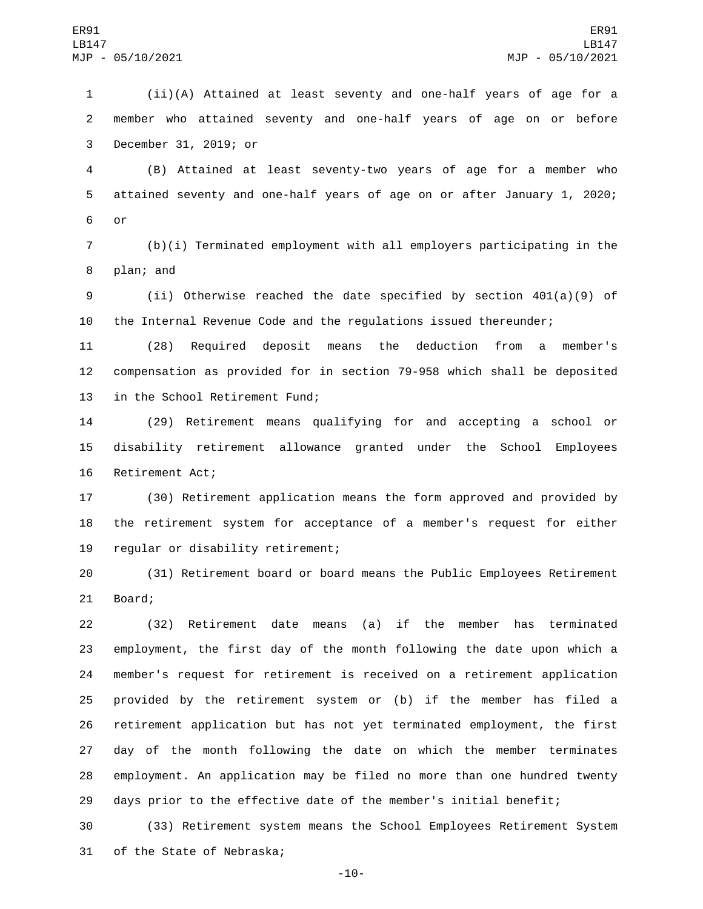(ii)(A) Attained at least seventy and one-half years of age for a member who attained seventy and one-half years of age on or before 3 December 31, 2019; or

 (B) Attained at least seventy-two years of age for a member who attained seventy and one-half years of age on or after January 1, 2020; 6 or

 (b)(i) Terminated employment with all employers participating in the 8 plan; and

 (ii) Otherwise reached the date specified by section 401(a)(9) of the Internal Revenue Code and the regulations issued thereunder;

 (28) Required deposit means the deduction from a member's compensation as provided for in section 79-958 which shall be deposited 13 in the School Retirement Fund;

 (29) Retirement means qualifying for and accepting a school or disability retirement allowance granted under the School Employees 16 Retirement Act;

 (30) Retirement application means the form approved and provided by the retirement system for acceptance of a member's request for either 19 regular or disability retirement;

 (31) Retirement board or board means the Public Employees Retirement 21 Board;

 (32) Retirement date means (a) if the member has terminated employment, the first day of the month following the date upon which a member's request for retirement is received on a retirement application provided by the retirement system or (b) if the member has filed a retirement application but has not yet terminated employment, the first day of the month following the date on which the member terminates employment. An application may be filed no more than one hundred twenty days prior to the effective date of the member's initial benefit;

 (33) Retirement system means the School Employees Retirement System 31 of the State of Nebraska;

-10-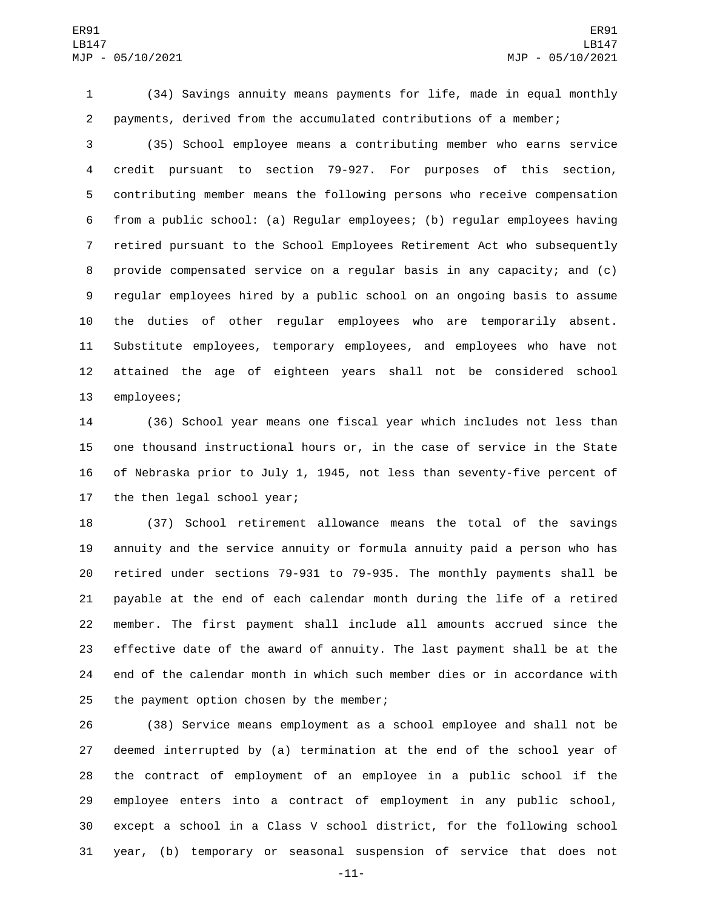(34) Savings annuity means payments for life, made in equal monthly payments, derived from the accumulated contributions of a member;

 (35) School employee means a contributing member who earns service credit pursuant to section 79-927. For purposes of this section, contributing member means the following persons who receive compensation from a public school: (a) Regular employees; (b) regular employees having retired pursuant to the School Employees Retirement Act who subsequently provide compensated service on a regular basis in any capacity; and (c) regular employees hired by a public school on an ongoing basis to assume the duties of other regular employees who are temporarily absent. Substitute employees, temporary employees, and employees who have not attained the age of eighteen years shall not be considered school 13 employees;

 (36) School year means one fiscal year which includes not less than one thousand instructional hours or, in the case of service in the State of Nebraska prior to July 1, 1945, not less than seventy-five percent of 17 the then legal school year;

 (37) School retirement allowance means the total of the savings annuity and the service annuity or formula annuity paid a person who has retired under sections 79-931 to 79-935. The monthly payments shall be payable at the end of each calendar month during the life of a retired member. The first payment shall include all amounts accrued since the effective date of the award of annuity. The last payment shall be at the end of the calendar month in which such member dies or in accordance with 25 the payment option chosen by the member;

 (38) Service means employment as a school employee and shall not be deemed interrupted by (a) termination at the end of the school year of the contract of employment of an employee in a public school if the employee enters into a contract of employment in any public school, except a school in a Class V school district, for the following school year, (b) temporary or seasonal suspension of service that does not

-11-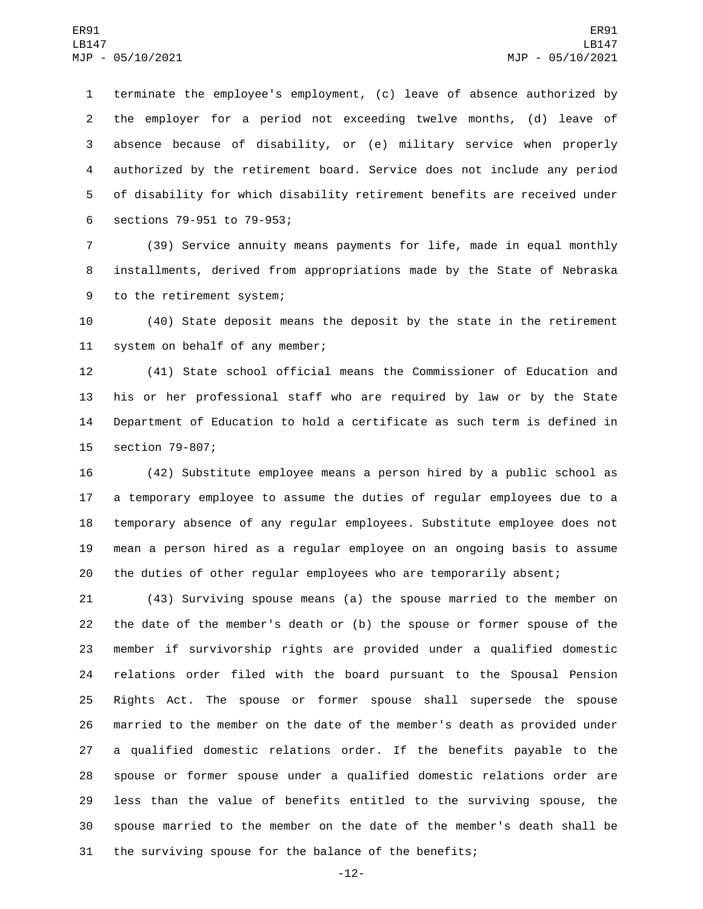terminate the employee's employment, (c) leave of absence authorized by the employer for a period not exceeding twelve months, (d) leave of absence because of disability, or (e) military service when properly authorized by the retirement board. Service does not include any period of disability for which disability retirement benefits are received under 6 sections 79-951 to 79-953;

 (39) Service annuity means payments for life, made in equal monthly installments, derived from appropriations made by the State of Nebraska 9 to the retirement system;

 (40) State deposit means the deposit by the state in the retirement 11 system on behalf of any member;

 (41) State school official means the Commissioner of Education and his or her professional staff who are required by law or by the State Department of Education to hold a certificate as such term is defined in 15 section 79-807;

 (42) Substitute employee means a person hired by a public school as a temporary employee to assume the duties of regular employees due to a temporary absence of any regular employees. Substitute employee does not mean a person hired as a regular employee on an ongoing basis to assume the duties of other regular employees who are temporarily absent;

 (43) Surviving spouse means (a) the spouse married to the member on the date of the member's death or (b) the spouse or former spouse of the member if survivorship rights are provided under a qualified domestic relations order filed with the board pursuant to the Spousal Pension Rights Act. The spouse or former spouse shall supersede the spouse married to the member on the date of the member's death as provided under a qualified domestic relations order. If the benefits payable to the spouse or former spouse under a qualified domestic relations order are less than the value of benefits entitled to the surviving spouse, the spouse married to the member on the date of the member's death shall be the surviving spouse for the balance of the benefits;

-12-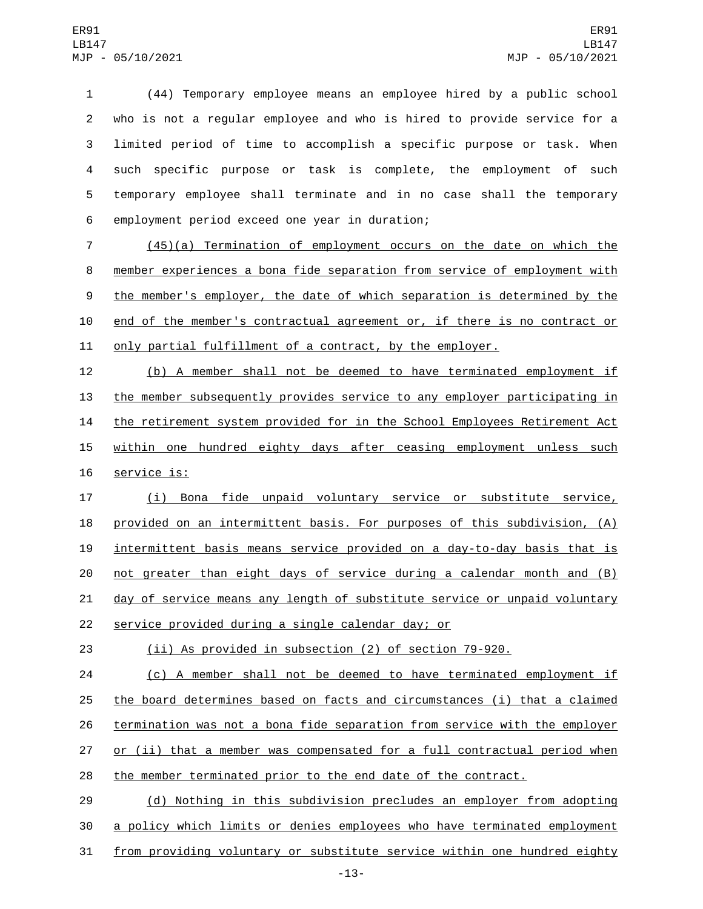(44) Temporary employee means an employee hired by a public school who is not a regular employee and who is hired to provide service for a limited period of time to accomplish a specific purpose or task. When such specific purpose or task is complete, the employment of such temporary employee shall terminate and in no case shall the temporary 6 employment period exceed one year in duration;

7 (45)(a) Termination of employment occurs on the date on which the 8 member experiences a bona fide separation from service of employment with 9 the member's employer, the date of which separation is determined by the 10 end of the member's contractual agreement or, if there is no contract or 11 only partial fulfillment of a contract, by the employer.

12 (b) A member shall not be deemed to have terminated employment if 13 the member subsequently provides service to any employer participating in 14 the retirement system provided for in the School Employees Retirement Act 15 within one hundred eighty days after ceasing employment unless such 16 service is:

 (i) Bona fide unpaid voluntary service or substitute service, provided on an intermittent basis. For purposes of this subdivision, (A) intermittent basis means service provided on a day-to-day basis that is not greater than eight days of service during a calendar month and (B) day of service means any length of substitute service or unpaid voluntary 22 service provided during a single calendar day; or

23 (ii) As provided in subsection (2) of section 79-920.

24 (c) A member shall not be deemed to have terminated employment if 25 the board determines based on facts and circumstances (i) that a claimed 26 termination was not a bona fide separation from service with the employer 27 or (ii) that a member was compensated for a full contractual period when 28 the member terminated prior to the end date of the contract.

29 (d) Nothing in this subdivision precludes an employer from adopting 30 a policy which limits or denies employees who have terminated employment 31 from providing voluntary or substitute service within one hundred eighty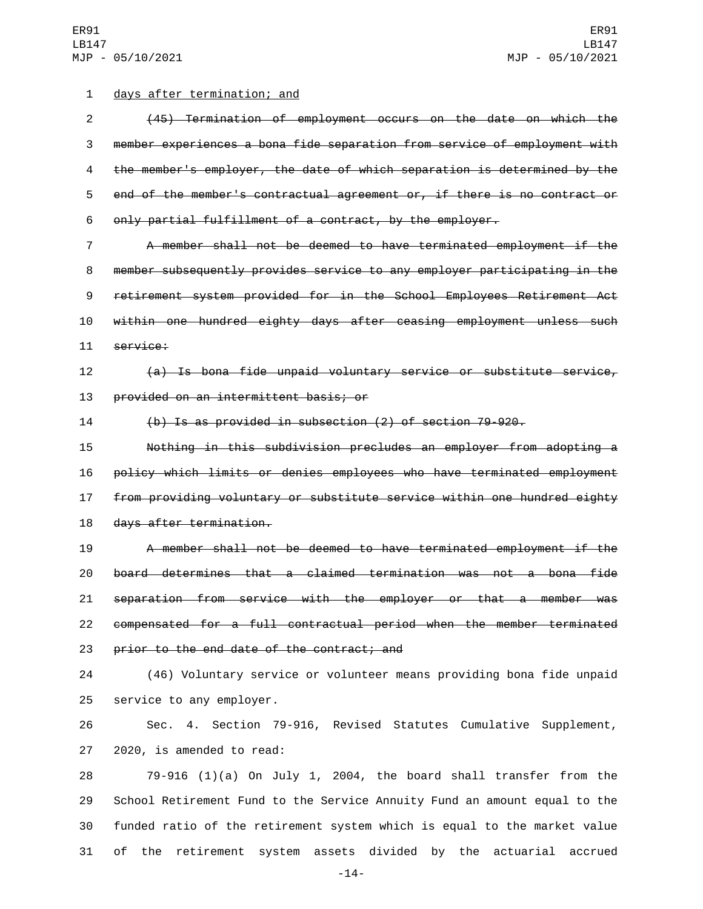## 1 days after termination; and

 (45) Termination of employment occurs on the date on which the member experiences a bona fide separation from service of employment with the member's employer, the date of which separation is determined by the end of the member's contractual agreement or, if there is no contract or only partial fulfillment of a contract, by the employer.

 A member shall not be deemed to have terminated employment if the member subsequently provides service to any employer participating in the retirement system provided for in the School Employees Retirement Act within one hundred eighty days after ceasing employment unless such 11 service:

 (a) Is bona fide unpaid voluntary service or substitute service, 13 provided on an intermittent basis; or

(b) Is as provided in subsection (2) of section 79-920.

 Nothing in this subdivision precludes an employer from adopting a policy which limits or denies employees who have terminated employment from providing voluntary or substitute service within one hundred eighty 18 days after termination.

 A member shall not be deemed to have terminated employment if the board determines that a claimed termination was not a bona fide separation from service with the employer or that a member was compensated for a full contractual period when the member terminated 23 prior to the end date of the contract; and

 (46) Voluntary service or volunteer means providing bona fide unpaid 25 service to any employer.

 Sec. 4. Section 79-916, Revised Statutes Cumulative Supplement, 27 2020, is amended to read:

 79-916 (1)(a) On July 1, 2004, the board shall transfer from the School Retirement Fund to the Service Annuity Fund an amount equal to the funded ratio of the retirement system which is equal to the market value of the retirement system assets divided by the actuarial accrued

-14-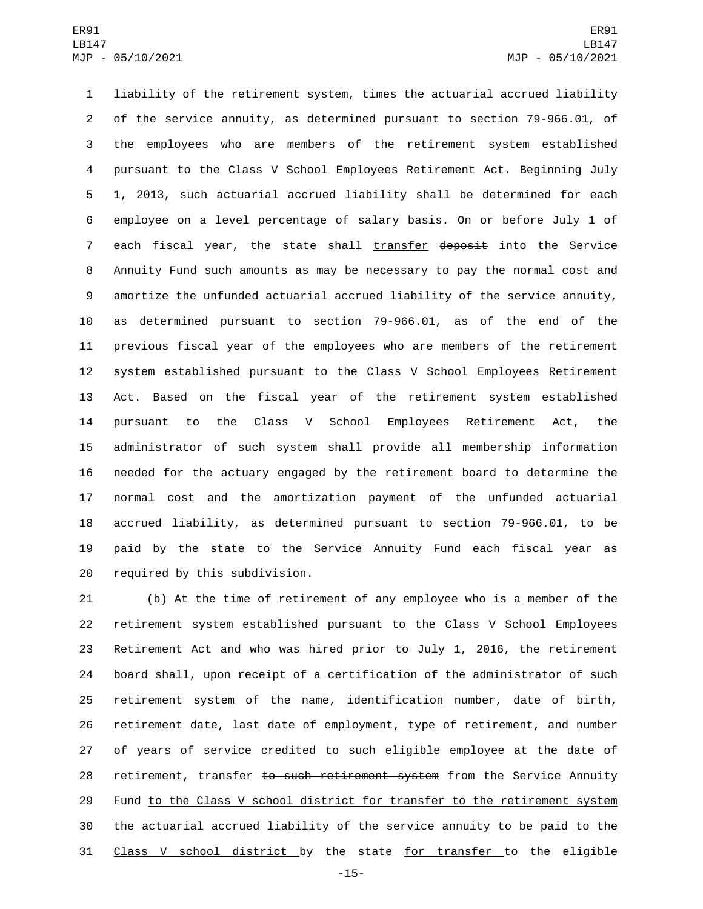liability of the retirement system, times the actuarial accrued liability of the service annuity, as determined pursuant to section 79-966.01, of the employees who are members of the retirement system established pursuant to the Class V School Employees Retirement Act. Beginning July 1, 2013, such actuarial accrued liability shall be determined for each employee on a level percentage of salary basis. On or before July 1 of 7 each fiscal year, the state shall transfer deposit into the Service Annuity Fund such amounts as may be necessary to pay the normal cost and amortize the unfunded actuarial accrued liability of the service annuity, as determined pursuant to section 79-966.01, as of the end of the previous fiscal year of the employees who are members of the retirement system established pursuant to the Class V School Employees Retirement Act. Based on the fiscal year of the retirement system established pursuant to the Class V School Employees Retirement Act, the administrator of such system shall provide all membership information needed for the actuary engaged by the retirement board to determine the normal cost and the amortization payment of the unfunded actuarial accrued liability, as determined pursuant to section 79-966.01, to be paid by the state to the Service Annuity Fund each fiscal year as 20 required by this subdivision.

 (b) At the time of retirement of any employee who is a member of the retirement system established pursuant to the Class V School Employees Retirement Act and who was hired prior to July 1, 2016, the retirement board shall, upon receipt of a certification of the administrator of such retirement system of the name, identification number, date of birth, retirement date, last date of employment, type of retirement, and number of years of service credited to such eligible employee at the date of 28 retirement, transfer to such retirement system from the Service Annuity Fund to the Class V school district for transfer to the retirement system 30 the actuarial accrued liability of the service annuity to be paid to the Class V school district by the state for transfer to the eligible

-15-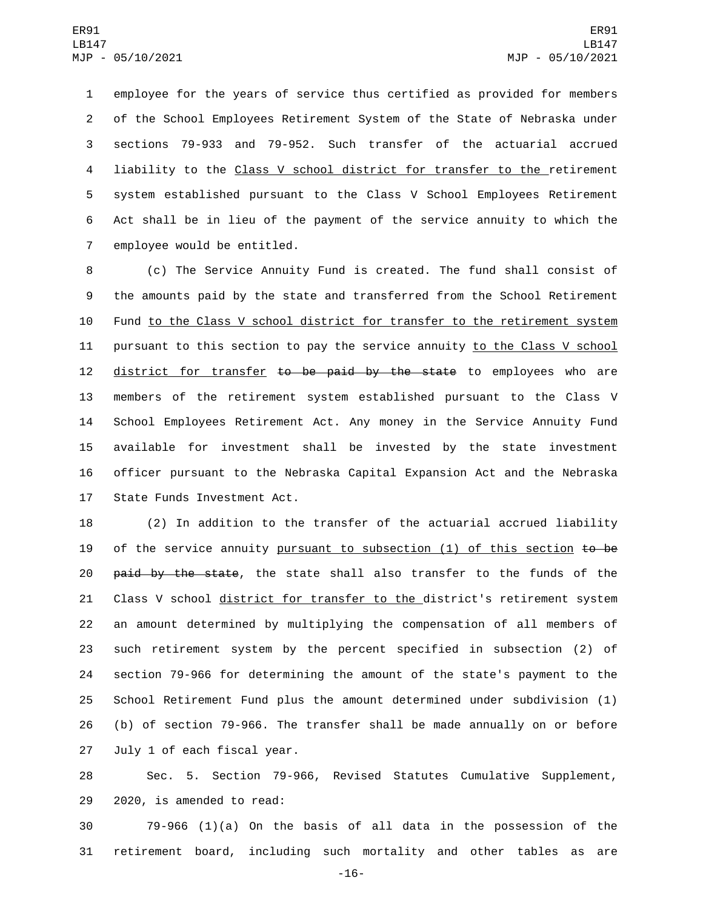employee for the years of service thus certified as provided for members of the School Employees Retirement System of the State of Nebraska under sections 79-933 and 79-952. Such transfer of the actuarial accrued liability to the Class V school district for transfer to the retirement system established pursuant to the Class V School Employees Retirement Act shall be in lieu of the payment of the service annuity to which the 7 employee would be entitled.

 (c) The Service Annuity Fund is created. The fund shall consist of the amounts paid by the state and transferred from the School Retirement Fund to the Class V school district for transfer to the retirement system pursuant to this section to pay the service annuity to the Class V school 12 district for transfer to be paid by the state to employees who are members of the retirement system established pursuant to the Class V School Employees Retirement Act. Any money in the Service Annuity Fund available for investment shall be invested by the state investment officer pursuant to the Nebraska Capital Expansion Act and the Nebraska 17 State Funds Investment Act.

 (2) In addition to the transfer of the actuarial accrued liability 19 of the service annuity pursuant to subsection  $(1)$  of this section  $t\mathbf{o}$  be 20 <del>paid by the state</del>, the state shall also transfer to the funds of the 21 Class V school district for transfer to the district's retirement system an amount determined by multiplying the compensation of all members of such retirement system by the percent specified in subsection (2) of section 79-966 for determining the amount of the state's payment to the School Retirement Fund plus the amount determined under subdivision (1) (b) of section 79-966. The transfer shall be made annually on or before 27 July 1 of each fiscal year.

 Sec. 5. Section 79-966, Revised Statutes Cumulative Supplement, 29 2020, is amended to read:

 79-966 (1)(a) On the basis of all data in the possession of the retirement board, including such mortality and other tables as are

-16-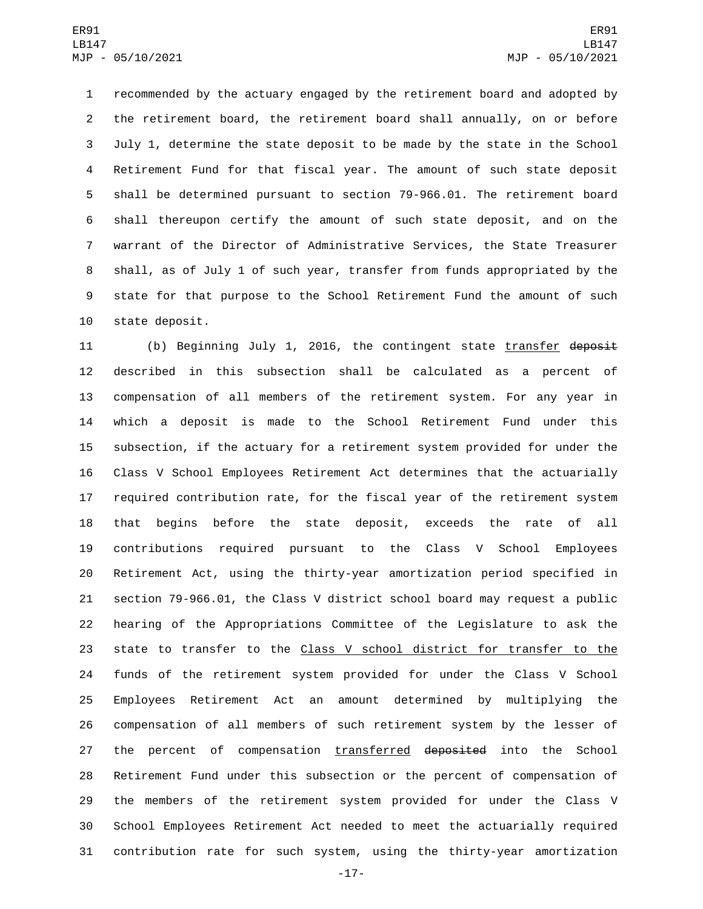recommended by the actuary engaged by the retirement board and adopted by the retirement board, the retirement board shall annually, on or before July 1, determine the state deposit to be made by the state in the School Retirement Fund for that fiscal year. The amount of such state deposit shall be determined pursuant to section 79-966.01. The retirement board shall thereupon certify the amount of such state deposit, and on the warrant of the Director of Administrative Services, the State Treasurer shall, as of July 1 of such year, transfer from funds appropriated by the state for that purpose to the School Retirement Fund the amount of such 10 state deposit.

11 (b) Beginning July 1, 2016, the contingent state transfer deposit described in this subsection shall be calculated as a percent of compensation of all members of the retirement system. For any year in which a deposit is made to the School Retirement Fund under this subsection, if the actuary for a retirement system provided for under the Class V School Employees Retirement Act determines that the actuarially required contribution rate, for the fiscal year of the retirement system that begins before the state deposit, exceeds the rate of all contributions required pursuant to the Class V School Employees Retirement Act, using the thirty-year amortization period specified in section 79-966.01, the Class V district school board may request a public hearing of the Appropriations Committee of the Legislature to ask the state to transfer to the Class V school district for transfer to the funds of the retirement system provided for under the Class V School Employees Retirement Act an amount determined by multiplying the compensation of all members of such retirement system by the lesser of 27 the percent of compensation transferred deposited into the School Retirement Fund under this subsection or the percent of compensation of the members of the retirement system provided for under the Class V School Employees Retirement Act needed to meet the actuarially required contribution rate for such system, using the thirty-year amortization

-17-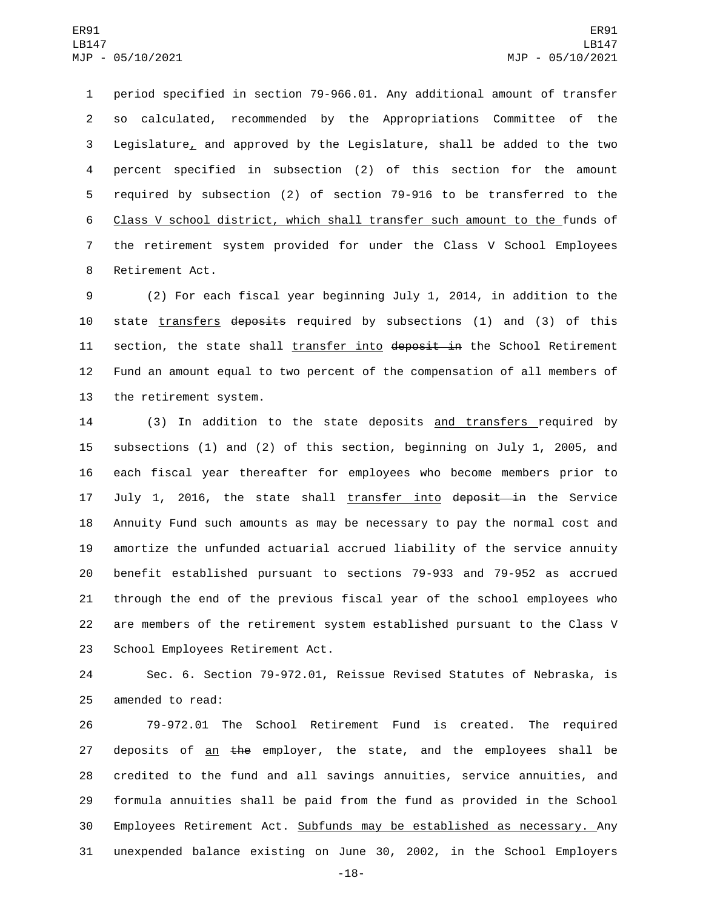period specified in section 79-966.01. Any additional amount of transfer so calculated, recommended by the Appropriations Committee of the Legislature, and approved by the Legislature, shall be added to the two percent specified in subsection (2) of this section for the amount required by subsection (2) of section 79-916 to be transferred to the Class V school district, which shall transfer such amount to the funds of the retirement system provided for under the Class V School Employees 8 Retirement Act.

9 (2) For each fiscal year beginning July 1, 2014, in addition to the 10 state transfers deposits required by subsections (1) and (3) of this 11 section, the state shall transfer into deposit in the School Retirement 12 Fund an amount equal to two percent of the compensation of all members of 13 the retirement system.

14 (3) In addition to the state deposits and transfers required by subsections (1) and (2) of this section, beginning on July 1, 2005, and each fiscal year thereafter for employees who become members prior to 17 July 1, 2016, the state shall transfer into deposit in the Service Annuity Fund such amounts as may be necessary to pay the normal cost and amortize the unfunded actuarial accrued liability of the service annuity benefit established pursuant to sections 79-933 and 79-952 as accrued through the end of the previous fiscal year of the school employees who are members of the retirement system established pursuant to the Class V 23 School Employees Retirement Act.

24 Sec. 6. Section 79-972.01, Reissue Revised Statutes of Nebraska, is 25 amended to read:

 79-972.01 The School Retirement Fund is created. The required 27 deposits of an the employer, the state, and the employees shall be credited to the fund and all savings annuities, service annuities, and formula annuities shall be paid from the fund as provided in the School 30 Employees Retirement Act. Subfunds may be established as necessary. Any unexpended balance existing on June 30, 2002, in the School Employers

-18-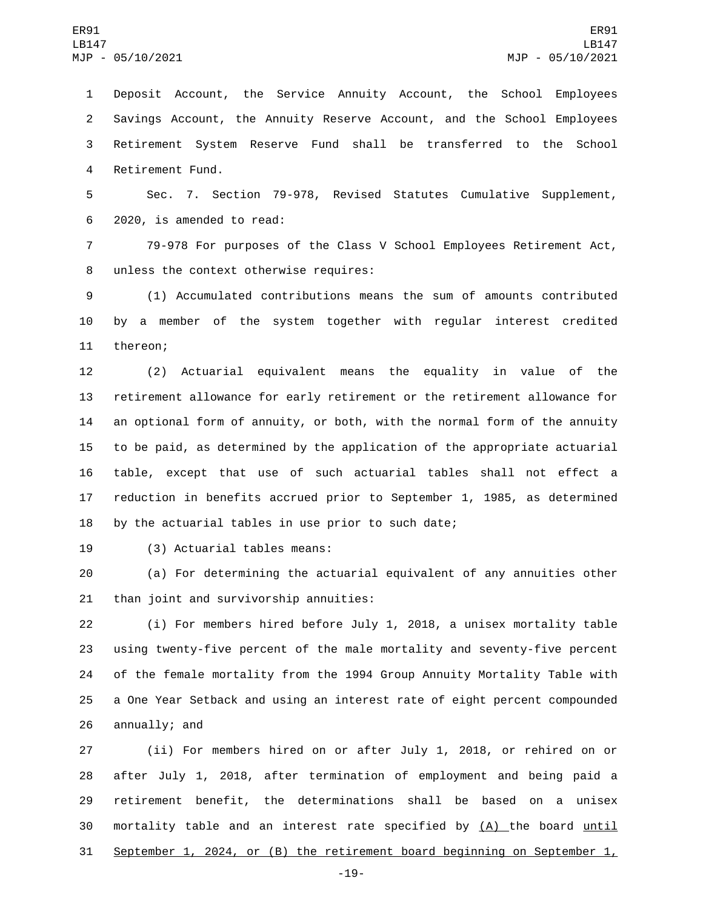Deposit Account, the Service Annuity Account, the School Employees Savings Account, the Annuity Reserve Account, and the School Employees Retirement System Reserve Fund shall be transferred to the School 4 Retirement Fund.

 Sec. 7. Section 79-978, Revised Statutes Cumulative Supplement, 6 2020, is amended to read:

 79-978 For purposes of the Class V School Employees Retirement Act, 8 unless the context otherwise requires:

 (1) Accumulated contributions means the sum of amounts contributed by a member of the system together with regular interest credited 11 thereon;

 (2) Actuarial equivalent means the equality in value of the retirement allowance for early retirement or the retirement allowance for an optional form of annuity, or both, with the normal form of the annuity to be paid, as determined by the application of the appropriate actuarial table, except that use of such actuarial tables shall not effect a reduction in benefits accrued prior to September 1, 1985, as determined by the actuarial tables in use prior to such date;

19 (3) Actuarial tables means:

 (a) For determining the actuarial equivalent of any annuities other 21 than joint and survivorship annuities:

 (i) For members hired before July 1, 2018, a unisex mortality table using twenty-five percent of the male mortality and seventy-five percent of the female mortality from the 1994 Group Annuity Mortality Table with a One Year Setback and using an interest rate of eight percent compounded 26 annually; and

 (ii) For members hired on or after July 1, 2018, or rehired on or after July 1, 2018, after termination of employment and being paid a retirement benefit, the determinations shall be based on a unisex 30 mortality table and an interest rate specified by (A) the board until September 1, 2024, or (B) the retirement board beginning on September 1,

-19-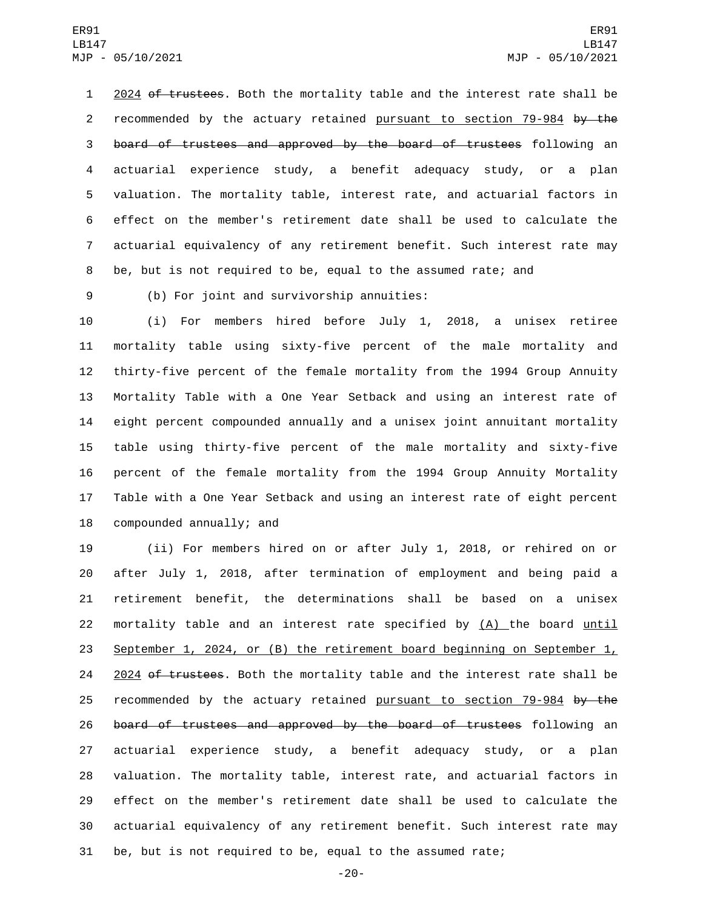1 2024 of trustees. Both the mortality table and the interest rate shall be 2 recommended by the actuary retained pursuant to section 79-984 by the board of trustees and approved by the board of trustees following an actuarial experience study, a benefit adequacy study, or a plan valuation. The mortality table, interest rate, and actuarial factors in effect on the member's retirement date shall be used to calculate the actuarial equivalency of any retirement benefit. Such interest rate may be, but is not required to be, equal to the assumed rate; and

(b) For joint and survivorship annuities:9

 (i) For members hired before July 1, 2018, a unisex retiree mortality table using sixty-five percent of the male mortality and thirty-five percent of the female mortality from the 1994 Group Annuity Mortality Table with a One Year Setback and using an interest rate of eight percent compounded annually and a unisex joint annuitant mortality table using thirty-five percent of the male mortality and sixty-five percent of the female mortality from the 1994 Group Annuity Mortality Table with a One Year Setback and using an interest rate of eight percent 18 compounded annually; and

 (ii) For members hired on or after July 1, 2018, or rehired on or after July 1, 2018, after termination of employment and being paid a retirement benefit, the determinations shall be based on a unisex mortality table and an interest rate specified by (A) the board until September 1, 2024, or (B) the retirement board beginning on September 1, 24 2024 of trustees. Both the mortality table and the interest rate shall be 25 recommended by the actuary retained pursuant to section 79-984 by the 26 board of trustees and approved by the board of trustees following an actuarial experience study, a benefit adequacy study, or a plan valuation. The mortality table, interest rate, and actuarial factors in effect on the member's retirement date shall be used to calculate the actuarial equivalency of any retirement benefit. Such interest rate may be, but is not required to be, equal to the assumed rate;

-20-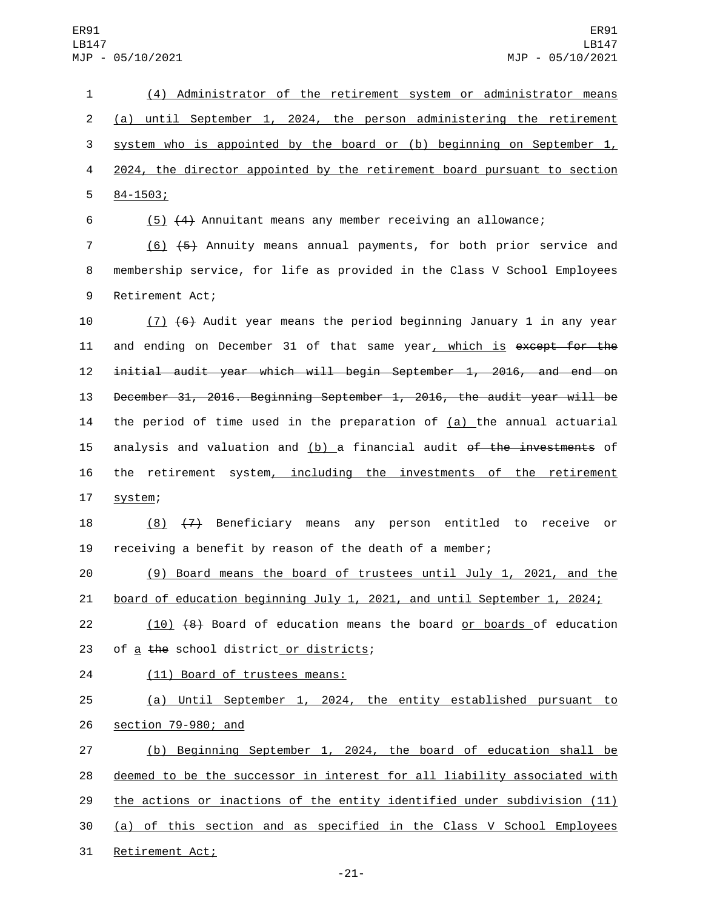(4) Administrator of the retirement system or administrator means (a) until September 1, 2024, the person administering the retirement system who is appointed by the board or (b) beginning on September 1, 2024, the director appointed by the retirement board pursuant to section  $584 - 1503;$ 

6 (5) (4) Annuitant means any member receiving an allowance;

7 (6) (5) Annuity means annual payments, for both prior service and 8 membership service, for life as provided in the Class V School Employees 9 Retirement Act;

10 (7) (6) Audit year means the period beginning January 1 in any year 11 and ending on December 31 of that same year, which is except for the 12 initial audit year which will begin September 1, 2016, and end on 13 December 31, 2016. Beginning September 1, 2016, the audit year will be 14 the period of time used in the preparation of  $(a)$  the annual actuarial 15 analysis and valuation and  $(b)$  a financial audit of the investments of 16 the retirement system, including the investments of the retirement 17 system;

18 (8) (7) Beneficiary means any person entitled to receive or 19 receiving a benefit by reason of the death of a member;

20 (9) Board means the board of trustees until July 1, 2021, and the 21 board of education beginning July 1, 2021, and until September 1, 2024;

22 (10) (8) Board of education means the board or boards of education 23 of a the school district or districts;

24 (11) Board of trustees means:

25 (a) Until September 1, 2024, the entity established pursuant to 26 <u>section 79-980; and</u>

 (b) Beginning September 1, 2024, the board of education shall be deemed to be the successor in interest for all liability associated with the actions or inactions of the entity identified under subdivision (11) (a) of this section and as specified in the Class V School Employees 31 Retirement Act;

-21-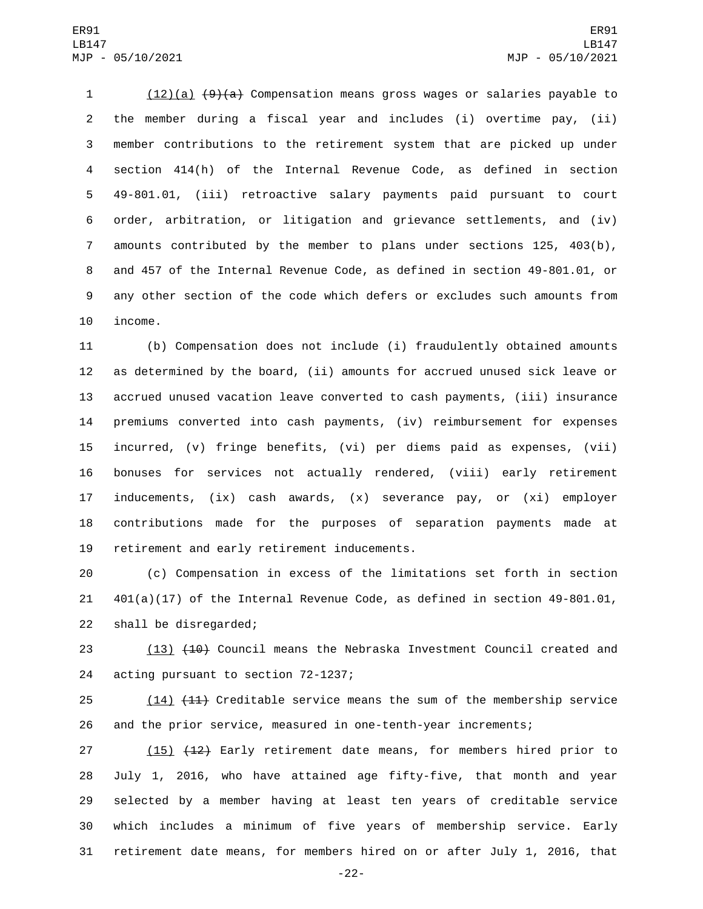(12)(a) (9)(a) Compensation means gross wages or salaries payable to the member during a fiscal year and includes (i) overtime pay, (ii) member contributions to the retirement system that are picked up under section 414(h) of the Internal Revenue Code, as defined in section 49-801.01, (iii) retroactive salary payments paid pursuant to court order, arbitration, or litigation and grievance settlements, and (iv) amounts contributed by the member to plans under sections 125, 403(b), and 457 of the Internal Revenue Code, as defined in section 49-801.01, or any other section of the code which defers or excludes such amounts from 10 income.

 (b) Compensation does not include (i) fraudulently obtained amounts as determined by the board, (ii) amounts for accrued unused sick leave or accrued unused vacation leave converted to cash payments, (iii) insurance premiums converted into cash payments, (iv) reimbursement for expenses incurred, (v) fringe benefits, (vi) per diems paid as expenses, (vii) bonuses for services not actually rendered, (viii) early retirement inducements, (ix) cash awards, (x) severance pay, or (xi) employer contributions made for the purposes of separation payments made at 19 retirement and early retirement inducements.

 (c) Compensation in excess of the limitations set forth in section 401(a)(17) of the Internal Revenue Code, as defined in section 49-801.01, 22 shall be disregarded;

23 (13) (10) Council means the Nebraska Investment Council created and 24 acting pursuant to section 72-1237;

25 (14) (11) Creditable service means the sum of the membership service and the prior service, measured in one-tenth-year increments;

27 (15) (12) Early retirement date means, for members hired prior to July 1, 2016, who have attained age fifty-five, that month and year selected by a member having at least ten years of creditable service which includes a minimum of five years of membership service. Early retirement date means, for members hired on or after July 1, 2016, that

-22-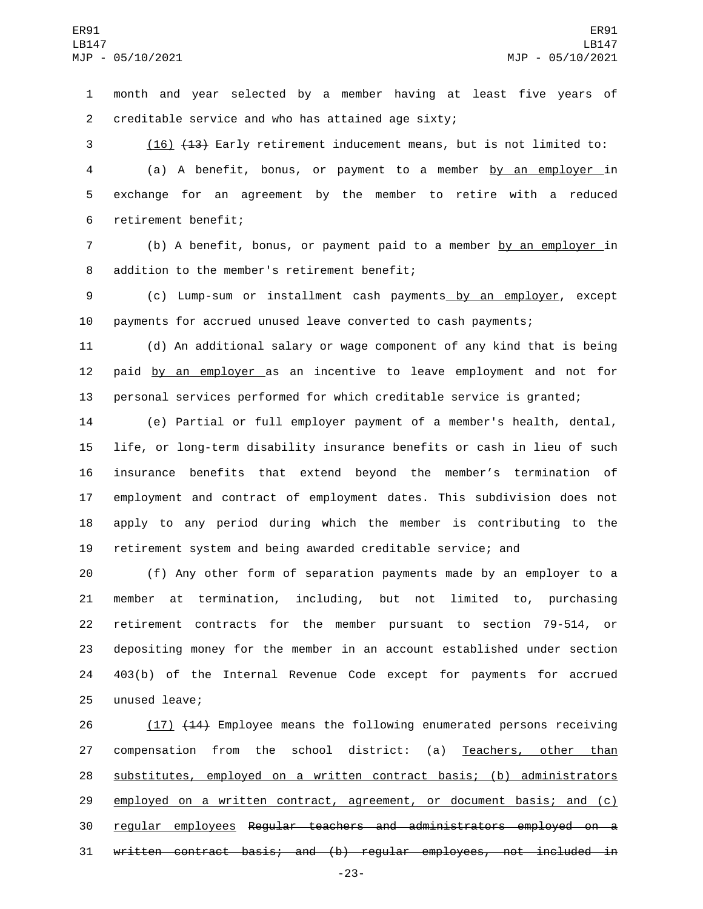month and year selected by a member having at least five years of creditable service and who has attained age sixty;2

 (16) (13) Early retirement inducement means, but is not limited to: (a) A benefit, bonus, or payment to a member by an employer in exchange for an agreement by the member to retire with a reduced 6 retirement benefit;

 (b) A benefit, bonus, or payment paid to a member by an employer in 8 addition to the member's retirement benefit;

 (c) Lump-sum or installment cash payments by an employer, except payments for accrued unused leave converted to cash payments;

 (d) An additional salary or wage component of any kind that is being 12 paid by an employer as an incentive to leave employment and not for personal services performed for which creditable service is granted;

 (e) Partial or full employer payment of a member's health, dental, life, or long-term disability insurance benefits or cash in lieu of such insurance benefits that extend beyond the member's termination of employment and contract of employment dates. This subdivision does not apply to any period during which the member is contributing to the retirement system and being awarded creditable service; and

 (f) Any other form of separation payments made by an employer to a member at termination, including, but not limited to, purchasing retirement contracts for the member pursuant to section 79-514, or depositing money for the member in an account established under section 403(b) of the Internal Revenue Code except for payments for accrued 25 unused leave;

26 (17) (14) Employee means the following enumerated persons receiving 27 compensation from the school district: (a) Teachers, other than substitutes, employed on a written contract basis; (b) administrators 29 employed on a written contract, agreement, or document basis; and (c) regular employees Regular teachers and administrators employed on a written contract basis; and (b) regular employees, not included in

-23-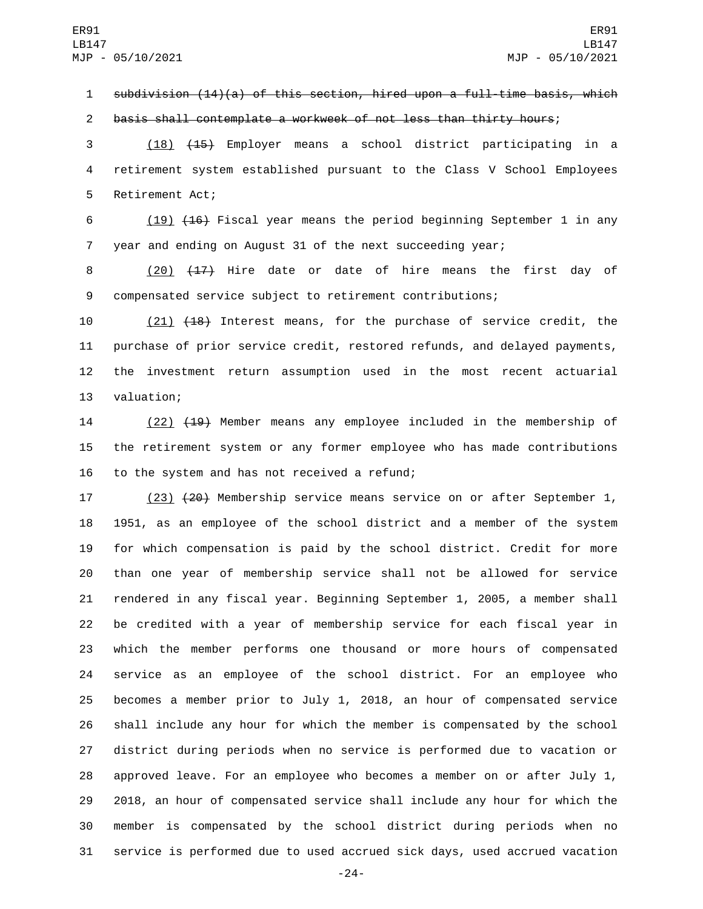subdivision (14)(a) of this section, hired upon a full-time basis, which

basis shall contemplate a workweek of not less than thirty hours;

 (18) (15) Employer means a school district participating in a retirement system established pursuant to the Class V School Employees 5 Retirement Act;

 (19) (16) Fiscal year means the period beginning September 1 in any year and ending on August 31 of the next succeeding year;

8 (20) (17) Hire date or date of hire means the first day of compensated service subject to retirement contributions;

 (21) (18) Interest means, for the purchase of service credit, the purchase of prior service credit, restored refunds, and delayed payments, the investment return assumption used in the most recent actuarial 13 valuation;

 (22) (19) Member means any employee included in the membership of the retirement system or any former employee who has made contributions 16 to the system and has not received a refund;

17 (23) (20) Membership service means service on or after September 1, 1951, as an employee of the school district and a member of the system for which compensation is paid by the school district. Credit for more than one year of membership service shall not be allowed for service rendered in any fiscal year. Beginning September 1, 2005, a member shall be credited with a year of membership service for each fiscal year in which the member performs one thousand or more hours of compensated service as an employee of the school district. For an employee who becomes a member prior to July 1, 2018, an hour of compensated service shall include any hour for which the member is compensated by the school district during periods when no service is performed due to vacation or approved leave. For an employee who becomes a member on or after July 1, 2018, an hour of compensated service shall include any hour for which the member is compensated by the school district during periods when no service is performed due to used accrued sick days, used accrued vacation

-24-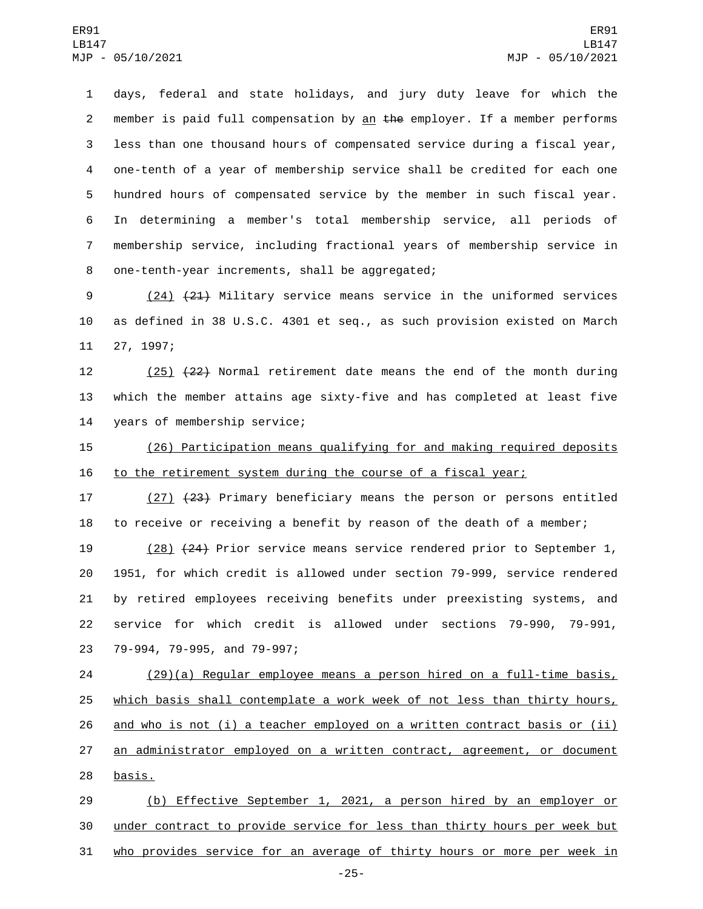days, federal and state holidays, and jury duty leave for which the 2 member is paid full compensation by an  $the$  employer. If a member performs less than one thousand hours of compensated service during a fiscal year, one-tenth of a year of membership service shall be credited for each one hundred hours of compensated service by the member in such fiscal year. In determining a member's total membership service, all periods of membership service, including fractional years of membership service in 8 one-tenth-year increments, shall be aggregated;

9 (24) (21) Military service means service in the uniformed services 10 as defined in 38 U.S.C. 4301 et seq., as such provision existed on March 11 27, 1997;

12 (25) (22) Normal retirement date means the end of the month during 13 which the member attains age sixty-five and has completed at least five 14 years of membership service;

15 (26) Participation means qualifying for and making required deposits 16 to the retirement system during the course of a fiscal year;

17 (27) (23) Primary beneficiary means the person or persons entitled 18 to receive or receiving a benefit by reason of the death of a member;

 (28) (24) Prior service means service rendered prior to September 1, 1951, for which credit is allowed under section 79-999, service rendered by retired employees receiving benefits under preexisting systems, and service for which credit is allowed under sections 79-990, 79-991, 23 79-994, 79-995, and 79-997;

24 (29)(a) Regular employee means a person hired on a full-time basis, 25 which basis shall contemplate a work week of not less than thirty hours, 26 and who is not (i) a teacher employed on a written contract basis or (ii) 27 an administrator employed on a written contract, agreement, or document 28 basis.

29 (b) Effective September 1, 2021, a person hired by an employer or 30 under contract to provide service for less than thirty hours per week but 31 who provides service for an average of thirty hours or more per week in

-25-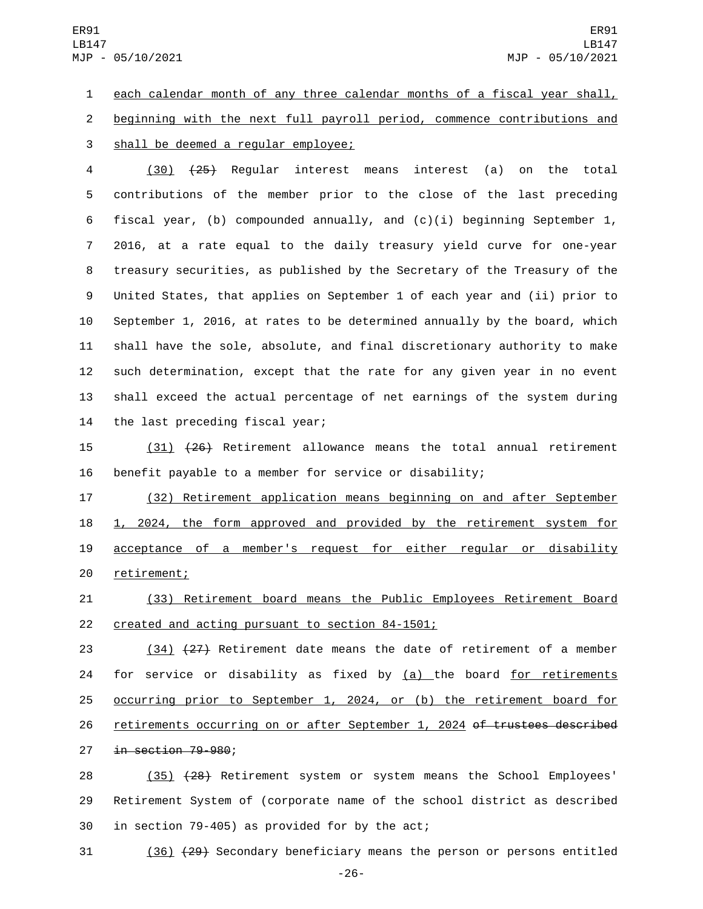ER91 LB147 MJP - 05/10/2021

1 each calendar month of any three calendar months of a fiscal year shall, 2 beginning with the next full payroll period, commence contributions and 3 shall be deemed a regular employee;

 (30) (25) Regular interest means interest (a) on the total contributions of the member prior to the close of the last preceding fiscal year, (b) compounded annually, and (c)(i) beginning September 1, 2016, at a rate equal to the daily treasury yield curve for one-year treasury securities, as published by the Secretary of the Treasury of the United States, that applies on September 1 of each year and (ii) prior to September 1, 2016, at rates to be determined annually by the board, which shall have the sole, absolute, and final discretionary authority to make such determination, except that the rate for any given year in no event shall exceed the actual percentage of net earnings of the system during 14 the last preceding fiscal year;

15 (31) (26) Retirement allowance means the total annual retirement 16 benefit payable to a member for service or disability;

 (32) Retirement application means beginning on and after September 1, 2024, the form approved and provided by the retirement system for acceptance of a member's request for either regular or disability 20 retirement;

21 (33) Retirement board means the Public Employees Retirement Board 22 created and acting pursuant to section 84-1501;

23 (34) (27) Retirement date means the date of retirement of a member 24 for service or disability as fixed by  $(a)$  the board for retirements 25 occurring prior to September 1, 2024, or (b) the retirement board for 26 retirements occurring on or after September 1, 2024 of trustees described 27 in section 79-980;

28 (35) (28) Retirement system or system means the School Employees' 29 Retirement System of (corporate name of the school district as described 30 in section 79-405) as provided for by the act;

31 (36) (29) Secondary beneficiary means the person or persons entitled

-26-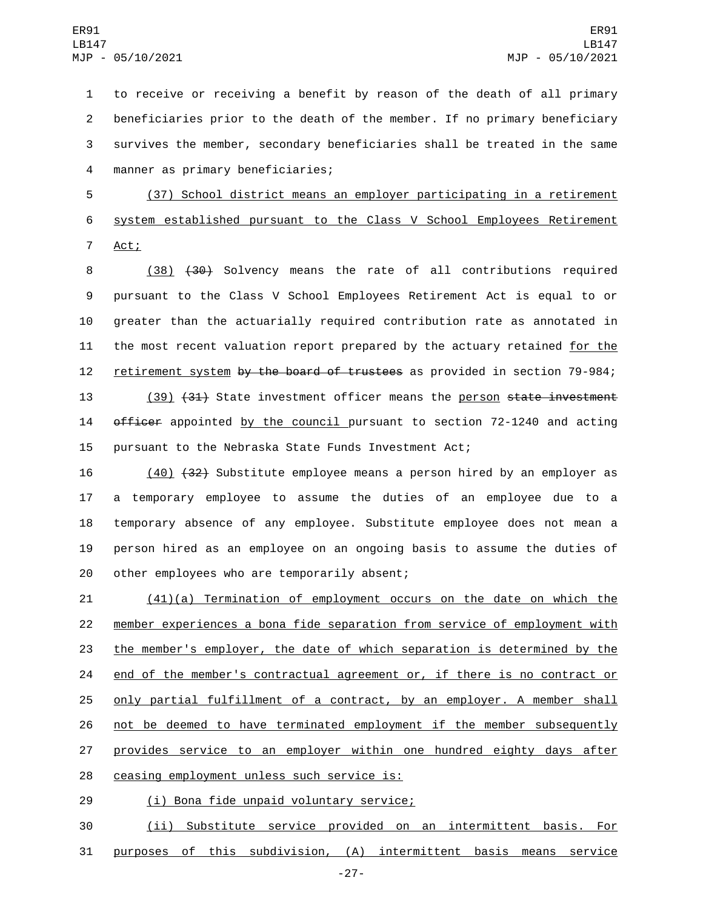to receive or receiving a benefit by reason of the death of all primary beneficiaries prior to the death of the member. If no primary beneficiary survives the member, secondary beneficiaries shall be treated in the same manner as primary beneficiaries;4

5 (37) School district means an employer participating in a retirement 6 system established pursuant to the Class V School Employees Retirement 7 Act;

8 (38) (30) Solvency means the rate of all contributions required 9 pursuant to the Class V School Employees Retirement Act is equal to or 10 greater than the actuarially required contribution rate as annotated in 11 the most recent valuation report prepared by the actuary retained for the 12 retirement system by the board of trustees as provided in section 79-984;

13 (39) (31) State investment officer means the person state investment 14 officer appointed by the council pursuant to section 72-1240 and acting 15 pursuant to the Nebraska State Funds Investment Act;

 (40) (32) Substitute employee means a person hired by an employer as a temporary employee to assume the duties of an employee due to a temporary absence of any employee. Substitute employee does not mean a person hired as an employee on an ongoing basis to assume the duties of 20 other employees who are temporarily absent;

 (41)(a) Termination of employment occurs on the date on which the member experiences a bona fide separation from service of employment with the member's employer, the date of which separation is determined by the end of the member's contractual agreement or, if there is no contract or only partial fulfillment of a contract, by an employer. A member shall not be deemed to have terminated employment if the member subsequently 27 provides service to an employer within one hundred eighty days after 28 ceasing employment unless such service is:

(i) Bona fide unpaid voluntary service;29

30 (ii) Substitute service provided on an intermittent basis. For 31 purposes of this subdivision, (A) intermittent basis means service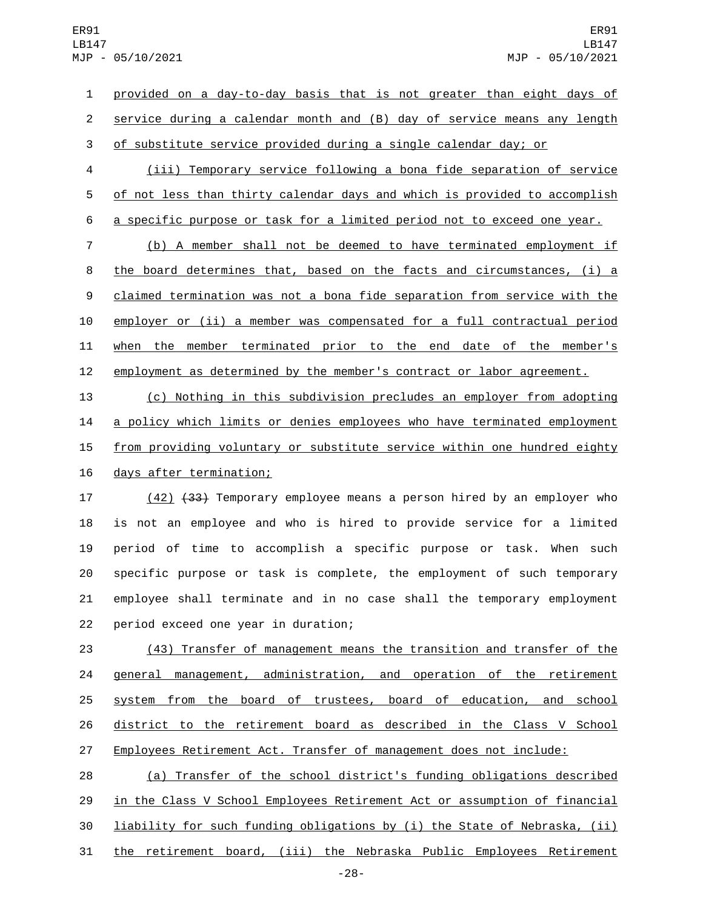provided on a day-to-day basis that is not greater than eight days of service during a calendar month and (B) day of service means any length of substitute service provided during a single calendar day; or

 (iii) Temporary service following a bona fide separation of service of not less than thirty calendar days and which is provided to accomplish a specific purpose or task for a limited period not to exceed one year.

 (b) A member shall not be deemed to have terminated employment if the board determines that, based on the facts and circumstances, (i) a claimed termination was not a bona fide separation from service with the employer or (ii) a member was compensated for a full contractual period when the member terminated prior to the end date of the member's employment as determined by the member's contract or labor agreement.

 (c) Nothing in this subdivision precludes an employer from adopting a policy which limits or denies employees who have terminated employment 15 from providing voluntary or substitute service within one hundred eighty 16 days after termination;

17 (42) <del>(33)</del> Temporary employee means a person hired by an employer who is not an employee and who is hired to provide service for a limited period of time to accomplish a specific purpose or task. When such specific purpose or task is complete, the employment of such temporary employee shall terminate and in no case shall the temporary employment 22 period exceed one year in duration;

 (43) Transfer of management means the transition and transfer of the general management, administration, and operation of the retirement system from the board of trustees, board of education, and school district to the retirement board as described in the Class V School Employees Retirement Act. Transfer of management does not include:

 (a) Transfer of the school district's funding obligations described in the Class V School Employees Retirement Act or assumption of financial liability for such funding obligations by (i) the State of Nebraska, (ii) the retirement board, (iii) the Nebraska Public Employees Retirement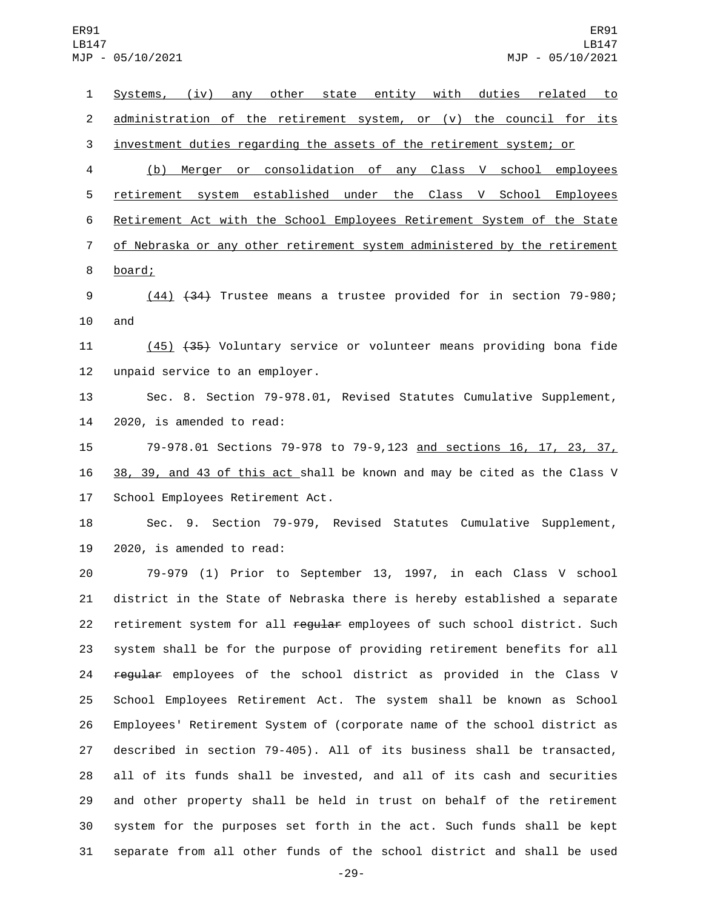Systems, (iv) any other state entity with duties related to 2 administration of the retirement system, or (v) the council for its investment duties regarding the assets of the retirement system; or (b) Merger or consolidation of any Class V school employees retirement system established under the Class V School Employees Retirement Act with the School Employees Retirement System of the State of Nebraska or any other retirement system administered by the retirement 8 board; (44) (34) Trustee means a trustee provided for in section 79-980; and 11 (45) (35) Voluntary service or volunteer means providing bona fide 12 unpaid service to an employer. Sec. 8. Section 79-978.01, Revised Statutes Cumulative Supplement, 14 2020, is amended to read: 79-978.01 Sections 79-978 to 79-9,123 and sections 16, 17, 23, 37, 38, 39, and 43 of this act shall be known and may be cited as the Class V 17 School Employees Retirement Act. Sec. 9. Section 79-979, Revised Statutes Cumulative Supplement, 2020, is amended to read: 79-979 (1) Prior to September 13, 1997, in each Class V school district in the State of Nebraska there is hereby established a separate 22 retirement system for all regular employees of such school district. Such system shall be for the purpose of providing retirement benefits for all 24 regular employees of the school district as provided in the Class V School Employees Retirement Act. The system shall be known as School Employees' Retirement System of (corporate name of the school district as described in section 79-405). All of its business shall be transacted, all of its funds shall be invested, and all of its cash and securities and other property shall be held in trust on behalf of the retirement system for the purposes set forth in the act. Such funds shall be kept separate from all other funds of the school district and shall be used

-29-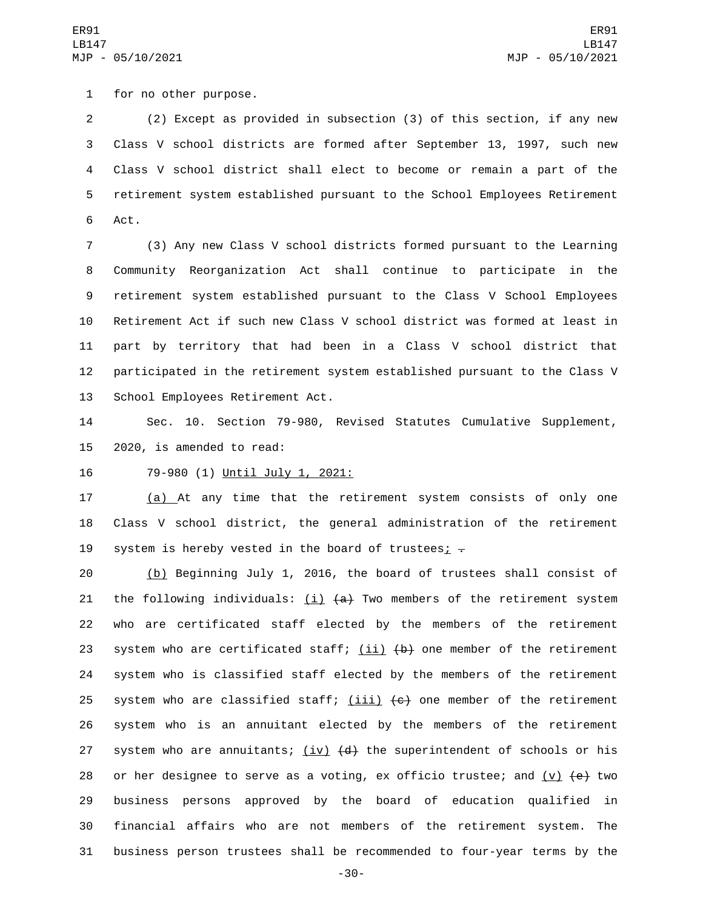1 for no other purpose.

 (2) Except as provided in subsection (3) of this section, if any new Class V school districts are formed after September 13, 1997, such new Class V school district shall elect to become or remain a part of the retirement system established pursuant to the School Employees Retirement 6 Act.

 (3) Any new Class V school districts formed pursuant to the Learning Community Reorganization Act shall continue to participate in the retirement system established pursuant to the Class V School Employees Retirement Act if such new Class V school district was formed at least in part by territory that had been in a Class V school district that participated in the retirement system established pursuant to the Class V 13 School Employees Retirement Act.

14 Sec. 10. Section 79-980, Revised Statutes Cumulative Supplement, 15 2020, is amended to read:

16 79-980 (1) Until July 1, 2021:

17 (a) At any time that the retirement system consists of only one 18 Class V school district, the general administration of the retirement 19 system is hereby vested in the board of trustees;  $\overline{z}$ 

20 (b) Beginning July 1, 2016, the board of trustees shall consist of 21 the following individuals:  $(i)$   $(a)$  Two members of the retirement system 22 who are certificated staff elected by the members of the retirement 23 system who are certificated staff;  $(i)$   $(i)$   $(b)$  one member of the retirement 24 system who is classified staff elected by the members of the retirement 25 system who are classified staff;  $(iii)$   $(e)$  one member of the retirement 26 system who is an annuitant elected by the members of the retirement 27 system who are annuitants;  $(iv)$   $(d)$  the superintendent of schools or his 28 or her designee to serve as a voting, ex officio trustee; and  $(v)$   $(e)$  two 29 business persons approved by the board of education qualified in 30 financial affairs who are not members of the retirement system. The 31 business person trustees shall be recommended to four-year terms by the

-30-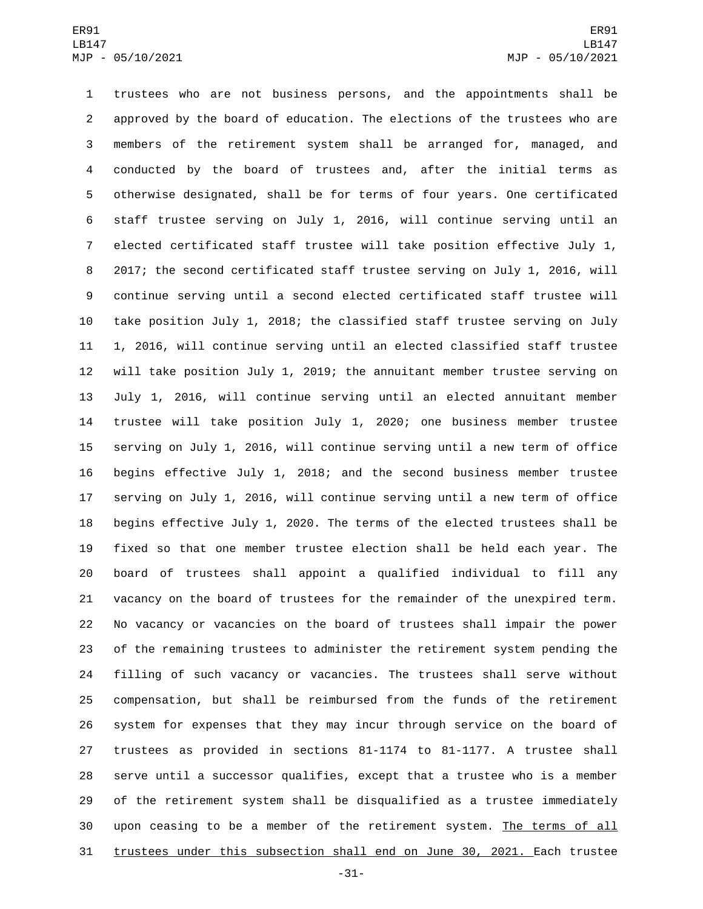trustees who are not business persons, and the appointments shall be approved by the board of education. The elections of the trustees who are members of the retirement system shall be arranged for, managed, and conducted by the board of trustees and, after the initial terms as otherwise designated, shall be for terms of four years. One certificated staff trustee serving on July 1, 2016, will continue serving until an elected certificated staff trustee will take position effective July 1, 2017; the second certificated staff trustee serving on July 1, 2016, will continue serving until a second elected certificated staff trustee will take position July 1, 2018; the classified staff trustee serving on July 1, 2016, will continue serving until an elected classified staff trustee will take position July 1, 2019; the annuitant member trustee serving on July 1, 2016, will continue serving until an elected annuitant member trustee will take position July 1, 2020; one business member trustee serving on July 1, 2016, will continue serving until a new term of office begins effective July 1, 2018; and the second business member trustee serving on July 1, 2016, will continue serving until a new term of office begins effective July 1, 2020. The terms of the elected trustees shall be fixed so that one member trustee election shall be held each year. The board of trustees shall appoint a qualified individual to fill any vacancy on the board of trustees for the remainder of the unexpired term. No vacancy or vacancies on the board of trustees shall impair the power of the remaining trustees to administer the retirement system pending the filling of such vacancy or vacancies. The trustees shall serve without compensation, but shall be reimbursed from the funds of the retirement system for expenses that they may incur through service on the board of trustees as provided in sections 81-1174 to 81-1177. A trustee shall serve until a successor qualifies, except that a trustee who is a member of the retirement system shall be disqualified as a trustee immediately 30 upon ceasing to be a member of the retirement system. The terms of all trustees under this subsection shall end on June 30, 2021. Each trustee

-31-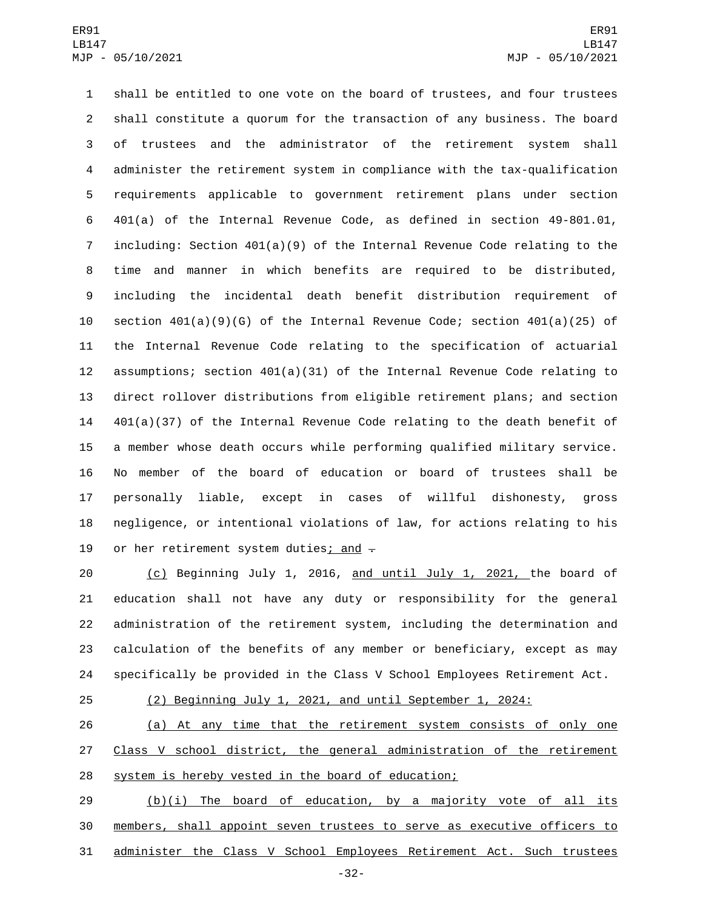shall be entitled to one vote on the board of trustees, and four trustees shall constitute a quorum for the transaction of any business. The board of trustees and the administrator of the retirement system shall administer the retirement system in compliance with the tax-qualification requirements applicable to government retirement plans under section 401(a) of the Internal Revenue Code, as defined in section 49-801.01, including: Section 401(a)(9) of the Internal Revenue Code relating to the time and manner in which benefits are required to be distributed, including the incidental death benefit distribution requirement of section 401(a)(9)(G) of the Internal Revenue Code; section 401(a)(25) of the Internal Revenue Code relating to the specification of actuarial assumptions; section 401(a)(31) of the Internal Revenue Code relating to direct rollover distributions from eligible retirement plans; and section 401(a)(37) of the Internal Revenue Code relating to the death benefit of a member whose death occurs while performing qualified military service. No member of the board of education or board of trustees shall be personally liable, except in cases of willful dishonesty, gross negligence, or intentional violations of law, for actions relating to his 19 or her retirement system duties; and  $-$ 

 (c) Beginning July 1, 2016, and until July 1, 2021, the board of education shall not have any duty or responsibility for the general administration of the retirement system, including the determination and calculation of the benefits of any member or beneficiary, except as may specifically be provided in the Class V School Employees Retirement Act.

## (2) Beginning July 1, 2021, and until September 1, 2024:

 (a) At any time that the retirement system consists of only one 27 Class V school district, the general administration of the retirement system is hereby vested in the board of education;

29 (b)(i) The board of education, by a majority vote of all its members, shall appoint seven trustees to serve as executive officers to administer the Class V School Employees Retirement Act. Such trustees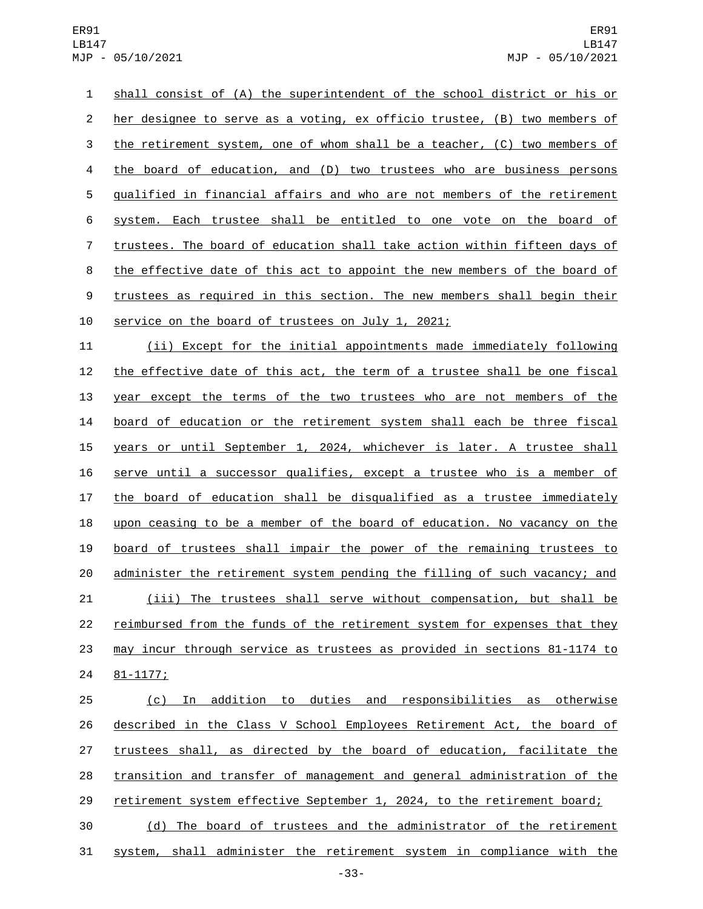shall consist of (A) the superintendent of the school district or his or her designee to serve as a voting, ex officio trustee, (B) two members of 3 the retirement system, one of whom shall be a teacher, (C) two members of the board of education, and (D) two trustees who are business persons qualified in financial affairs and who are not members of the retirement system. Each trustee shall be entitled to one vote on the board of trustees. The board of education shall take action within fifteen days of the effective date of this act to appoint the new members of the board of 9 trustees as required in this section. The new members shall begin their 10 service on the board of trustees on July 1, 2021;

 (ii) Except for the initial appointments made immediately following 12 the effective date of this act, the term of a trustee shall be one fiscal year except the terms of the two trustees who are not members of the board of education or the retirement system shall each be three fiscal years or until September 1, 2024, whichever is later. A trustee shall serve until a successor qualifies, except a trustee who is a member of the board of education shall be disqualified as a trustee immediately upon ceasing to be a member of the board of education. No vacancy on the board of trustees shall impair the power of the remaining trustees to administer the retirement system pending the filling of such vacancy; and (iii) The trustees shall serve without compensation, but shall be reimbursed from the funds of the retirement system for expenses that they may incur through service as trustees as provided in sections 81-1174 to 24 81-1177;

 (c) In addition to duties and responsibilities as otherwise described in the Class V School Employees Retirement Act, the board of trustees shall, as directed by the board of education, facilitate the transition and transfer of management and general administration of the retirement system effective September 1, 2024, to the retirement board; (d) The board of trustees and the administrator of the retirement

system, shall administer the retirement system in compliance with the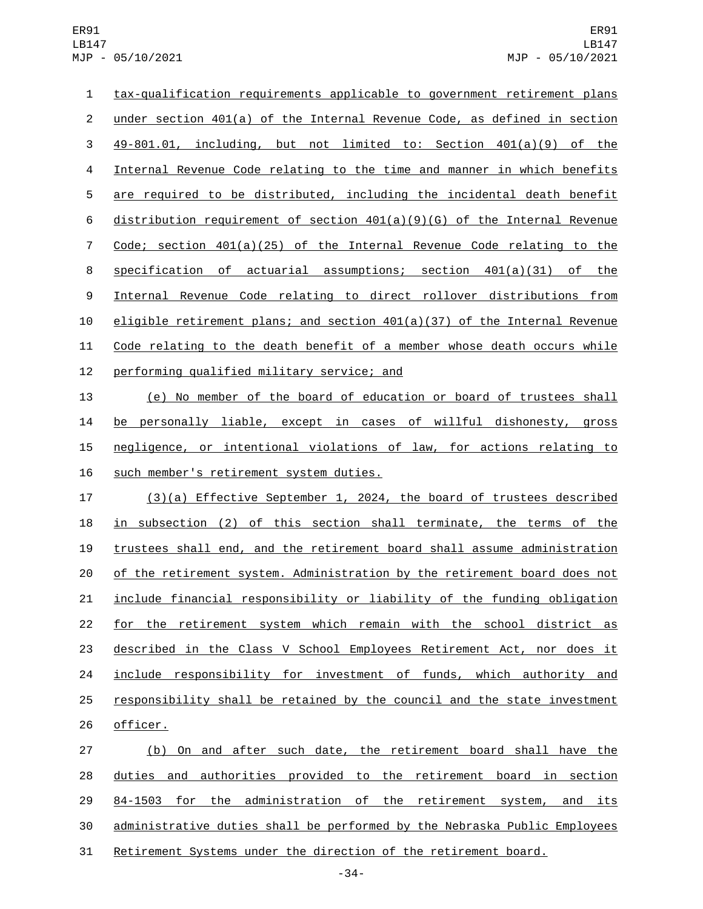ER91 LB147 MJP - 05/10/2021

 tax-qualification requirements applicable to government retirement plans under section 401(a) of the Internal Revenue Code, as defined in section 49-801.01, including, but not limited to: Section 401(a)(9) of the Internal Revenue Code relating to the time and manner in which benefits are required to be distributed, including the incidental death benefit distribution requirement of section 401(a)(9)(G) of the Internal Revenue Code; section 401(a)(25) of the Internal Revenue Code relating to the specification of actuarial assumptions; section 401(a)(31) of the Internal Revenue Code relating to direct rollover distributions from eligible retirement plans; and section 401(a)(37) of the Internal Revenue Code relating to the death benefit of a member whose death occurs while 12 performing qualified military service; and (e) No member of the board of education or board of trustees shall

 be personally liable, except in cases of willful dishonesty, gross negligence, or intentional violations of law, for actions relating to 16 such member's retirement system duties.

 (3)(a) Effective September 1, 2024, the board of trustees described in subsection (2) of this section shall terminate, the terms of the trustees shall end, and the retirement board shall assume administration of the retirement system. Administration by the retirement board does not include financial responsibility or liability of the funding obligation for the retirement system which remain with the school district as described in the Class V School Employees Retirement Act, nor does it include responsibility for investment of funds, which authority and responsibility shall be retained by the council and the state investment 26 officer.

 (b) On and after such date, the retirement board shall have the duties and authorities provided to the retirement board in section 84-1503 for the administration of the retirement system, and its administrative duties shall be performed by the Nebraska Public Employees Retirement Systems under the direction of the retirement board.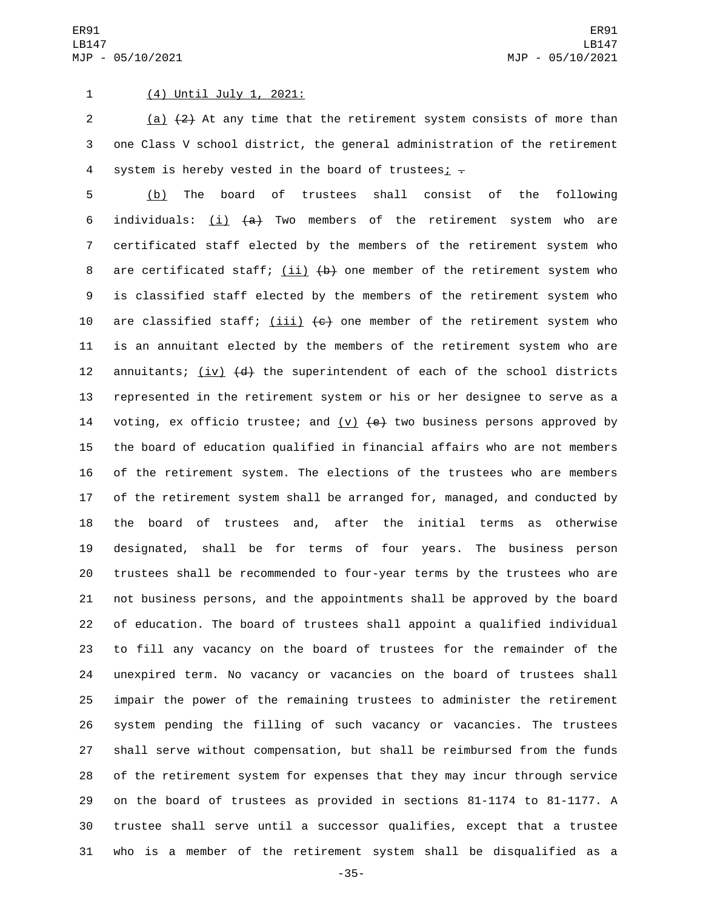## 1 (4) Until July 1, 2021:

2  $(a)$   $(2)$  At any time that the retirement system consists of more than one Class V school district, the general administration of the retirement 4 system is hereby vested in the board of trustees;  $\overline{z}$ 

 (b) The board of trustees shall consist of the following 6 individuals:  $(i)$   $(4)$  Two members of the retirement system who are certificated staff elected by the members of the retirement system who 8 are certificated staff; (ii) (b) one member of the retirement system who is classified staff elected by the members of the retirement system who 10 are classified staff;  $(iii)$   $(e)$  one member of the retirement system who is an annuitant elected by the members of the retirement system who are 12 annuitants;  $(iv)$   $(d)$  the superintendent of each of the school districts represented in the retirement system or his or her designee to serve as a 14 voting, ex officio trustee; and  $(v)$   $(e)$  two business persons approved by the board of education qualified in financial affairs who are not members of the retirement system. The elections of the trustees who are members of the retirement system shall be arranged for, managed, and conducted by the board of trustees and, after the initial terms as otherwise designated, shall be for terms of four years. The business person trustees shall be recommended to four-year terms by the trustees who are not business persons, and the appointments shall be approved by the board of education. The board of trustees shall appoint a qualified individual to fill any vacancy on the board of trustees for the remainder of the unexpired term. No vacancy or vacancies on the board of trustees shall impair the power of the remaining trustees to administer the retirement system pending the filling of such vacancy or vacancies. The trustees shall serve without compensation, but shall be reimbursed from the funds of the retirement system for expenses that they may incur through service on the board of trustees as provided in sections 81-1174 to 81-1177. A trustee shall serve until a successor qualifies, except that a trustee who is a member of the retirement system shall be disqualified as a

-35-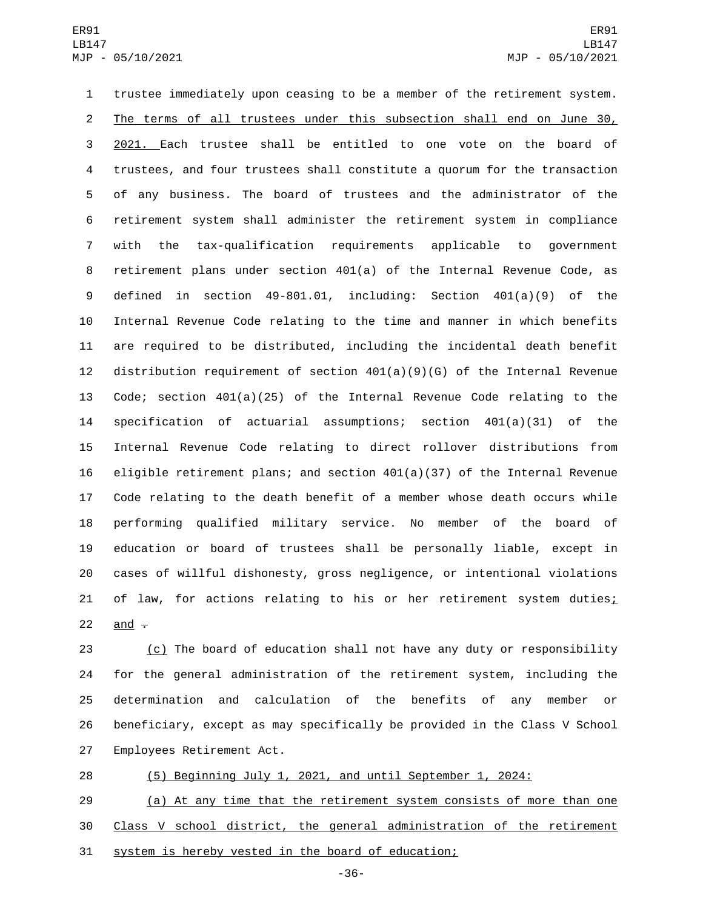trustee immediately upon ceasing to be a member of the retirement system. The terms of all trustees under this subsection shall end on June 30, 2021. Each trustee shall be entitled to one vote on the board of trustees, and four trustees shall constitute a quorum for the transaction of any business. The board of trustees and the administrator of the retirement system shall administer the retirement system in compliance with the tax-qualification requirements applicable to government retirement plans under section 401(a) of the Internal Revenue Code, as defined in section 49-801.01, including: Section 401(a)(9) of the Internal Revenue Code relating to the time and manner in which benefits are required to be distributed, including the incidental death benefit distribution requirement of section 401(a)(9)(G) of the Internal Revenue Code; section 401(a)(25) of the Internal Revenue Code relating to the specification of actuarial assumptions; section 401(a)(31) of the Internal Revenue Code relating to direct rollover distributions from 16 eligible retirement plans; and section  $401(a)(37)$  of the Internal Revenue Code relating to the death benefit of a member whose death occurs while performing qualified military service. No member of the board of education or board of trustees shall be personally liable, except in cases of willful dishonesty, gross negligence, or intentional violations 21 of law, for actions relating to his or her retirement system duties; 22 and  $\div$ 

 (c) The board of education shall not have any duty or responsibility for the general administration of the retirement system, including the determination and calculation of the benefits of any member or beneficiary, except as may specifically be provided in the Class V School 27 Employees Retirement Act.

(5) Beginning July 1, 2021, and until September 1, 2024:

 (a) At any time that the retirement system consists of more than one Class V school district, the general administration of the retirement system is hereby vested in the board of education;

-36-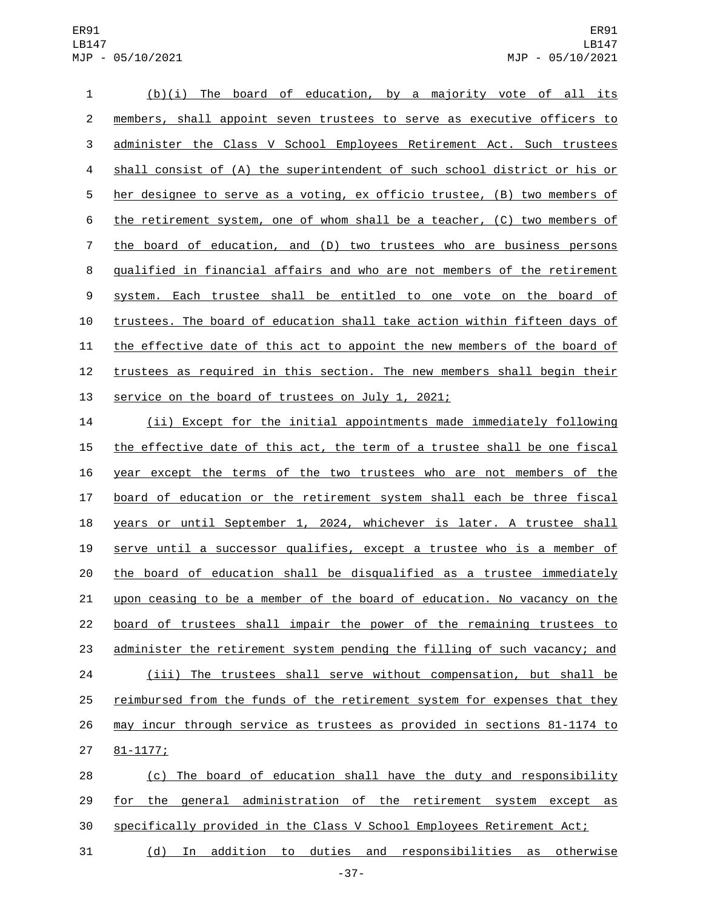## ER91 LB147 MJP - 05/10/2021

 (b)(i) The board of education, by a majority vote of all its members, shall appoint seven trustees to serve as executive officers to administer the Class V School Employees Retirement Act. Such trustees shall consist of (A) the superintendent of such school district or his or her designee to serve as a voting, ex officio trustee, (B) two members of the retirement system, one of whom shall be a teacher, (C) two members of the board of education, and (D) two trustees who are business persons qualified in financial affairs and who are not members of the retirement 9 system. Each trustee shall be entitled to one vote on the board of trustees. The board of education shall take action within fifteen days of the effective date of this act to appoint the new members of the board of 12 trustees as required in this section. The new members shall begin their 13 service on the board of trustees on July 1, 2021;

 (ii) Except for the initial appointments made immediately following 15 the effective date of this act, the term of a trustee shall be one fiscal year except the terms of the two trustees who are not members of the board of education or the retirement system shall each be three fiscal years or until September 1, 2024, whichever is later. A trustee shall serve until a successor qualifies, except a trustee who is a member of the board of education shall be disqualified as a trustee immediately upon ceasing to be a member of the board of education. No vacancy on the board of trustees shall impair the power of the remaining trustees to administer the retirement system pending the filling of such vacancy; and (iii) The trustees shall serve without compensation, but shall be reimbursed from the funds of the retirement system for expenses that they may incur through service as trustees as provided in sections 81-1174 to 27 81-1177;

 (c) The board of education shall have the duty and responsibility for the general administration of the retirement system except as specifically provided in the Class V School Employees Retirement Act;

(d) In addition to duties and responsibilities as otherwise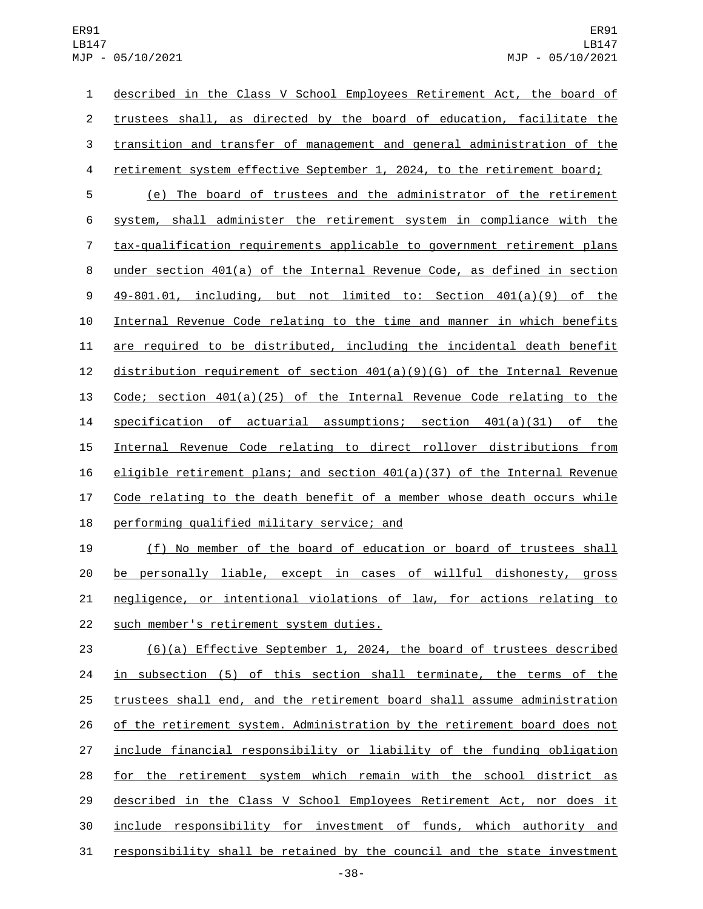described in the Class V School Employees Retirement Act, the board of trustees shall, as directed by the board of education, facilitate the transition and transfer of management and general administration of the retirement system effective September 1, 2024, to the retirement board; (e) The board of trustees and the administrator of the retirement system, shall administer the retirement system in compliance with the tax-qualification requirements applicable to government retirement plans under section 401(a) of the Internal Revenue Code, as defined in section 49-801.01, including, but not limited to: Section 401(a)(9) of the

 Internal Revenue Code relating to the time and manner in which benefits are required to be distributed, including the incidental death benefit distribution requirement of section 401(a)(9)(G) of the Internal Revenue Code; section 401(a)(25) of the Internal Revenue Code relating to the specification of actuarial assumptions; section 401(a)(31) of the Internal Revenue Code relating to direct rollover distributions from eligible retirement plans; and section 401(a)(37) of the Internal Revenue 17 Code relating to the death benefit of a member whose death occurs while 18 performing qualified military service; and

 (f) No member of the board of education or board of trustees shall be personally liable, except in cases of willful dishonesty, gross negligence, or intentional violations of law, for actions relating to 22 such member's retirement system duties.

 (6)(a) Effective September 1, 2024, the board of trustees described in subsection (5) of this section shall terminate, the terms of the trustees shall end, and the retirement board shall assume administration of the retirement system. Administration by the retirement board does not include financial responsibility or liability of the funding obligation for the retirement system which remain with the school district as described in the Class V School Employees Retirement Act, nor does it include responsibility for investment of funds, which authority and responsibility shall be retained by the council and the state investment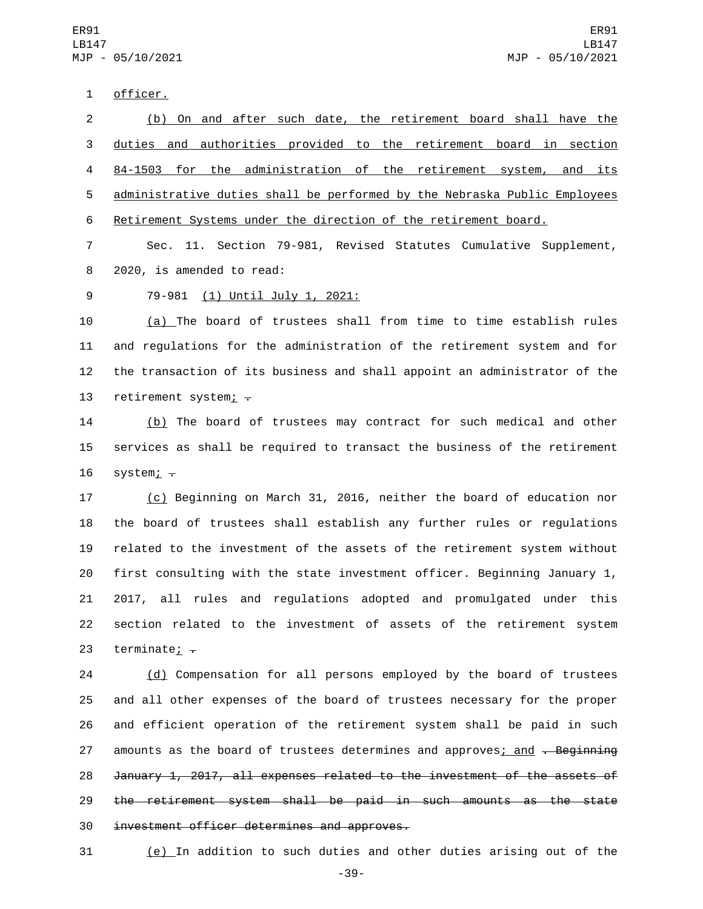1 officer.

 (b) On and after such date, the retirement board shall have the duties and authorities provided to the retirement board in section 84-1503 for the administration of the retirement system, and its administrative duties shall be performed by the Nebraska Public Employees Retirement Systems under the direction of the retirement board.

7 Sec. 11. Section 79-981, Revised Statutes Cumulative Supplement, 8 2020, is amended to read:

9 79-981 (1) Until July 1, 2021:

 (a) The board of trustees shall from time to time establish rules and regulations for the administration of the retirement system and for the transaction of its business and shall appoint an administrator of the 13 retirement system;  $\overline{z}$ 

14 (b) The board of trustees may contract for such medical and other 15 services as shall be required to transact the business of the retirement 16  $s$ ystem;  $\overline{\cdot}$ 

 (c) Beginning on March 31, 2016, neither the board of education nor the board of trustees shall establish any further rules or regulations related to the investment of the assets of the retirement system without first consulting with the state investment officer. Beginning January 1, 2017, all rules and regulations adopted and promulgated under this section related to the investment of assets of the retirement system 23 terminate;  $\div$ 

24 (d) Compensation for all persons employed by the board of trustees 25 and all other expenses of the board of trustees necessary for the proper 26 and efficient operation of the retirement system shall be paid in such 27 amounts as the board of trustees determines and approves; and . Beginning 28 January 1, 2017, all expenses related to the investment of the assets of 29 the retirement system shall be paid in such amounts as the state 30 investment officer determines and approves.

31 (e) In addition to such duties and other duties arising out of the

-39-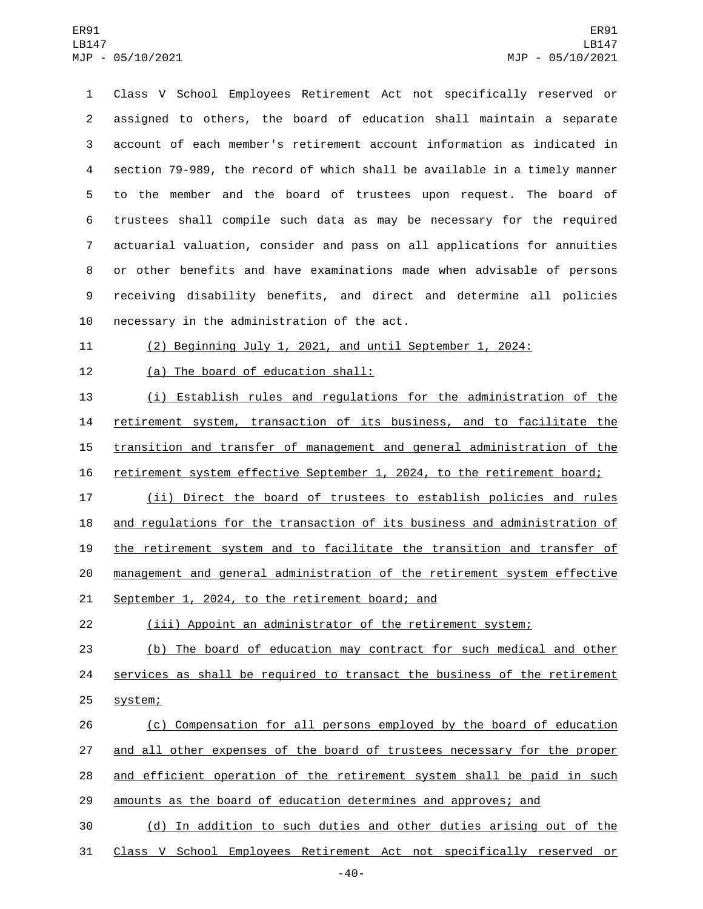Class V School Employees Retirement Act not specifically reserved or assigned to others, the board of education shall maintain a separate account of each member's retirement account information as indicated in section 79-989, the record of which shall be available in a timely manner to the member and the board of trustees upon request. The board of trustees shall compile such data as may be necessary for the required actuarial valuation, consider and pass on all applications for annuities or other benefits and have examinations made when advisable of persons receiving disability benefits, and direct and determine all policies 10 necessary in the administration of the act.

(2) Beginning July 1, 2021, and until September 1, 2024:

12 (a) The board of education shall:

 (i) Establish rules and regulations for the administration of the retirement system, transaction of its business, and to facilitate the transition and transfer of management and general administration of the retirement system effective September 1, 2024, to the retirement board;

 (ii) Direct the board of trustees to establish policies and rules 18 and regulations for the transaction of its business and administration of the retirement system and to facilitate the transition and transfer of management and general administration of the retirement system effective 21 September 1, 2024, to the retirement board; and

(iii) Appoint an administrator of the retirement system;

 (b) The board of education may contract for such medical and other 24 services as shall be required to transact the business of the retirement 25 system;

 (c) Compensation for all persons employed by the board of education 27 and all other expenses of the board of trustees necessary for the proper and efficient operation of the retirement system shall be paid in such amounts as the board of education determines and approves; and

 (d) In addition to such duties and other duties arising out of the Class V School Employees Retirement Act not specifically reserved or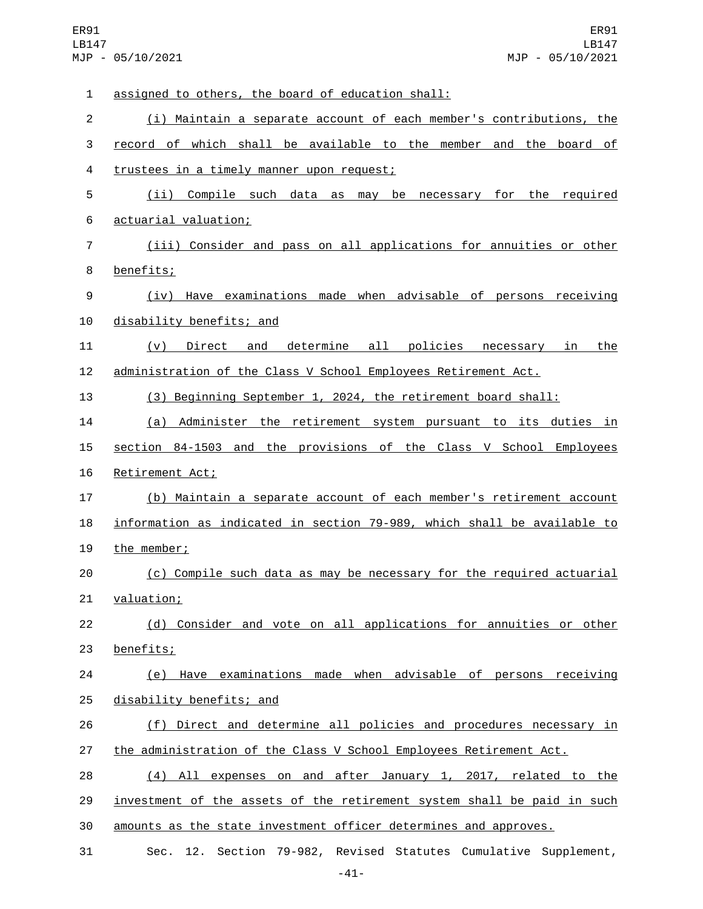| $\mathbf{1}$ | assigned to others, the board of education shall:                         |
|--------------|---------------------------------------------------------------------------|
| $\mathbf{2}$ | (i) Maintain a separate account of each member's contributions, the       |
| 3            | record of which shall be available to the member and the board of         |
| 4            | trustees in a timely manner upon request;                                 |
| 5            | (ii) Compile such data as may<br>be necessary<br>for the required         |
| 6            | actuarial valuation;                                                      |
| 7            | (iii) Consider and pass on all applications for annuities or other        |
| 8            | benefits;                                                                 |
| 9            | Have examinations made when advisable of persons receiving<br>(iv)        |
| 10           | disability benefits; and                                                  |
| 11           | determine all policies<br>Direct and<br>the<br>(V)<br><u>necessary in</u> |
| 12           | administration of the Class V School Employees Retirement Act.            |
| 13           | (3) Beginning September 1, 2024, the retirement board shall:              |
| 14           | (a) Administer the retirement system pursuant to its duties in            |
| 15           | section 84-1503 and the provisions of the Class V School Employees        |
| 16           | Retirement Act;                                                           |
| 17           | (b) Maintain a separate account of each member's retirement account       |
| 18           | information as indicated in section 79-989, which shall be available to   |
| 19           | the member;                                                               |
| 20           | (c) Compile such data as may be necessary for the required actuarial      |
| 21           | valuation;                                                                |
| 22           | (d) Consider and vote on all applications for annuities or other          |
| 23           | benefits;                                                                 |
| 24           | (e) Have examinations made when advisable of persons receiving            |
| 25           | disability benefits; and                                                  |
| 26           | (f) Direct and determine all policies and procedures necessary in         |
| 27           | the administration of the Class V School Employees Retirement Act.        |
| 28           | (4) All expenses on and after January 1, 2017, related to the             |
| 29           | investment of the assets of the retirement system shall be paid in such   |
| 30           | amounts as the state investment officer determines and approves.          |
| 31           | Sec. 12. Section 79-982, Revised Statutes Cumulative Supplement,          |

-41-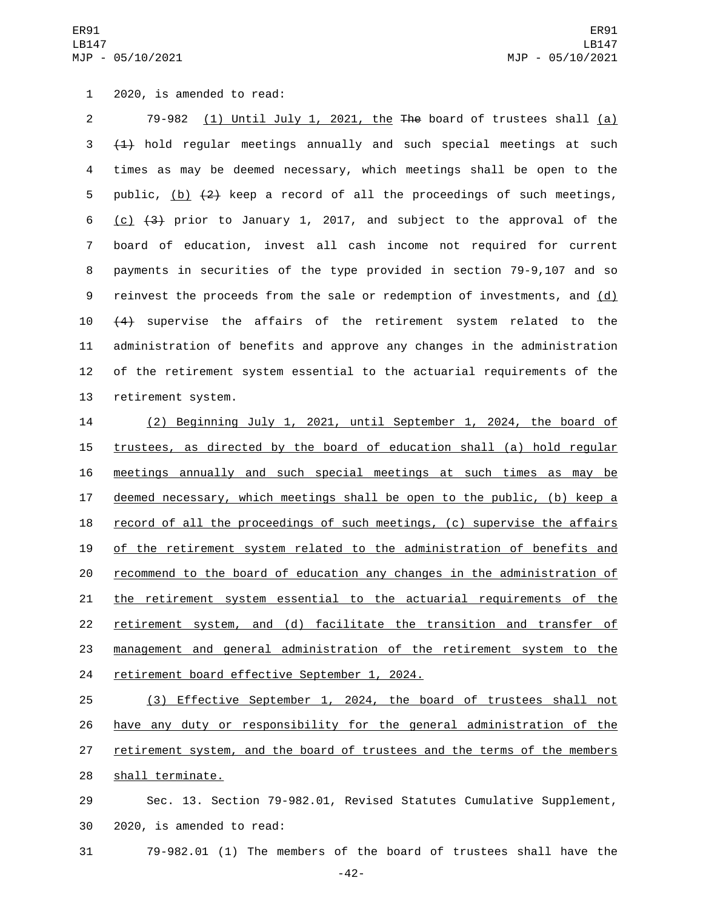1 2020, is amended to read:

2 79-982 (1) Until July 1, 2021, the The board of trustees shall (a)  $3 + 1$ ) hold regular meetings annually and such special meetings at such 4 times as may be deemed necessary, which meetings shall be open to the 5 public,  $(b)$   $(2)$  keep a record of all the proceedings of such meetings, 6 (c)  $(3)$  prior to January 1, 2017, and subject to the approval of the 7 board of education, invest all cash income not required for current 8 payments in securities of the type provided in section 79-9,107 and so 9 reinvest the proceeds from the sale or redemption of investments, and (d) 10  $(4)$  supervise the affairs of the retirement system related to the 11 administration of benefits and approve any changes in the administration 12 of the retirement system essential to the actuarial requirements of the 13 retirement system.

 (2) Beginning July 1, 2021, until September 1, 2024, the board of 15 trustees, as directed by the board of education shall (a) hold regular meetings annually and such special meetings at such times as may be deemed necessary, which meetings shall be open to the public, (b) keep a 18 record of all the proceedings of such meetings, (c) supervise the affairs of the retirement system related to the administration of benefits and recommend to the board of education any changes in the administration of the retirement system essential to the actuarial requirements of the retirement system, and (d) facilitate the transition and transfer of management and general administration of the retirement system to the 24 retirement board effective September 1, 2024.

25 (3) Effective September 1, 2024, the board of trustees shall not 26 have any duty or responsibility for the general administration of the 27 retirement system, and the board of trustees and the terms of the members 28 shall terminate.

29 Sec. 13. Section 79-982.01, Revised Statutes Cumulative Supplement, 30 2020, is amended to read:

31 79-982.01 (1) The members of the board of trustees shall have the

-42-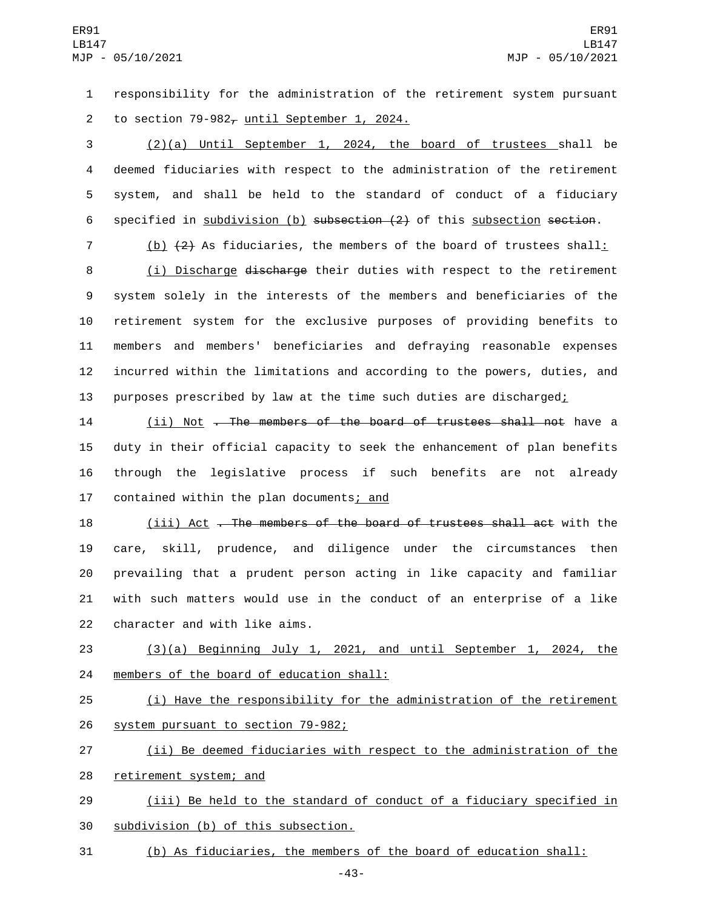1 responsibility for the administration of the retirement system pursuant 2 to section  $79-982<sub>\tau</sub>$  until September 1, 2024.

 (2)(a) Until September 1, 2024, the board of trustees shall be deemed fiduciaries with respect to the administration of the retirement system, and shall be held to the standard of conduct of a fiduciary specified in subdivision (b) subsection (2) of this subsection section.

7 (b) (2) As fiduciaries, the members of the board of trustees shall:

 (i) Discharge discharge their duties with respect to the retirement system solely in the interests of the members and beneficiaries of the retirement system for the exclusive purposes of providing benefits to members and members' beneficiaries and defraying reasonable expenses incurred within the limitations and according to the powers, duties, and 13 purposes prescribed by law at the time such duties are discharged;

14 (ii) Not <del>. The members of the board of trustees shall not</del> have a 15 duty in their official capacity to seek the enhancement of plan benefits 16 through the legislative process if such benefits are not already 17 contained within the plan documents; and

 (iii) Act . The members of the board of trustees shall act with the care, skill, prudence, and diligence under the circumstances then prevailing that a prudent person acting in like capacity and familiar with such matters would use in the conduct of an enterprise of a like 22 character and with like aims.

23 (3)(a) Beginning July 1, 2021, and until September 1, 2024, the 24 members of the board of education shall:

25 (i) Have the responsibility for the administration of the retirement 26 system pursuant to section 79-982;

27 (ii) Be deemed fiduciaries with respect to the administration of the 28 retirement system; and

29 (iii) Be held to the standard of conduct of a fiduciary specified in 30 subdivision (b) of this subsection.

31 (b) As fiduciaries, the members of the board of education shall:

-43-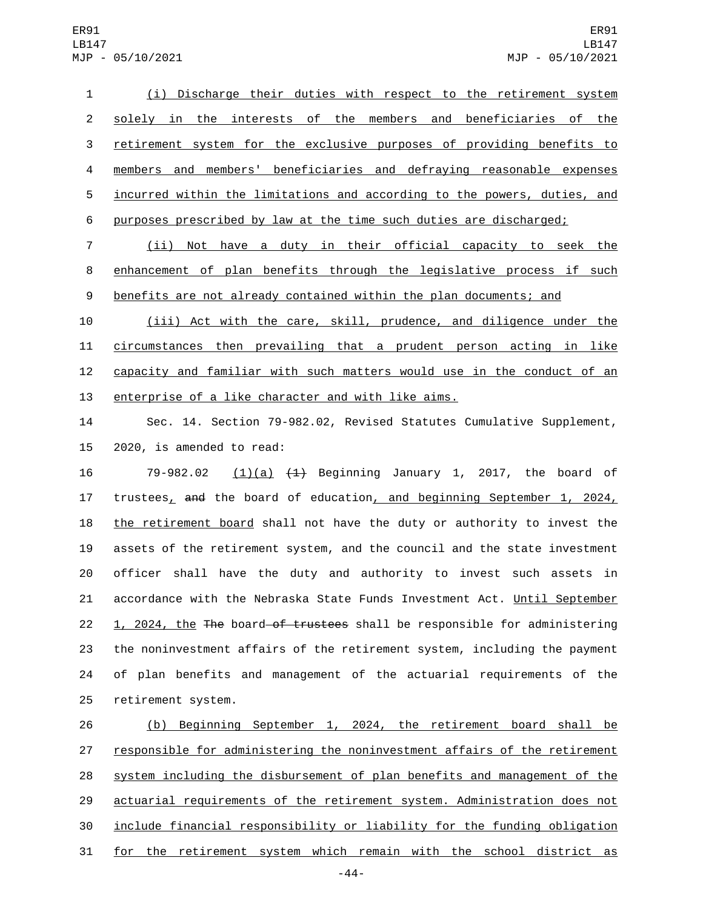(i) Discharge their duties with respect to the retirement system solely in the interests of the members and beneficiaries of the retirement system for the exclusive purposes of providing benefits to members and members' beneficiaries and defraying reasonable expenses incurred within the limitations and according to the powers, duties, and 6 purposes prescribed by law at the time such duties are discharged;

 (ii) Not have a duty in their official capacity to seek the enhancement of plan benefits through the legislative process if such 9 benefits are not already contained within the plan documents; and

 (iii) Act with the care, skill, prudence, and diligence under the circumstances then prevailing that a prudent person acting in like capacity and familiar with such matters would use in the conduct of an enterprise of a like character and with like aims.

 Sec. 14. Section 79-982.02, Revised Statutes Cumulative Supplement, 15 2020, is amended to read:

 79-982.02 (1)(a) (1) Beginning January 1, 2017, the board of trustees, and the board of education, and beginning September 1, 2024, 18 the retirement board shall not have the duty or authority to invest the assets of the retirement system, and the council and the state investment officer shall have the duty and authority to invest such assets in 21 accordance with the Nebraska State Funds Investment Act. Until September 22 1, 2024, the The board of trustees shall be responsible for administering the noninvestment affairs of the retirement system, including the payment of plan benefits and management of the actuarial requirements of the 25 retirement system.

 (b) Beginning September 1, 2024, the retirement board shall be 27 responsible for administering the noninvestment affairs of the retirement system including the disbursement of plan benefits and management of the actuarial requirements of the retirement system. Administration does not include financial responsibility or liability for the funding obligation for the retirement system which remain with the school district as

-44-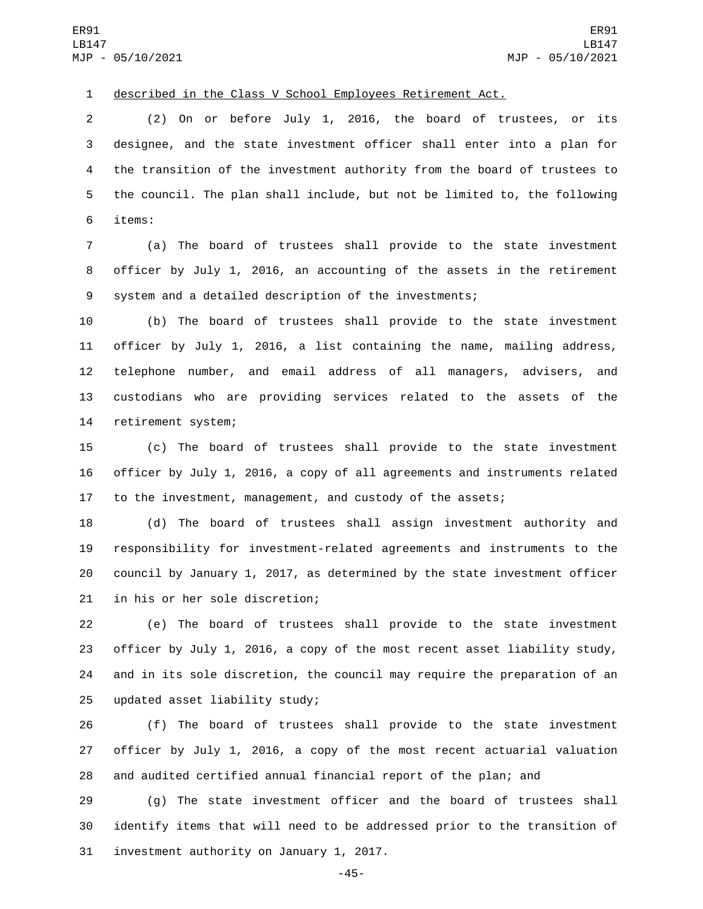described in the Class V School Employees Retirement Act.

 (2) On or before July 1, 2016, the board of trustees, or its designee, and the state investment officer shall enter into a plan for the transition of the investment authority from the board of trustees to the council. The plan shall include, but not be limited to, the following items:6

 (a) The board of trustees shall provide to the state investment officer by July 1, 2016, an accounting of the assets in the retirement system and a detailed description of the investments;

 (b) The board of trustees shall provide to the state investment officer by July 1, 2016, a list containing the name, mailing address, telephone number, and email address of all managers, advisers, and custodians who are providing services related to the assets of the 14 retirement system;

 (c) The board of trustees shall provide to the state investment officer by July 1, 2016, a copy of all agreements and instruments related to the investment, management, and custody of the assets;

 (d) The board of trustees shall assign investment authority and responsibility for investment-related agreements and instruments to the council by January 1, 2017, as determined by the state investment officer 21 in his or her sole discretion;

 (e) The board of trustees shall provide to the state investment officer by July 1, 2016, a copy of the most recent asset liability study, and in its sole discretion, the council may require the preparation of an 25 updated asset liability study;

 (f) The board of trustees shall provide to the state investment officer by July 1, 2016, a copy of the most recent actuarial valuation and audited certified annual financial report of the plan; and

 (g) The state investment officer and the board of trustees shall identify items that will need to be addressed prior to the transition of 31 investment authority on January 1, 2017.

-45-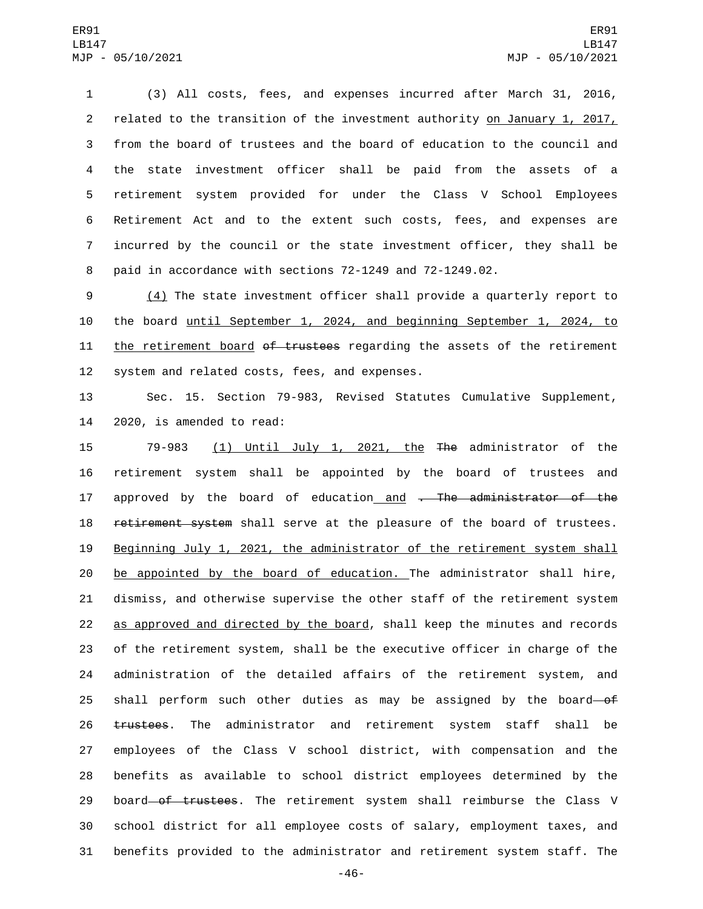(3) All costs, fees, and expenses incurred after March 31, 2016, related to the transition of the investment authority on January 1, 2017, from the board of trustees and the board of education to the council and the state investment officer shall be paid from the assets of a retirement system provided for under the Class V School Employees Retirement Act and to the extent such costs, fees, and expenses are incurred by the council or the state investment officer, they shall be paid in accordance with sections 72-1249 and 72-1249.02.

9 (4) The state investment officer shall provide a quarterly report to 10 the board until September 1, 2024, and beginning September 1, 2024, to 11 the retirement board of trustees regarding the assets of the retirement 12 system and related costs, fees, and expenses.

13 Sec. 15. Section 79-983, Revised Statutes Cumulative Supplement, 14 2020, is amended to read:

 79-983 (1) Until July 1, 2021, the The administrator of the retirement system shall be appointed by the board of trustees and 17 approved by the board of education and . The administrator of the 18 retirement system shall serve at the pleasure of the board of trustees. Beginning July 1, 2021, the administrator of the retirement system shall 20 be appointed by the board of education. The administrator shall hire, dismiss, and otherwise supervise the other staff of the retirement system as approved and directed by the board, shall keep the minutes and records of the retirement system, shall be the executive officer in charge of the administration of the detailed affairs of the retirement system, and 25 shall perform such other duties as may be assigned by the board-of trustees. The administrator and retirement system staff shall be employees of the Class V school district, with compensation and the benefits as available to school district employees determined by the 29 board of trustees. The retirement system shall reimburse the Class V school district for all employee costs of salary, employment taxes, and benefits provided to the administrator and retirement system staff. The

-46-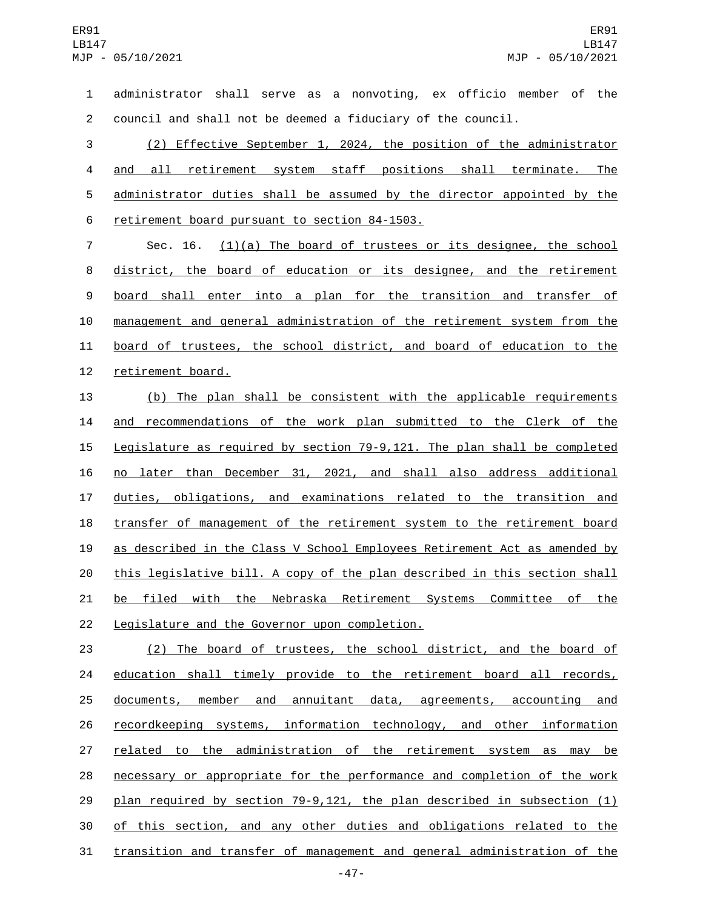administrator shall serve as a nonvoting, ex officio member of the council and shall not be deemed a fiduciary of the council.

 (2) Effective September 1, 2024, the position of the administrator and all retirement system staff positions shall terminate. The administrator duties shall be assumed by the director appointed by the 6 retirement board pursuant to section 84-1503.

7 Sec. 16. (1)(a) The board of trustees or its designee, the school 8 district, the board of education or its designee, and the retirement board shall enter into a plan for the transition and transfer of management and general administration of the retirement system from the board of trustees, the school district, and board of education to the 12 retirement board.

 (b) The plan shall be consistent with the applicable requirements and recommendations of the work plan submitted to the Clerk of the Legislature as required by section 79-9,121. The plan shall be completed no later than December 31, 2021, and shall also address additional duties, obligations, and examinations related to the transition and 18 transfer of management of the retirement system to the retirement board as described in the Class V School Employees Retirement Act as amended by this legislative bill. A copy of the plan described in this section shall be filed with the Nebraska Retirement Systems Committee of the 22 Legislature and the Governor upon completion.

 (2) The board of trustees, the school district, and the board of 24 education shall timely provide to the retirement board all records, documents, member and annuitant data, agreements, accounting and recordkeeping systems, information technology, and other information 27 related to the administration of the retirement system as may be necessary or appropriate for the performance and completion of the work plan required by section 79-9,121, the plan described in subsection (1) of this section, and any other duties and obligations related to the transition and transfer of management and general administration of the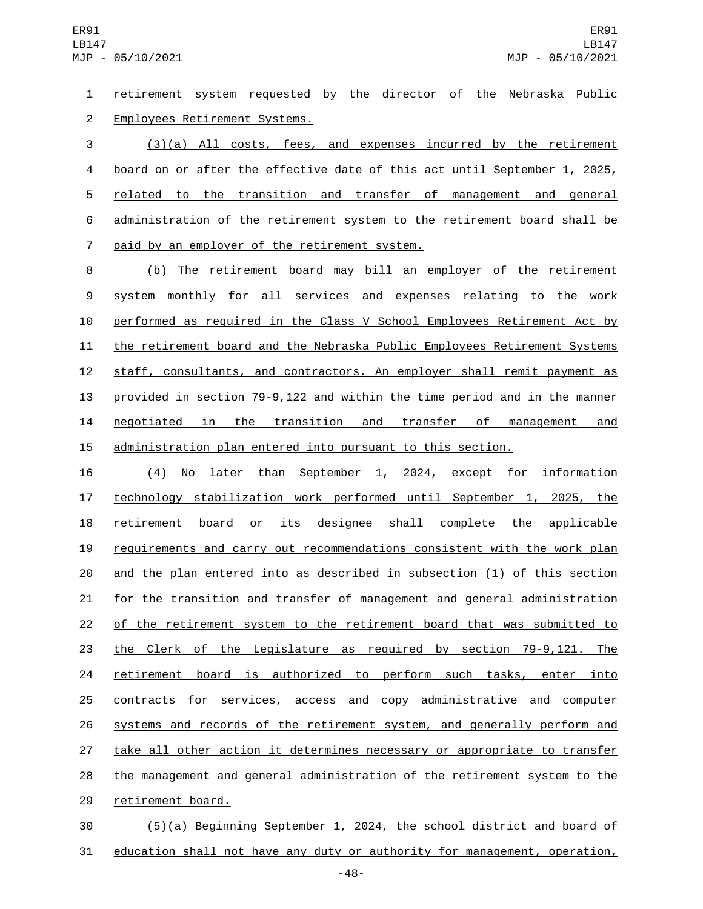retirement system requested by the director of the Nebraska Public 2 Employees Retirement Systems.

 (3)(a) All costs, fees, and expenses incurred by the retirement board on or after the effective date of this act until September 1, 2025, related to the transition and transfer of management and general administration of the retirement system to the retirement board shall be 7 paid by an employer of the retirement system.

 (b) The retirement board may bill an employer of the retirement system monthly for all services and expenses relating to the work performed as required in the Class V School Employees Retirement Act by the retirement board and the Nebraska Public Employees Retirement Systems staff, consultants, and contractors. An employer shall remit payment as provided in section 79-9,122 and within the time period and in the manner negotiated in the transition and transfer of management and administration plan entered into pursuant to this section.

 (4) No later than September 1, 2024, except for information technology stabilization work performed until September 1, 2025, the retirement board or its designee shall complete the applicable requirements and carry out recommendations consistent with the work plan and the plan entered into as described in subsection (1) of this section for the transition and transfer of management and general administration of the retirement system to the retirement board that was submitted to the Clerk of the Legislature as required by section 79-9,121. The retirement board is authorized to perform such tasks, enter into contracts for services, access and copy administrative and computer systems and records of the retirement system, and generally perform and 27 take all other action it determines necessary or appropriate to transfer the management and general administration of the retirement system to the 29 retirement board.

 (5)(a) Beginning September 1, 2024, the school district and board of education shall not have any duty or authority for management, operation,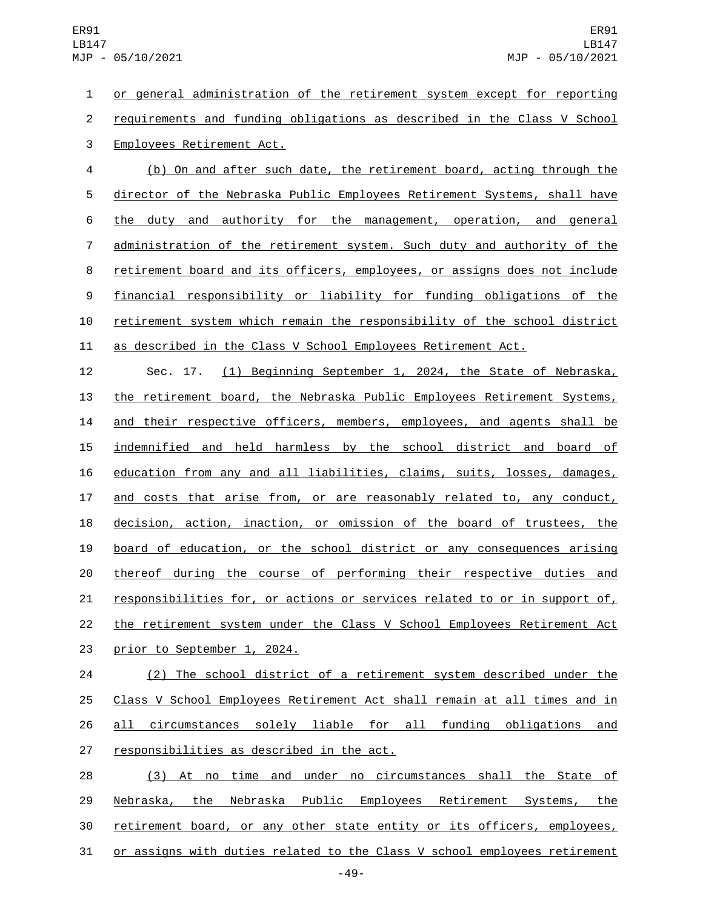or general administration of the retirement system except for reporting requirements and funding obligations as described in the Class V School 3 Employees Retirement Act.

 (b) On and after such date, the retirement board, acting through the director of the Nebraska Public Employees Retirement Systems, shall have 6 the duty and authority for the management, operation, and general administration of the retirement system. Such duty and authority of the 8 retirement board and its officers, employees, or assigns does not include financial responsibility or liability for funding obligations of the retirement system which remain the responsibility of the school district as described in the Class V School Employees Retirement Act.

 Sec. 17. (1) Beginning September 1, 2024, the State of Nebraska, the retirement board, the Nebraska Public Employees Retirement Systems, 14 and their respective officers, members, employees, and agents shall be 15 indemnified and held harmless by the school district and board of education from any and all liabilities, claims, suits, losses, damages, and costs that arise from, or are reasonably related to, any conduct, decision, action, inaction, or omission of the board of trustees, the board of education, or the school district or any consequences arising thereof during the course of performing their respective duties and responsibilities for, or actions or services related to or in support of, the retirement system under the Class V School Employees Retirement Act 23 prior to September 1, 2024.

 (2) The school district of a retirement system described under the Class V School Employees Retirement Act shall remain at all times and in all circumstances solely liable for all funding obligations and 27 responsibilities as described in the act.

 (3) At no time and under no circumstances shall the State of Nebraska, the Nebraska Public Employees Retirement Systems, the 30 retirement board, or any other state entity or its officers, employees, or assigns with duties related to the Class V school employees retirement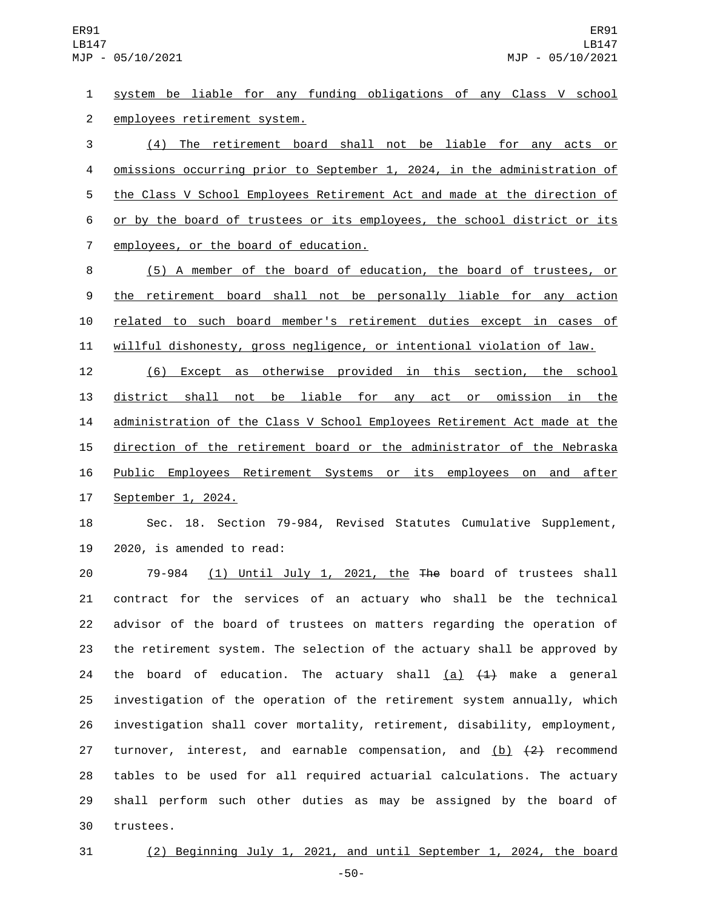system be liable for any funding obligations of any Class V school 2 employees retirement system.

 (4) The retirement board shall not be liable for any acts or omissions occurring prior to September 1, 2024, in the administration of the Class V School Employees Retirement Act and made at the direction of or by the board of trustees or its employees, the school district or its 7 employees, or the board of education.

 (5) A member of the board of education, the board of trustees, or 9 the retirement board shall not be personally liable for any action related to such board member's retirement duties except in cases of willful dishonesty, gross negligence, or intentional violation of law.

 (6) Except as otherwise provided in this section, the school district shall not be liable for any act or omission in the administration of the Class V School Employees Retirement Act made at the direction of the retirement board or the administrator of the Nebraska Public Employees Retirement Systems or its employees on and after 17 September 1, 2024.

 Sec. 18. Section 79-984, Revised Statutes Cumulative Supplement, 2020, is amended to read:

20 79-984 (1) Until July 1, 2021, the The board of trustees shall contract for the services of an actuary who shall be the technical advisor of the board of trustees on matters regarding the operation of the retirement system. The selection of the actuary shall be approved by 24 the board of education. The actuary shall  $(a)$   $(1)$  make a general investigation of the operation of the retirement system annually, which investigation shall cover mortality, retirement, disability, employment, 27 turnover, interest, and earnable compensation, and  $(b)$   $(2)$  recommend tables to be used for all required actuarial calculations. The actuary shall perform such other duties as may be assigned by the board of 30 trustees.

(2) Beginning July 1, 2021, and until September 1, 2024, the board

-50-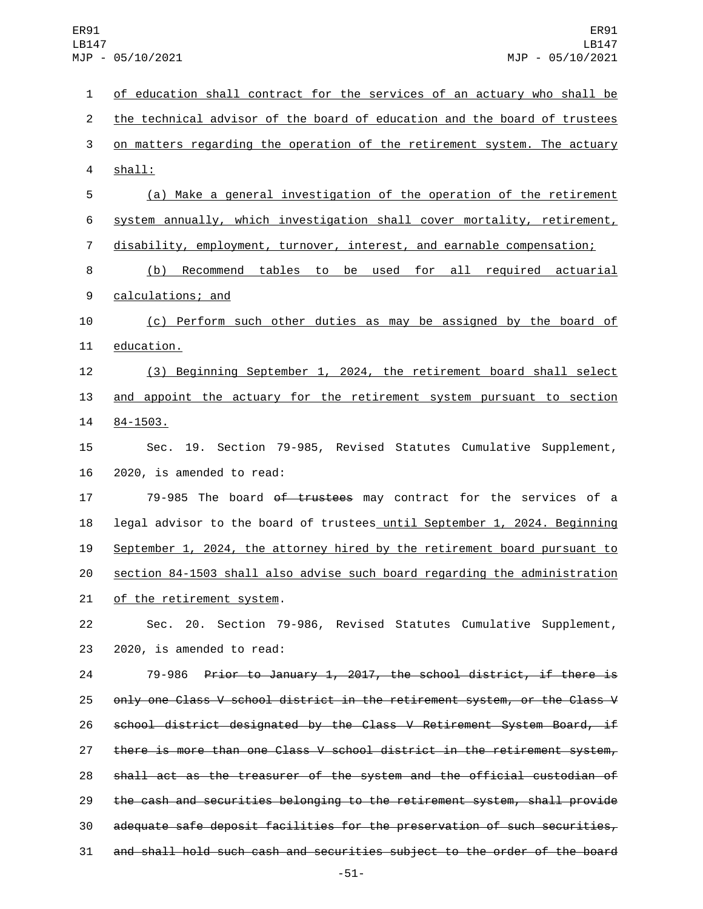| 1                       | of education shall contract for the services of an actuary who shall be   |
|-------------------------|---------------------------------------------------------------------------|
| $\overline{c}$          | the technical advisor of the board of education and the board of trustees |
| 3                       | on matters regarding the operation of the retirement system. The actuary  |
| $\overline{\mathbf{4}}$ | shall:                                                                    |
| 5                       | (a) Make a general investigation of the operation of the retirement       |
| 6                       | system annually, which investigation shall cover mortality, retirement,   |
| $\overline{7}$          | disability, employment, turnover, interest, and earnable compensation;    |
| 8                       | (b) Recommend tables to be used for all required actuarial                |
| 9                       | calculations; and                                                         |
| 10                      | (c) Perform such other duties as may be assigned by the board of          |
| 11                      | education.                                                                |
| 12                      | (3) Beginning September 1, 2024, the retirement board shall select        |
| 13                      | and appoint the actuary for the retirement system pursuant to section     |
| 14                      | $84 - 1503$ .                                                             |
| 15                      | Sec. 19. Section 79-985, Revised Statutes Cumulative Supplement,          |
| 16                      | 2020, is amended to read:                                                 |
| 17                      | 79-985 The board of trustees may contract for the services of a           |
| 18                      | legal advisor to the board of trustees until September 1, 2024. Beginning |
| 19                      | September 1, 2024, the attorney hired by the retirement board pursuant to |
| 20                      | section 84-1503 shall also advise such board regarding the administration |
| 21                      | <u>of the retirement system</u> .                                         |
| 22                      | Sec. 20. Section 79-986, Revised Statutes Cumulative Supplement,          |
| 23                      | 2020, is amended to read:                                                 |
| 24                      | Prior to January 1, 2017, the school district, if there is<br>79-986      |
| 25                      | only one Class V school district in the retirement system, or the Class V |
| 26                      | school district designated by the Class V Retirement System Board, if     |
| 27                      | there is more than one Class V school district in the retirement system,  |
| 28                      | shall act as the treasurer of the system and the official custodian of    |
| 29                      | the cash and securities belonging to the retirement system, shall provide |
| 30                      | adequate safe deposit facilities for the preservation of such securities, |
| 31                      | and shall hold such cash and securities subject to the order of the board |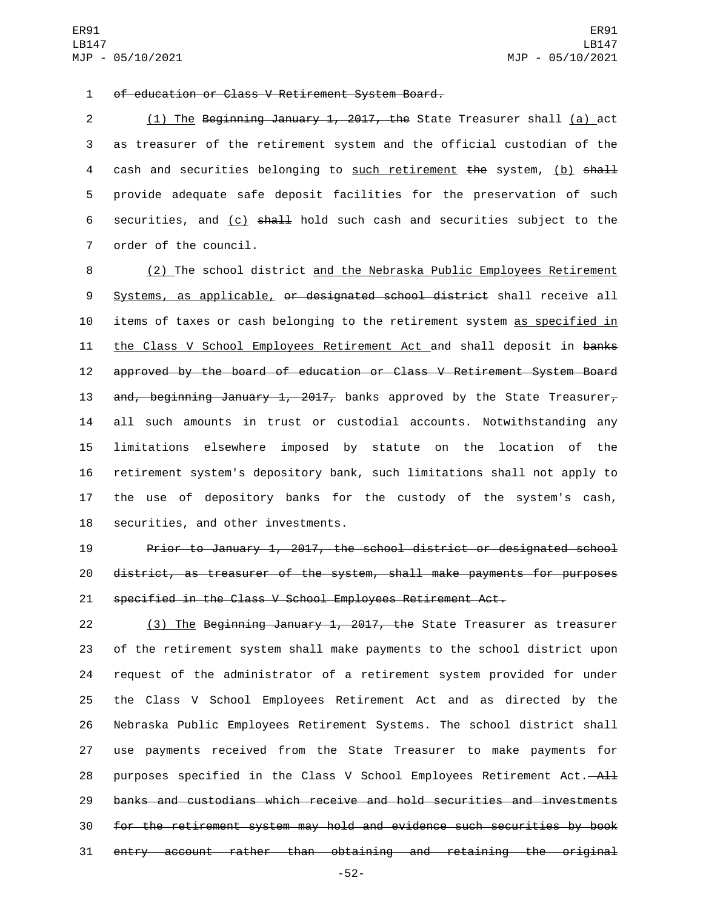of education or Class V Retirement System Board.1

2 (1) The Beginning January 1, 2017, the State Treasurer shall (a) act 3 as treasurer of the retirement system and the official custodian of the 4 cash and securities belonging to such retirement the system, (b) shall 5 provide adequate safe deposit facilities for the preservation of such 6 securities, and  $(c)$  shall hold such cash and securities subject to the 7 order of the council.

8 (2) The school district and the Nebraska Public Employees Retirement 9 Systems, as applicable, or designated school district shall receive all 10 items of taxes or cash belonging to the retirement system as specified in 11 the Class V School Employees Retirement Act and shall deposit in banks 12 approved by the board of education or Class V Retirement System Board 13 and, beginning January 1, 2017, banks approved by the State Treasurer, 14 all such amounts in trust or custodial accounts. Notwithstanding any 15 limitations elsewhere imposed by statute on the location of the 16 retirement system's depository bank, such limitations shall not apply to 17 the use of depository banks for the custody of the system's cash, 18 securities, and other investments.

19 Prior to January 1, 2017, the school district or designated school 20 district, as treasurer of the system, shall make payments for purposes 21 specified in the Class V School Employees Retirement Act.

22 (3) The Beginning January 1, 2017, the State Treasurer as treasurer of the retirement system shall make payments to the school district upon request of the administrator of a retirement system provided for under the Class V School Employees Retirement Act and as directed by the Nebraska Public Employees Retirement Systems. The school district shall use payments received from the State Treasurer to make payments for 28 purposes specified in the Class V School Employees Retirement Act. $-\mathsf{A}\mathsf{H}$  banks and custodians which receive and hold securities and investments for the retirement system may hold and evidence such securities by book entry account rather than obtaining and retaining the original

-52-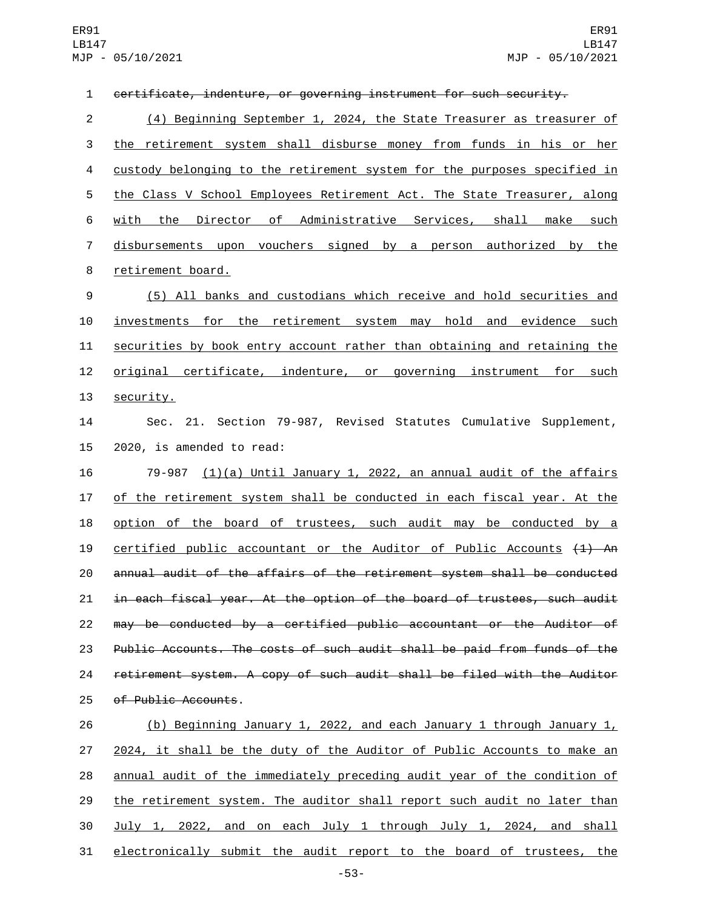certificate, indenture, or governing instrument for such security. (4) Beginning September 1, 2024, the State Treasurer as treasurer of the retirement system shall disburse money from funds in his or her custody belonging to the retirement system for the purposes specified in the Class V School Employees Retirement Act. The State Treasurer, along with the Director of Administrative Services, shall make such disbursements upon vouchers signed by a person authorized by the 8 retirement board. (5) All banks and custodians which receive and hold securities and investments for the retirement system may hold and evidence such securities by book entry account rather than obtaining and retaining the 12 <u>original certificate</u>, indenture, or governing instrument for such 13 security. Sec. 21. Section 79-987, Revised Statutes Cumulative Supplement, 15 2020, is amended to read: 79-987 (1)(a) Until January 1, 2022, an annual audit of the affairs of the retirement system shall be conducted in each fiscal year. At the option of the board of trustees, such audit may be conducted by a 19 certified public accountant or the Auditor of Public Accounts  $(1)$  An annual audit of the affairs of the retirement system shall be conducted in each fiscal year. At the option of the board of trustees, such audit may be conducted by a certified public accountant or the Auditor of 23 Public Accounts. The costs of such audit shall be paid from funds of the retirement system. A copy of such audit shall be filed with the Auditor 25 of Public Accounts. (b) Beginning January 1, 2022, and each January 1 through January 1, 2024, it shall be the duty of the Auditor of Public Accounts to make an annual audit of the immediately preceding audit year of the condition of the retirement system. The auditor shall report such audit no later than

 July 1, 2022, and on each July 1 through July 1, 2024, and shall electronically submit the audit report to the board of trustees, the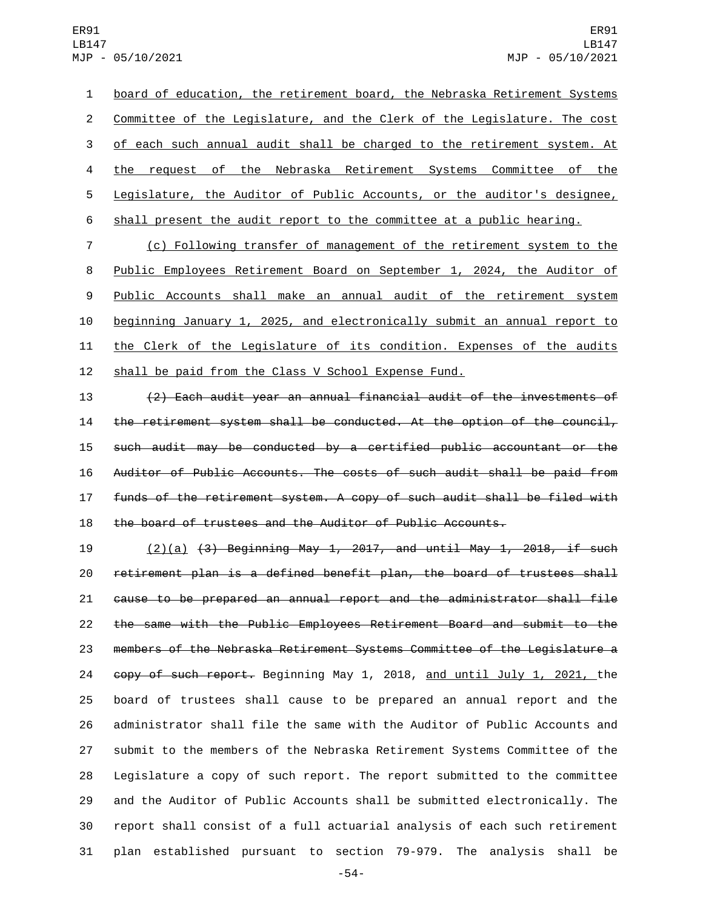board of education, the retirement board, the Nebraska Retirement Systems Committee of the Legislature, and the Clerk of the Legislature. The cost 3 of each such annual audit shall be charged to the retirement system. At the request of the Nebraska Retirement Systems Committee of the Legislature, the Auditor of Public Accounts, or the auditor's designee, shall present the audit report to the committee at a public hearing.

 (c) Following transfer of management of the retirement system to the Public Employees Retirement Board on September 1, 2024, the Auditor of Public Accounts shall make an annual audit of the retirement system beginning January 1, 2025, and electronically submit an annual report to the Clerk of the Legislature of its condition. Expenses of the audits 12 shall be paid from the Class V School Expense Fund.

 (2) Each audit year an annual financial audit of the investments of 14 the retirement system shall be conducted. At the option of the council, such audit may be conducted by a certified public accountant or the Auditor of Public Accounts. The costs of such audit shall be paid from funds of the retirement system. A copy of such audit shall be filed with the board of trustees and the Auditor of Public Accounts.

 $(2)(a)$   $(3)$  Beginning May 1, 2017, and until May 1, 2018, if such retirement plan is a defined benefit plan, the board of trustees shall cause to be prepared an annual report and the administrator shall file the same with the Public Employees Retirement Board and submit to the members of the Nebraska Retirement Systems Committee of the Legislature a copy of such report. Beginning May 1, 2018, and until July 1, 2021, the board of trustees shall cause to be prepared an annual report and the administrator shall file the same with the Auditor of Public Accounts and submit to the members of the Nebraska Retirement Systems Committee of the Legislature a copy of such report. The report submitted to the committee and the Auditor of Public Accounts shall be submitted electronically. The report shall consist of a full actuarial analysis of each such retirement plan established pursuant to section 79-979. The analysis shall be

-54-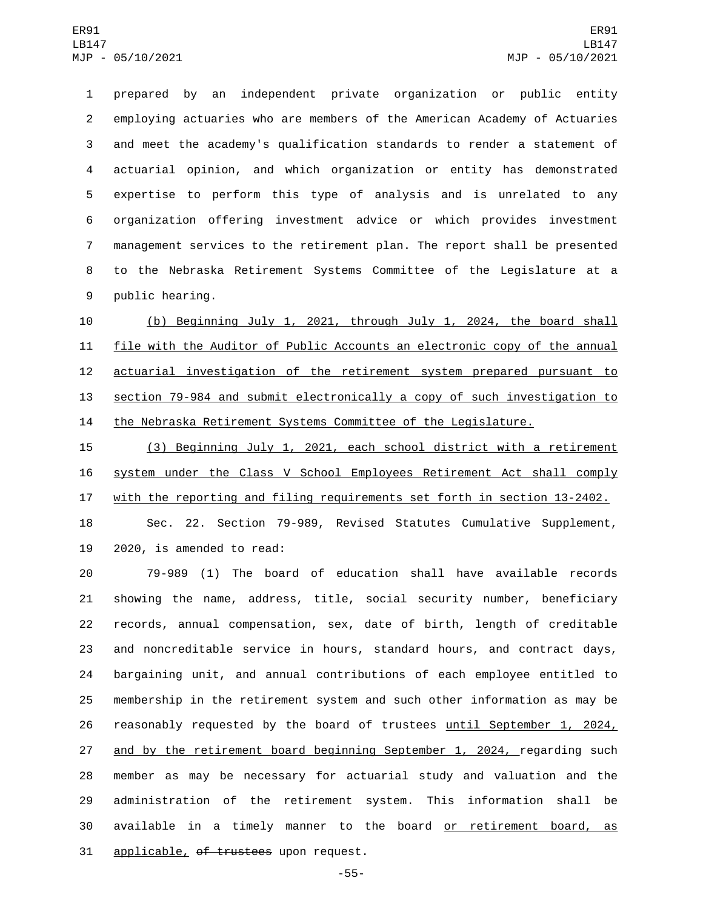prepared by an independent private organization or public entity employing actuaries who are members of the American Academy of Actuaries and meet the academy's qualification standards to render a statement of actuarial opinion, and which organization or entity has demonstrated expertise to perform this type of analysis and is unrelated to any organization offering investment advice or which provides investment management services to the retirement plan. The report shall be presented to the Nebraska Retirement Systems Committee of the Legislature at a 9 public hearing.

 (b) Beginning July 1, 2021, through July 1, 2024, the board shall file with the Auditor of Public Accounts an electronic copy of the annual actuarial investigation of the retirement system prepared pursuant to section 79-984 and submit electronically a copy of such investigation to the Nebraska Retirement Systems Committee of the Legislature.

 (3) Beginning July 1, 2021, each school district with a retirement system under the Class V School Employees Retirement Act shall comply with the reporting and filing requirements set forth in section 13-2402.

 Sec. 22. Section 79-989, Revised Statutes Cumulative Supplement, 19 2020, is amended to read:

 79-989 (1) The board of education shall have available records showing the name, address, title, social security number, beneficiary records, annual compensation, sex, date of birth, length of creditable and noncreditable service in hours, standard hours, and contract days, bargaining unit, and annual contributions of each employee entitled to membership in the retirement system and such other information as may be 26 reasonably requested by the board of trustees until September 1, 2024, 27 and by the retirement board beginning September 1, 2024, regarding such member as may be necessary for actuarial study and valuation and the administration of the retirement system. This information shall be available in a timely manner to the board or retirement board, as 31 applicable, of trustees upon request.

-55-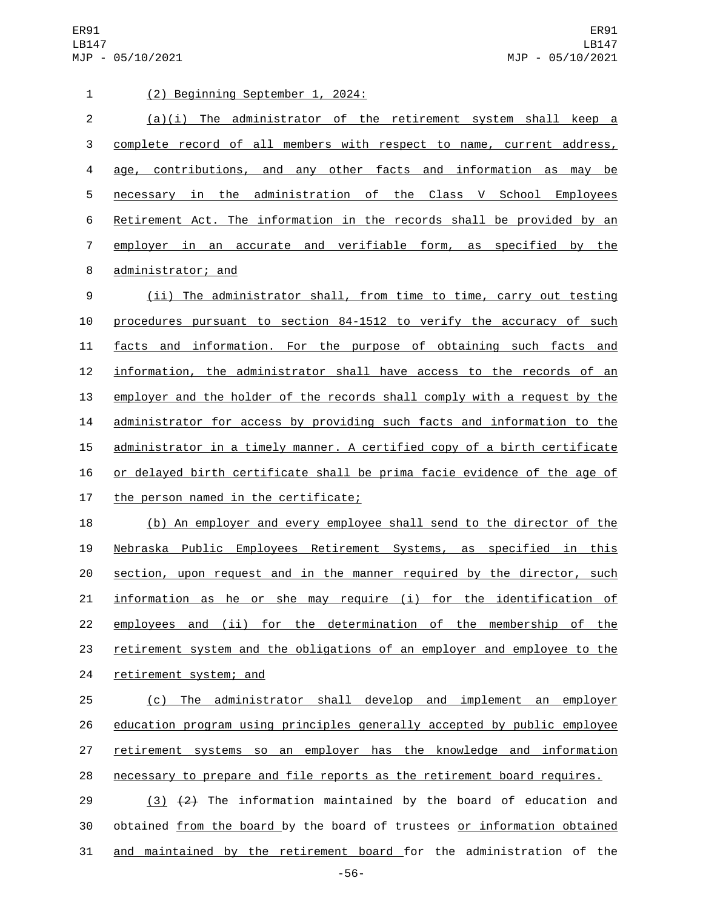ER91 LB147 MJP - 05/10/2021

| $\mathbf{1}$   | (2) Beginning September 1, 2024:                                          |
|----------------|---------------------------------------------------------------------------|
| $\overline{2}$ | $(a)(i)$ The administrator of the retirement system shall keep a          |
| 3              | complete record of all members with respect to name, current address,     |
| 4              | age, contributions, and any other facts and information as may be         |
| 5              | necessary in the administration of the Class V School Employees           |
| 6              | Retirement Act. The information in the records shall be provided by an    |
| $\overline{7}$ | employer in an accurate and verifiable form, as specified by the          |
| 8              | administrator; and                                                        |
| 9              | (ii) The administrator shall, from time to time, carry out testing        |
| 10             | procedures pursuant to section 84-1512 to verify the accuracy of such     |
| 11             | facts and information. For the purpose of obtaining such facts and        |
| 12             | information, the administrator shall have access to the records of an     |
| 13             | employer and the holder of the records shall comply with a request by the |
| 14             | administrator for access by providing such facts and information to the   |
| 15             | administrator in a timely manner. A certified copy of a birth certificate |
| 16             | or delayed birth certificate shall be prima facie evidence of the age of  |
| 17             | the person named in the certificate;                                      |
| 18             | (b) An employer and every employee shall send to the director of the      |
| 19             | Nebraska Public Employees Retirement Systems, as specified in this        |
| 20             | section, upon request and in the manner required by the director, such    |
| 21             | information as he or she may require (i) for the identification of        |
| 22             | employees and (ii) for the determination of the membership of the         |
| 23             | retirement system and the obligations of an employer and employee to the  |
| 24             | retirement system; and                                                    |
| 25             | (c) The administrator shall develop and implement an employer             |
| 26             | education program using principles generally accepted by public employee  |
| 27             | retirement systems so an employer has the knowledge and information       |
| 28             | necessary to prepare and file reports as the retirement board requires.   |
| 29             | $(3)$ $(2)$ The information maintained by the board of education and      |
| 30             | obtained from the board by the board of trustees or information obtained  |
| 31             | and maintained by the retirement board for the administration of the      |

-56-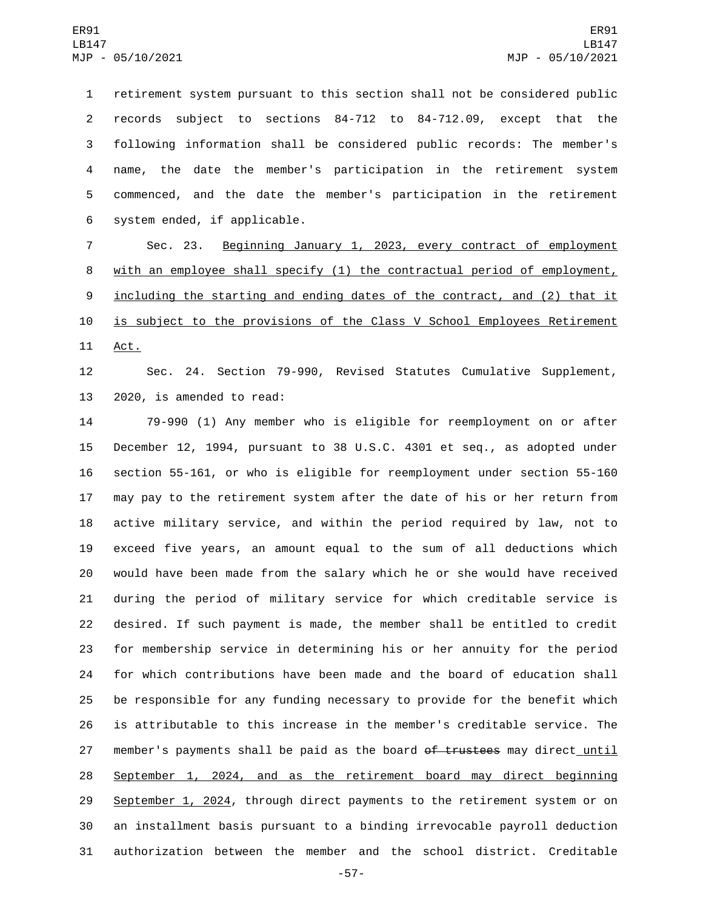retirement system pursuant to this section shall not be considered public records subject to sections 84-712 to 84-712.09, except that the following information shall be considered public records: The member's name, the date the member's participation in the retirement system commenced, and the date the member's participation in the retirement 6 system ended, if applicable.

 Sec. 23. Beginning January 1, 2023, every contract of employment with an employee shall specify (1) the contractual period of employment, 9 <u>including the starting and ending dates of the contract, and (2) that it</u> is subject to the provisions of the Class V School Employees Retirement 11 Act.

 Sec. 24. Section 79-990, Revised Statutes Cumulative Supplement, 13 2020, is amended to read:

 79-990 (1) Any member who is eligible for reemployment on or after December 12, 1994, pursuant to 38 U.S.C. 4301 et seq., as adopted under section 55-161, or who is eligible for reemployment under section 55-160 may pay to the retirement system after the date of his or her return from active military service, and within the period required by law, not to exceed five years, an amount equal to the sum of all deductions which would have been made from the salary which he or she would have received during the period of military service for which creditable service is desired. If such payment is made, the member shall be entitled to credit for membership service in determining his or her annuity for the period for which contributions have been made and the board of education shall be responsible for any funding necessary to provide for the benefit which is attributable to this increase in the member's creditable service. The 27 member's payments shall be paid as the board of trustees may direct until September 1, 2024, and as the retirement board may direct beginning 29 September 1, 2024, through direct payments to the retirement system or on an installment basis pursuant to a binding irrevocable payroll deduction authorization between the member and the school district. Creditable

-57-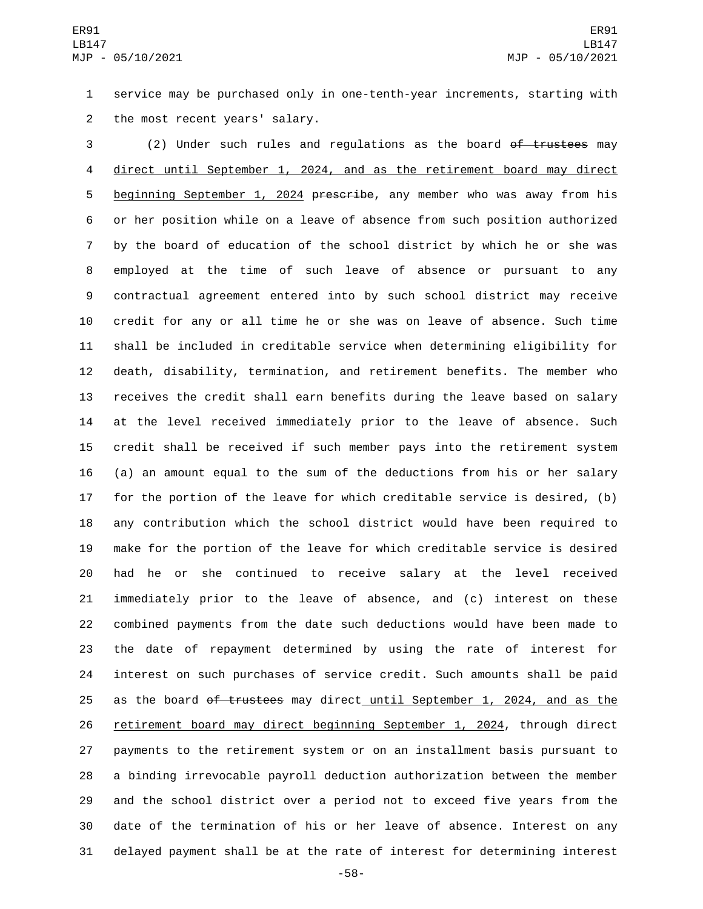service may be purchased only in one-tenth-year increments, starting with 2 the most recent years' salary.

3 (2) Under such rules and regulations as the board of trustees may direct until September 1, 2024, and as the retirement board may direct 5 beginning September 1, 2024 prescribe, any member who was away from his or her position while on a leave of absence from such position authorized by the board of education of the school district by which he or she was employed at the time of such leave of absence or pursuant to any contractual agreement entered into by such school district may receive credit for any or all time he or she was on leave of absence. Such time shall be included in creditable service when determining eligibility for death, disability, termination, and retirement benefits. The member who receives the credit shall earn benefits during the leave based on salary at the level received immediately prior to the leave of absence. Such credit shall be received if such member pays into the retirement system (a) an amount equal to the sum of the deductions from his or her salary for the portion of the leave for which creditable service is desired, (b) any contribution which the school district would have been required to make for the portion of the leave for which creditable service is desired had he or she continued to receive salary at the level received immediately prior to the leave of absence, and (c) interest on these combined payments from the date such deductions would have been made to the date of repayment determined by using the rate of interest for interest on such purchases of service credit. Such amounts shall be paid 25 as the board of trustees may direct until September 1, 2024, and as the retirement board may direct beginning September 1, 2024, through direct payments to the retirement system or on an installment basis pursuant to a binding irrevocable payroll deduction authorization between the member and the school district over a period not to exceed five years from the date of the termination of his or her leave of absence. Interest on any delayed payment shall be at the rate of interest for determining interest

-58-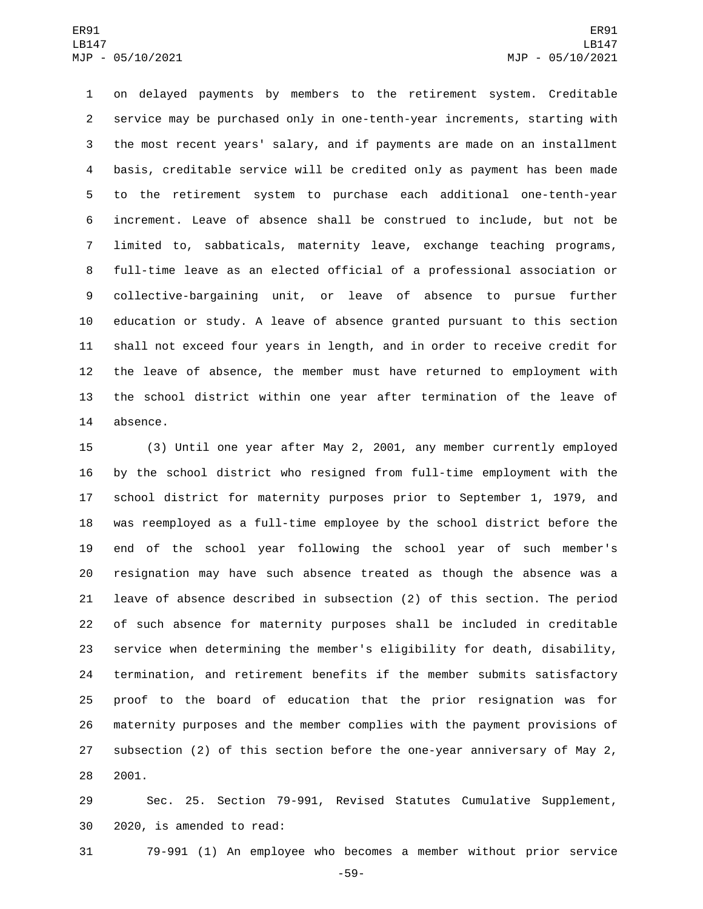on delayed payments by members to the retirement system. Creditable service may be purchased only in one-tenth-year increments, starting with the most recent years' salary, and if payments are made on an installment basis, creditable service will be credited only as payment has been made to the retirement system to purchase each additional one-tenth-year increment. Leave of absence shall be construed to include, but not be limited to, sabbaticals, maternity leave, exchange teaching programs, full-time leave as an elected official of a professional association or collective-bargaining unit, or leave of absence to pursue further education or study. A leave of absence granted pursuant to this section shall not exceed four years in length, and in order to receive credit for the leave of absence, the member must have returned to employment with the school district within one year after termination of the leave of 14 absence.

 (3) Until one year after May 2, 2001, any member currently employed by the school district who resigned from full-time employment with the school district for maternity purposes prior to September 1, 1979, and was reemployed as a full-time employee by the school district before the end of the school year following the school year of such member's resignation may have such absence treated as though the absence was a leave of absence described in subsection (2) of this section. The period of such absence for maternity purposes shall be included in creditable service when determining the member's eligibility for death, disability, termination, and retirement benefits if the member submits satisfactory proof to the board of education that the prior resignation was for maternity purposes and the member complies with the payment provisions of subsection (2) of this section before the one-year anniversary of May 2, 2001.

 Sec. 25. Section 79-991, Revised Statutes Cumulative Supplement, 30 2020, is amended to read:

79-991 (1) An employee who becomes a member without prior service

-59-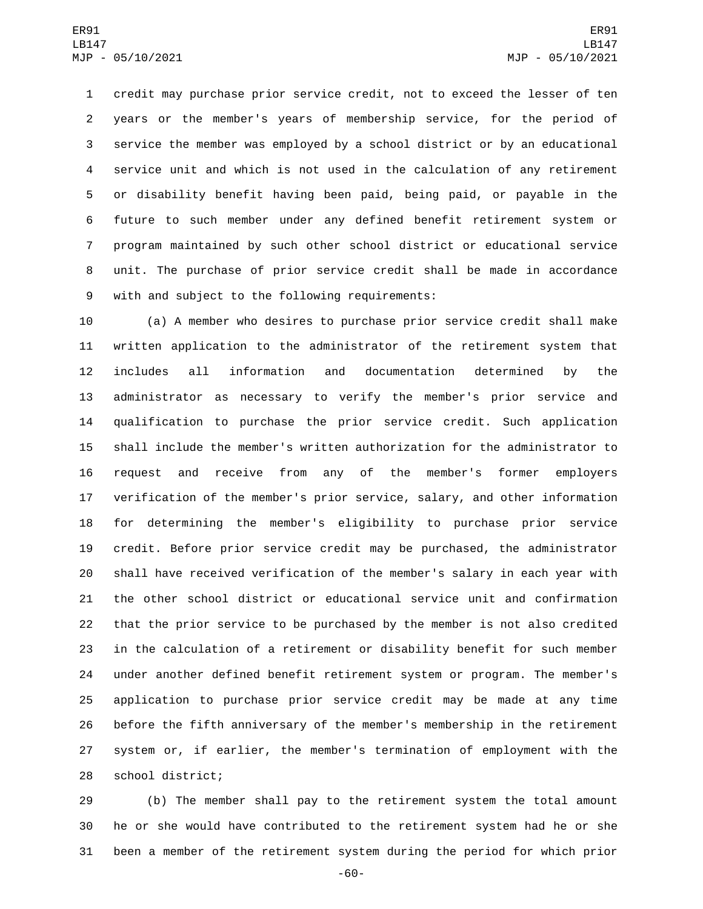credit may purchase prior service credit, not to exceed the lesser of ten years or the member's years of membership service, for the period of service the member was employed by a school district or by an educational service unit and which is not used in the calculation of any retirement or disability benefit having been paid, being paid, or payable in the future to such member under any defined benefit retirement system or program maintained by such other school district or educational service unit. The purchase of prior service credit shall be made in accordance 9 with and subject to the following requirements:

 (a) A member who desires to purchase prior service credit shall make written application to the administrator of the retirement system that includes all information and documentation determined by the administrator as necessary to verify the member's prior service and qualification to purchase the prior service credit. Such application shall include the member's written authorization for the administrator to request and receive from any of the member's former employers verification of the member's prior service, salary, and other information for determining the member's eligibility to purchase prior service credit. Before prior service credit may be purchased, the administrator shall have received verification of the member's salary in each year with the other school district or educational service unit and confirmation that the prior service to be purchased by the member is not also credited in the calculation of a retirement or disability benefit for such member under another defined benefit retirement system or program. The member's application to purchase prior service credit may be made at any time before the fifth anniversary of the member's membership in the retirement system or, if earlier, the member's termination of employment with the 28 school district;

 (b) The member shall pay to the retirement system the total amount he or she would have contributed to the retirement system had he or she been a member of the retirement system during the period for which prior

-60-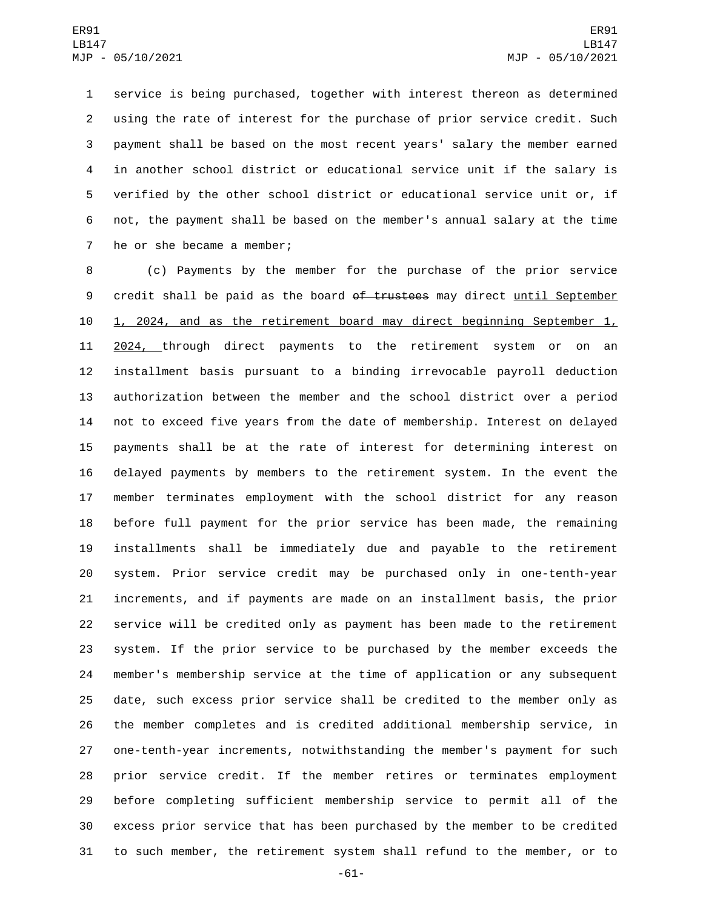service is being purchased, together with interest thereon as determined using the rate of interest for the purchase of prior service credit. Such payment shall be based on the most recent years' salary the member earned in another school district or educational service unit if the salary is verified by the other school district or educational service unit or, if not, the payment shall be based on the member's annual salary at the time 7 he or she became a member;

 (c) Payments by the member for the purchase of the prior service 9 credit shall be paid as the board of trustees may direct until September 1, 2024, and as the retirement board may direct beginning September 1, 11 2024, through direct payments to the retirement system or on an installment basis pursuant to a binding irrevocable payroll deduction authorization between the member and the school district over a period not to exceed five years from the date of membership. Interest on delayed payments shall be at the rate of interest for determining interest on delayed payments by members to the retirement system. In the event the member terminates employment with the school district for any reason before full payment for the prior service has been made, the remaining installments shall be immediately due and payable to the retirement system. Prior service credit may be purchased only in one-tenth-year increments, and if payments are made on an installment basis, the prior service will be credited only as payment has been made to the retirement system. If the prior service to be purchased by the member exceeds the member's membership service at the time of application or any subsequent date, such excess prior service shall be credited to the member only as the member completes and is credited additional membership service, in one-tenth-year increments, notwithstanding the member's payment for such prior service credit. If the member retires or terminates employment before completing sufficient membership service to permit all of the excess prior service that has been purchased by the member to be credited to such member, the retirement system shall refund to the member, or to

-61-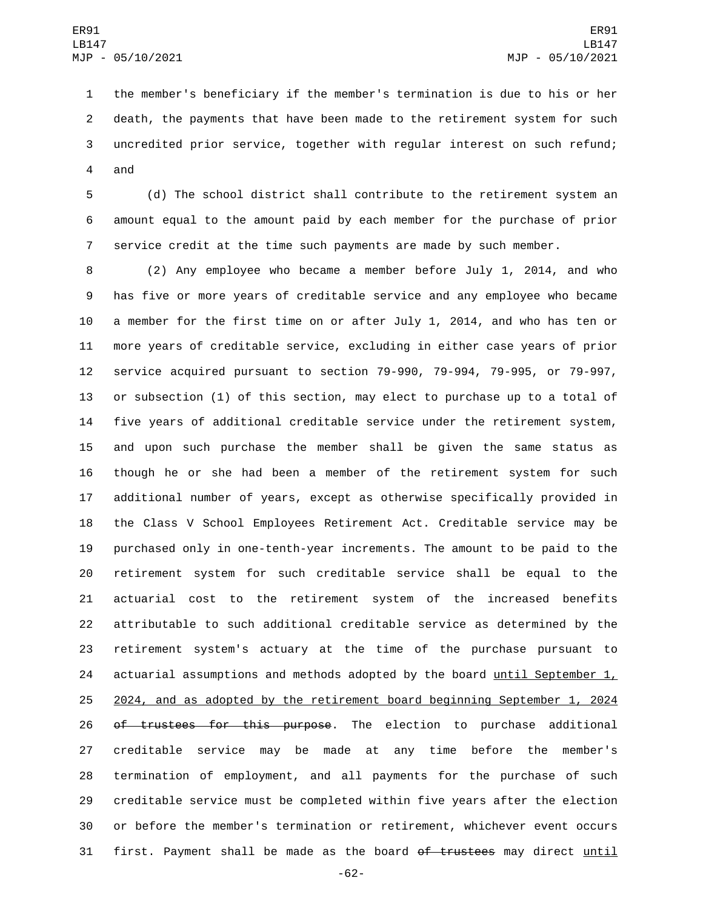the member's beneficiary if the member's termination is due to his or her death, the payments that have been made to the retirement system for such uncredited prior service, together with regular interest on such refund; 4 and

 (d) The school district shall contribute to the retirement system an amount equal to the amount paid by each member for the purchase of prior service credit at the time such payments are made by such member.

 (2) Any employee who became a member before July 1, 2014, and who has five or more years of creditable service and any employee who became a member for the first time on or after July 1, 2014, and who has ten or more years of creditable service, excluding in either case years of prior service acquired pursuant to section 79-990, 79-994, 79-995, or 79-997, or subsection (1) of this section, may elect to purchase up to a total of five years of additional creditable service under the retirement system, and upon such purchase the member shall be given the same status as though he or she had been a member of the retirement system for such additional number of years, except as otherwise specifically provided in the Class V School Employees Retirement Act. Creditable service may be purchased only in one-tenth-year increments. The amount to be paid to the retirement system for such creditable service shall be equal to the actuarial cost to the retirement system of the increased benefits attributable to such additional creditable service as determined by the retirement system's actuary at the time of the purchase pursuant to 24 actuarial assumptions and methods adopted by the board  $until September 1,$ </u> 2024, and as adopted by the retirement board beginning September 1, 2024 26 of trustees for this purpose. The election to purchase additional creditable service may be made at any time before the member's termination of employment, and all payments for the purchase of such creditable service must be completed within five years after the election or before the member's termination or retirement, whichever event occurs 31 first. Payment shall be made as the board of trustees may direct until

-62-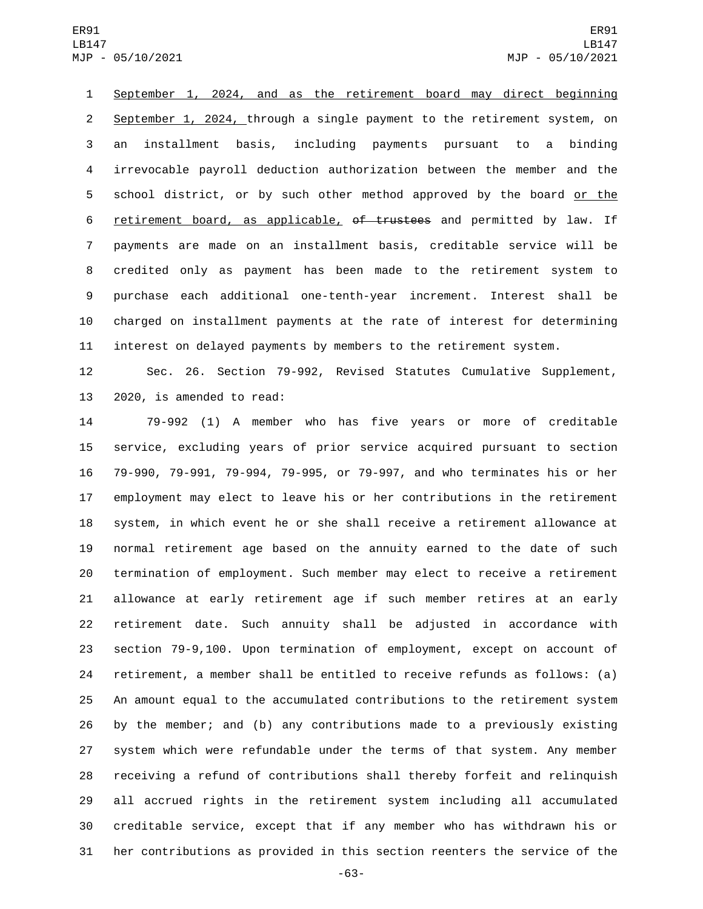## ER91 LB147 MJP - 05/10/2021

 September 1, 2024, and as the retirement board may direct beginning September 1, 2024, through a single payment to the retirement system, on an installment basis, including payments pursuant to a binding irrevocable payroll deduction authorization between the member and the school district, or by such other method approved by the board or the 6 retirement board, as applicable, of trustees and permitted by law. If payments are made on an installment basis, creditable service will be credited only as payment has been made to the retirement system to purchase each additional one-tenth-year increment. Interest shall be charged on installment payments at the rate of interest for determining interest on delayed payments by members to the retirement system.

 Sec. 26. Section 79-992, Revised Statutes Cumulative Supplement, 13 2020, is amended to read:

 79-992 (1) A member who has five years or more of creditable service, excluding years of prior service acquired pursuant to section 79-990, 79-991, 79-994, 79-995, or 79-997, and who terminates his or her employment may elect to leave his or her contributions in the retirement system, in which event he or she shall receive a retirement allowance at normal retirement age based on the annuity earned to the date of such termination of employment. Such member may elect to receive a retirement allowance at early retirement age if such member retires at an early retirement date. Such annuity shall be adjusted in accordance with section 79-9,100. Upon termination of employment, except on account of retirement, a member shall be entitled to receive refunds as follows: (a) An amount equal to the accumulated contributions to the retirement system by the member; and (b) any contributions made to a previously existing system which were refundable under the terms of that system. Any member receiving a refund of contributions shall thereby forfeit and relinquish all accrued rights in the retirement system including all accumulated creditable service, except that if any member who has withdrawn his or her contributions as provided in this section reenters the service of the

-63-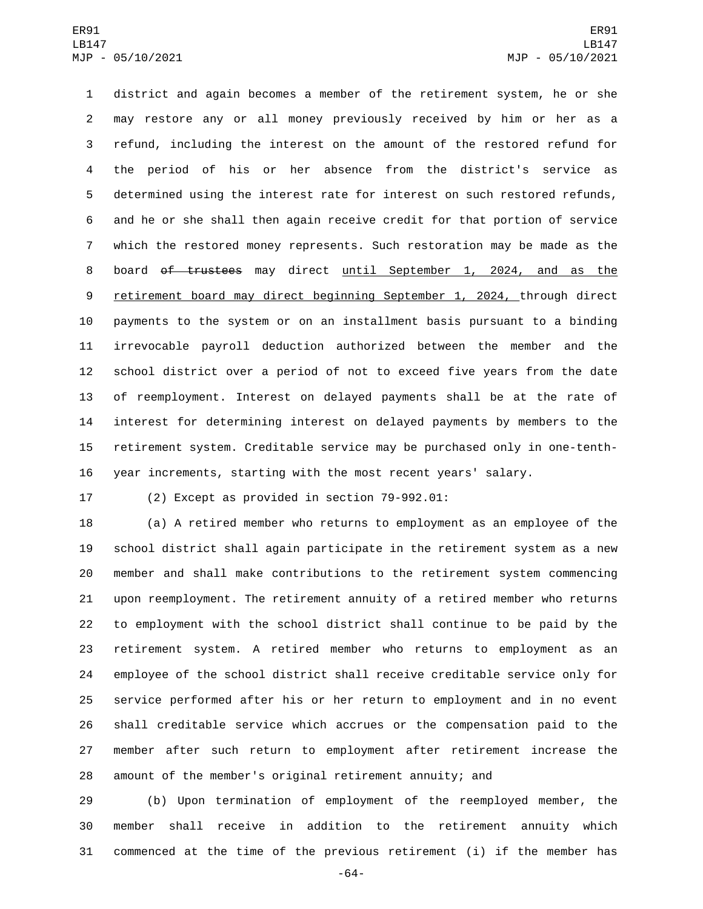district and again becomes a member of the retirement system, he or she may restore any or all money previously received by him or her as a refund, including the interest on the amount of the restored refund for the period of his or her absence from the district's service as determined using the interest rate for interest on such restored refunds, and he or she shall then again receive credit for that portion of service which the restored money represents. Such restoration may be made as the 8 board of trustees may direct until September 1, 2024, and as the 9 retirement board may direct beginning September 1, 2024, through direct payments to the system or on an installment basis pursuant to a binding irrevocable payroll deduction authorized between the member and the school district over a period of not to exceed five years from the date of reemployment. Interest on delayed payments shall be at the rate of interest for determining interest on delayed payments by members to the retirement system. Creditable service may be purchased only in one-tenth-year increments, starting with the most recent years' salary.

17 (2) Except as provided in section 79-992.01:

 (a) A retired member who returns to employment as an employee of the school district shall again participate in the retirement system as a new member and shall make contributions to the retirement system commencing upon reemployment. The retirement annuity of a retired member who returns to employment with the school district shall continue to be paid by the retirement system. A retired member who returns to employment as an employee of the school district shall receive creditable service only for service performed after his or her return to employment and in no event shall creditable service which accrues or the compensation paid to the member after such return to employment after retirement increase the amount of the member's original retirement annuity; and

 (b) Upon termination of employment of the reemployed member, the member shall receive in addition to the retirement annuity which commenced at the time of the previous retirement (i) if the member has

-64-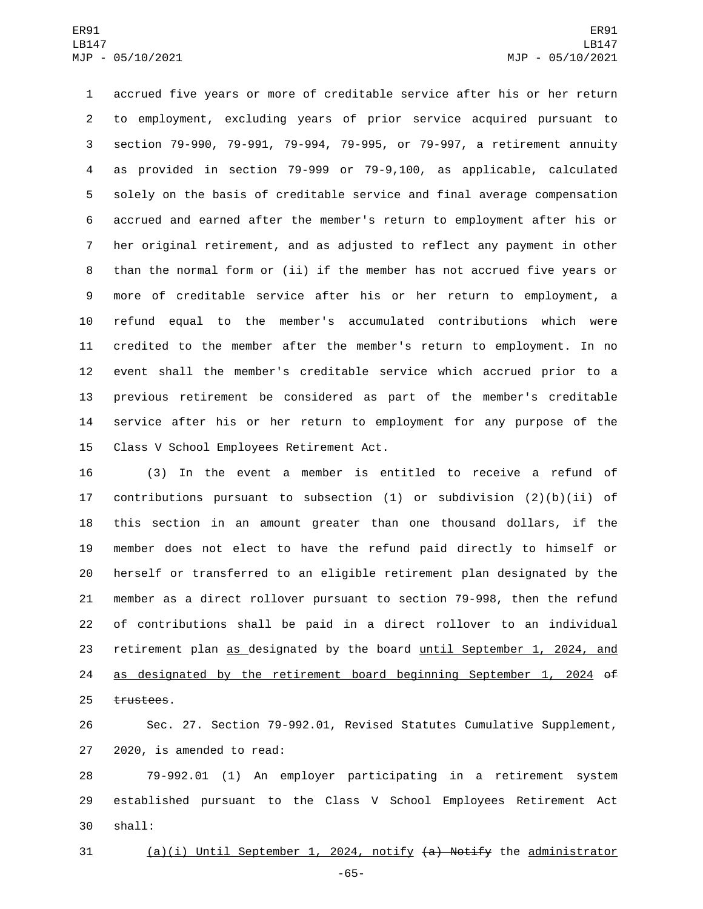accrued five years or more of creditable service after his or her return to employment, excluding years of prior service acquired pursuant to section 79-990, 79-991, 79-994, 79-995, or 79-997, a retirement annuity as provided in section 79-999 or 79-9,100, as applicable, calculated solely on the basis of creditable service and final average compensation accrued and earned after the member's return to employment after his or her original retirement, and as adjusted to reflect any payment in other than the normal form or (ii) if the member has not accrued five years or more of creditable service after his or her return to employment, a refund equal to the member's accumulated contributions which were credited to the member after the member's return to employment. In no event shall the member's creditable service which accrued prior to a previous retirement be considered as part of the member's creditable service after his or her return to employment for any purpose of the 15 Class V School Employees Retirement Act.

 (3) In the event a member is entitled to receive a refund of contributions pursuant to subsection (1) or subdivision (2)(b)(ii) of this section in an amount greater than one thousand dollars, if the member does not elect to have the refund paid directly to himself or herself or transferred to an eligible retirement plan designated by the member as a direct rollover pursuant to section 79-998, then the refund of contributions shall be paid in a direct rollover to an individual 23 retirement plan as designated by the board until September 1, 2024, and as designated by the retirement board beginning September 1, 2024 of 25 trustees.

 Sec. 27. Section 79-992.01, Revised Statutes Cumulative Supplement, 27 2020, is amended to read:

 79-992.01 (1) An employer participating in a retirement system established pursuant to the Class V School Employees Retirement Act shall:30

(a)(i) Until September 1, 2024, notify (a) Notify the administrator

-65-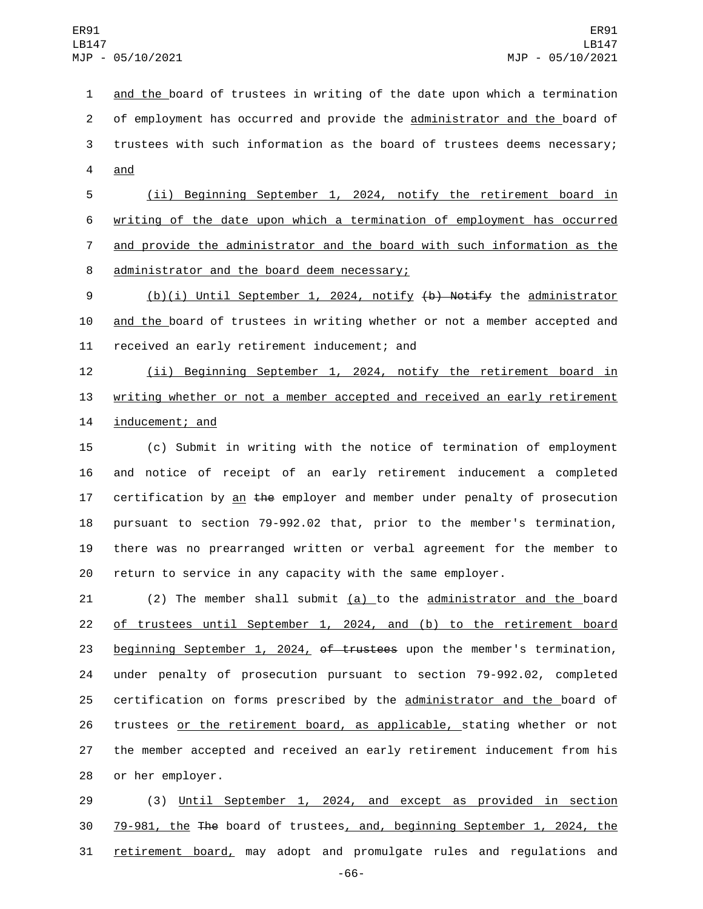and the board of trustees in writing of the date upon which a termination of employment has occurred and provide the administrator and the board of trustees with such information as the board of trustees deems necessary; 4 and

 (ii) Beginning September 1, 2024, notify the retirement board in writing of the date upon which a termination of employment has occurred and provide the administrator and the board with such information as the 8 administrator and the board deem necessary;

 (b)(i) Until September 1, 2024, notify (b) Notify the administrator and the board of trustees in writing whether or not a member accepted and 11 received an early retirement inducement; and

 (ii) Beginning September 1, 2024, notify the retirement board in writing whether or not a member accepted and received an early retirement 14 inducement; and

 (c) Submit in writing with the notice of termination of employment and notice of receipt of an early retirement inducement a completed 17 certification by an the employer and member under penalty of prosecution pursuant to section 79-992.02 that, prior to the member's termination, there was no prearranged written or verbal agreement for the member to return to service in any capacity with the same employer.

 $(2)$  The member shall submit  $(a)$  to the administrator and the board of trustees until September 1, 2024, and (b) to the retirement board 23 beginning September 1, 2024, of trustees upon the member's termination, under penalty of prosecution pursuant to section 79-992.02, completed certification on forms prescribed by the administrator and the board of trustees or the retirement board, as applicable, stating whether or not the member accepted and received an early retirement inducement from his 28 or her employer.

 (3) Until September 1, 2024, and except as provided in section 79-981, the The board of trustees, and, beginning September 1, 2024, the retirement board, may adopt and promulgate rules and regulations and

-66-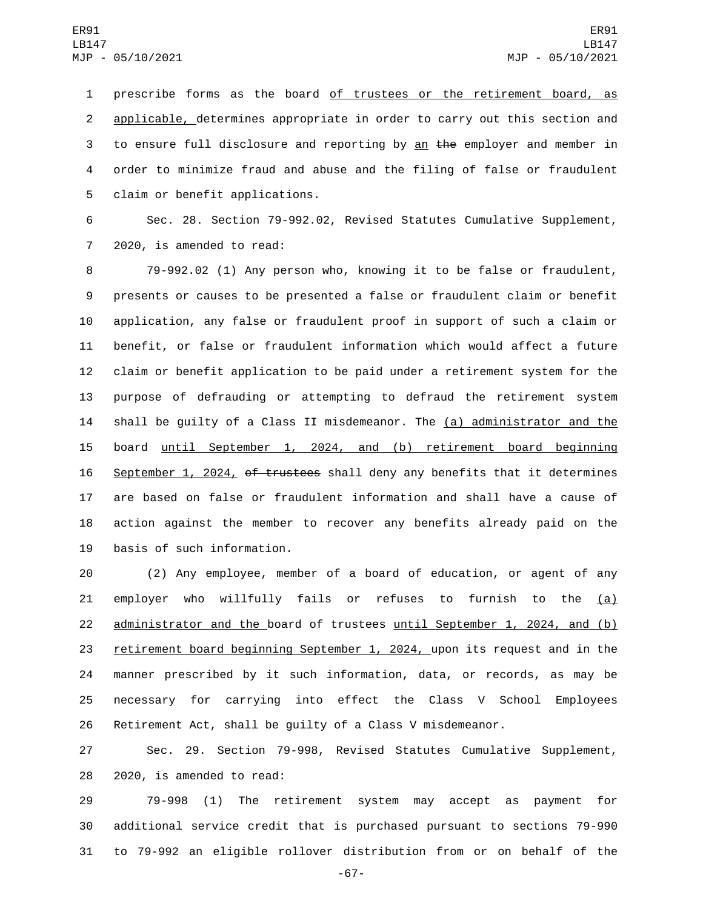prescribe forms as the board of trustees or the retirement board, as applicable, determines appropriate in order to carry out this section and 3 to ensure full disclosure and reporting by  $\frac{a_n}{b_n}$  the employer and member in order to minimize fraud and abuse and the filing of false or fraudulent 5 claim or benefit applications.

 Sec. 28. Section 79-992.02, Revised Statutes Cumulative Supplement, 7 2020, is amended to read:

 79-992.02 (1) Any person who, knowing it to be false or fraudulent, presents or causes to be presented a false or fraudulent claim or benefit application, any false or fraudulent proof in support of such a claim or benefit, or false or fraudulent information which would affect a future claim or benefit application to be paid under a retirement system for the purpose of defrauding or attempting to defraud the retirement system 14 shall be guilty of a Class II misdemeanor. The (a) administrator and the board until September 1, 2024, and (b) retirement board beginning 16 September 1, 2024, of trustees shall deny any benefits that it determines are based on false or fraudulent information and shall have a cause of action against the member to recover any benefits already paid on the 19 basis of such information.

 (2) Any employee, member of a board of education, or agent of any 21 employer who willfully fails or refuses to furnish to the  $(a)$  administrator and the board of trustees until September 1, 2024, and (b) retirement board beginning September 1, 2024, upon its request and in the manner prescribed by it such information, data, or records, as may be necessary for carrying into effect the Class V School Employees Retirement Act, shall be guilty of a Class V misdemeanor.

 Sec. 29. Section 79-998, Revised Statutes Cumulative Supplement, 28 2020, is amended to read:

 79-998 (1) The retirement system may accept as payment for additional service credit that is purchased pursuant to sections 79-990 to 79-992 an eligible rollover distribution from or on behalf of the

-67-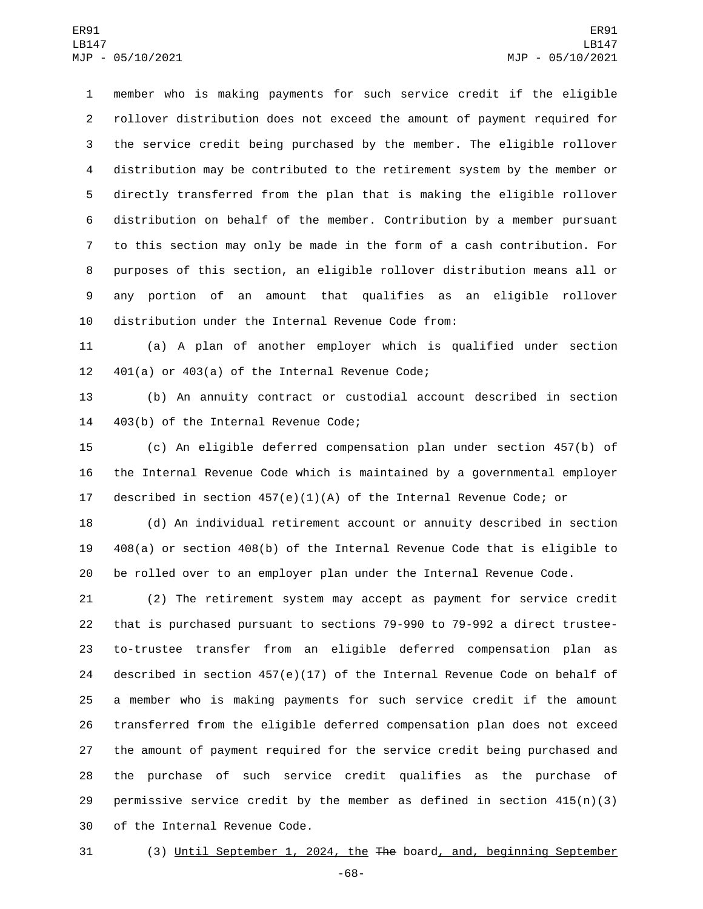member who is making payments for such service credit if the eligible rollover distribution does not exceed the amount of payment required for the service credit being purchased by the member. The eligible rollover distribution may be contributed to the retirement system by the member or directly transferred from the plan that is making the eligible rollover distribution on behalf of the member. Contribution by a member pursuant to this section may only be made in the form of a cash contribution. For purposes of this section, an eligible rollover distribution means all or any portion of an amount that qualifies as an eligible rollover distribution under the Internal Revenue Code from:

 (a) A plan of another employer which is qualified under section  $401(a)$  or  $403(a)$  of the Internal Revenue Code;

 (b) An annuity contract or custodial account described in section 14 403(b) of the Internal Revenue Code;

 (c) An eligible deferred compensation plan under section 457(b) of the Internal Revenue Code which is maintained by a governmental employer described in section 457(e)(1)(A) of the Internal Revenue Code; or

 (d) An individual retirement account or annuity described in section 408(a) or section 408(b) of the Internal Revenue Code that is eligible to be rolled over to an employer plan under the Internal Revenue Code.

 (2) The retirement system may accept as payment for service credit that is purchased pursuant to sections 79-990 to 79-992 a direct trustee- to-trustee transfer from an eligible deferred compensation plan as described in section 457(e)(17) of the Internal Revenue Code on behalf of a member who is making payments for such service credit if the amount transferred from the eligible deferred compensation plan does not exceed the amount of payment required for the service credit being purchased and the purchase of such service credit qualifies as the purchase of 29 permissive service credit by the member as defined in section  $415(n)(3)$ 30 of the Internal Revenue Code.

(3) Until September 1, 2024, the The board, and, beginning September

-68-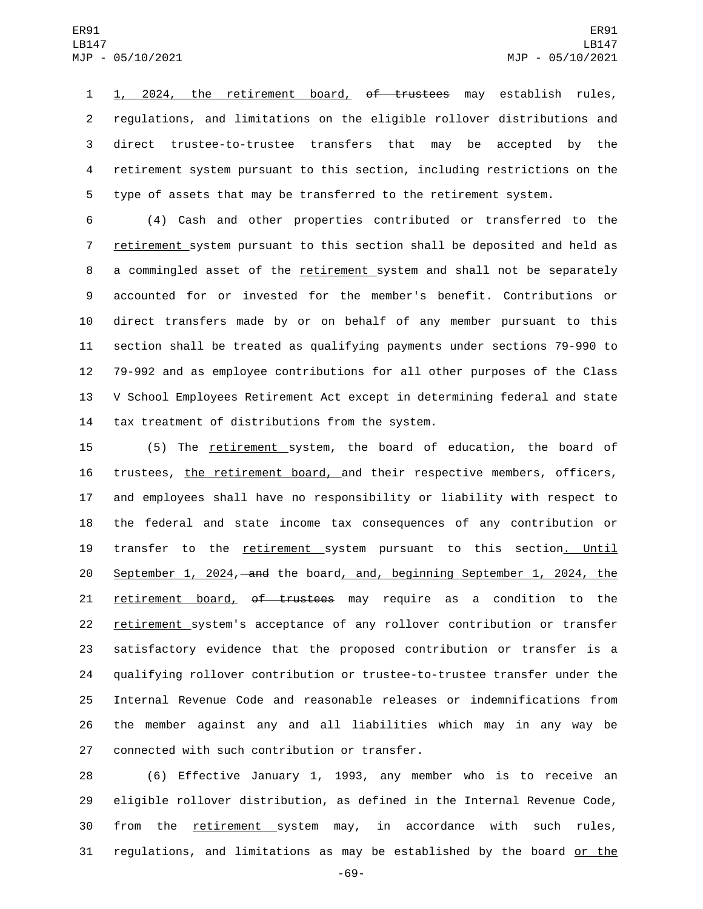1, 2024, the retirement board, of trustees may establish rules, regulations, and limitations on the eligible rollover distributions and direct trustee-to-trustee transfers that may be accepted by the retirement system pursuant to this section, including restrictions on the type of assets that may be transferred to the retirement system.

 (4) Cash and other properties contributed or transferred to the retirement system pursuant to this section shall be deposited and held as a commingled asset of the retirement system and shall not be separately accounted for or invested for the member's benefit. Contributions or direct transfers made by or on behalf of any member pursuant to this section shall be treated as qualifying payments under sections 79-990 to 79-992 and as employee contributions for all other purposes of the Class V School Employees Retirement Act except in determining federal and state 14 tax treatment of distributions from the system.

 (5) The retirement system, the board of education, the board of trustees, the retirement board, and their respective members, officers, and employees shall have no responsibility or liability with respect to the federal and state income tax consequences of any contribution or transfer to the retirement system pursuant to this section. Until 20 September 1, 2024, and the board, and, beginning September 1, 2024, the 21 retirement board, of trustees may require as a condition to the 22 retirement system's acceptance of any rollover contribution or transfer satisfactory evidence that the proposed contribution or transfer is a qualifying rollover contribution or trustee-to-trustee transfer under the Internal Revenue Code and reasonable releases or indemnifications from the member against any and all liabilities which may in any way be 27 connected with such contribution or transfer.

 (6) Effective January 1, 1993, any member who is to receive an eligible rollover distribution, as defined in the Internal Revenue Code, 30 from the retirement system may, in accordance with such rules, regulations, and limitations as may be established by the board or the

-69-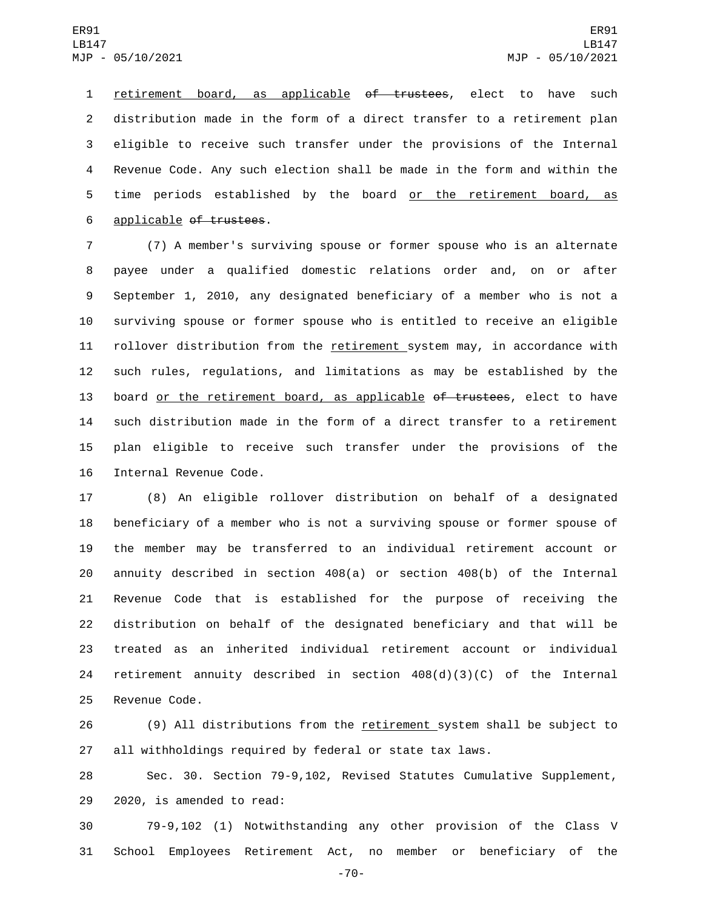retirement board, as applicable of trustees, elect to have such distribution made in the form of a direct transfer to a retirement plan eligible to receive such transfer under the provisions of the Internal Revenue Code. Any such election shall be made in the form and within the 5 time periods established by the board or the retirement board, as 6 applicable of trustees.

 (7) A member's surviving spouse or former spouse who is an alternate payee under a qualified domestic relations order and, on or after September 1, 2010, any designated beneficiary of a member who is not a surviving spouse or former spouse who is entitled to receive an eligible 11 rollover distribution from the retirement system may, in accordance with such rules, regulations, and limitations as may be established by the 13 board or the retirement board, as applicable of trustees, elect to have such distribution made in the form of a direct transfer to a retirement plan eligible to receive such transfer under the provisions of the 16 Internal Revenue Code.

 (8) An eligible rollover distribution on behalf of a designated beneficiary of a member who is not a surviving spouse or former spouse of the member may be transferred to an individual retirement account or annuity described in section 408(a) or section 408(b) of the Internal Revenue Code that is established for the purpose of receiving the distribution on behalf of the designated beneficiary and that will be treated as an inherited individual retirement account or individual retirement annuity described in section 408(d)(3)(C) of the Internal 25 Revenue Code.

26 (9) All distributions from the retirement system shall be subject to all withholdings required by federal or state tax laws.

 Sec. 30. Section 79-9,102, Revised Statutes Cumulative Supplement, 29 2020, is amended to read:

 79-9,102 (1) Notwithstanding any other provision of the Class V School Employees Retirement Act, no member or beneficiary of the

-70-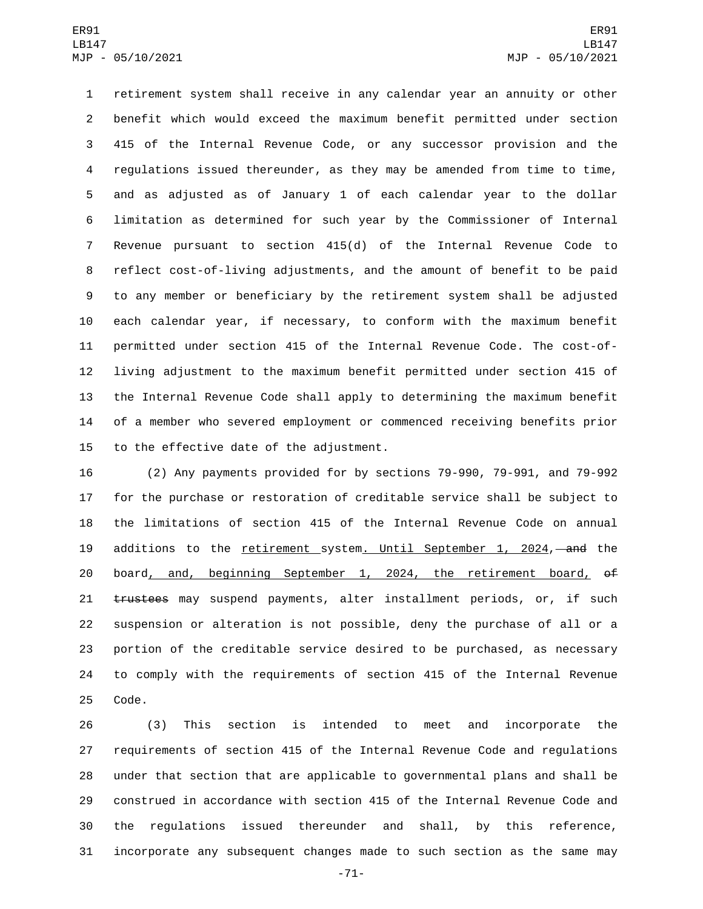retirement system shall receive in any calendar year an annuity or other benefit which would exceed the maximum benefit permitted under section 415 of the Internal Revenue Code, or any successor provision and the 4 requlations issued thereunder, as they may be amended from time to time, and as adjusted as of January 1 of each calendar year to the dollar limitation as determined for such year by the Commissioner of Internal Revenue pursuant to section 415(d) of the Internal Revenue Code to reflect cost-of-living adjustments, and the amount of benefit to be paid to any member or beneficiary by the retirement system shall be adjusted each calendar year, if necessary, to conform with the maximum benefit permitted under section 415 of the Internal Revenue Code. The cost-of- living adjustment to the maximum benefit permitted under section 415 of the Internal Revenue Code shall apply to determining the maximum benefit of a member who severed employment or commenced receiving benefits prior 15 to the effective date of the adjustment.

 (2) Any payments provided for by sections 79-990, 79-991, and 79-992 for the purchase or restoration of creditable service shall be subject to the limitations of section 415 of the Internal Revenue Code on annual 19 additions to the retirement system. Until September 1, 2024, and the 20 board, and, beginning September 1, 2024, the retirement board,  $\theta^{\text{f}}$ 21 trustees may suspend payments, alter installment periods, or, if such suspension or alteration is not possible, deny the purchase of all or a portion of the creditable service desired to be purchased, as necessary to comply with the requirements of section 415 of the Internal Revenue 25 Code.

 (3) This section is intended to meet and incorporate the requirements of section 415 of the Internal Revenue Code and regulations under that section that are applicable to governmental plans and shall be construed in accordance with section 415 of the Internal Revenue Code and the regulations issued thereunder and shall, by this reference, incorporate any subsequent changes made to such section as the same may

-71-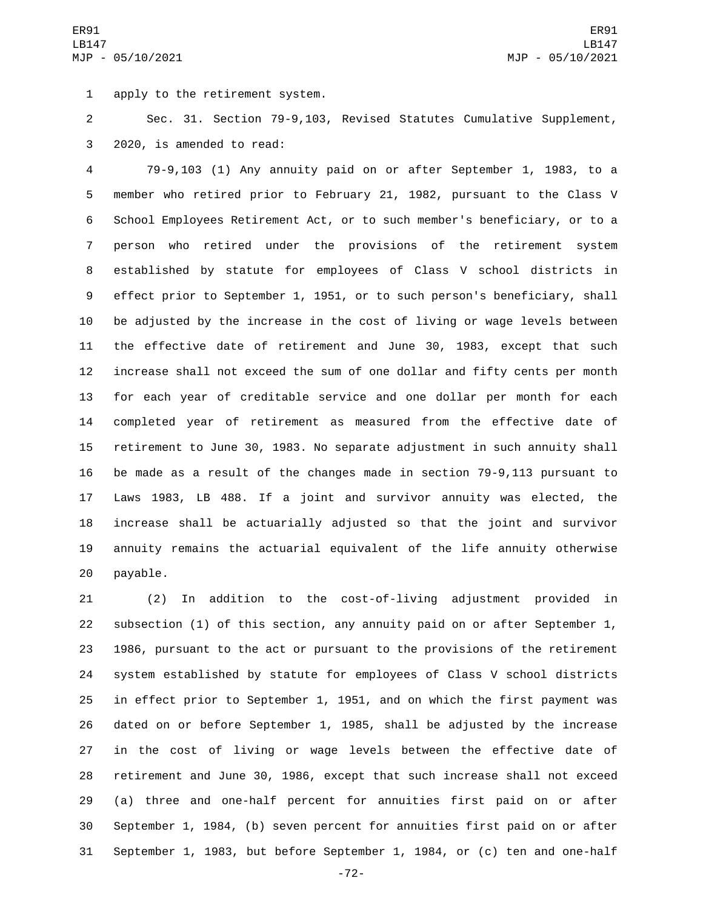1 apply to the retirement system.

 Sec. 31. Section 79-9,103, Revised Statutes Cumulative Supplement, 3 2020, is amended to read:

 79-9,103 (1) Any annuity paid on or after September 1, 1983, to a member who retired prior to February 21, 1982, pursuant to the Class V School Employees Retirement Act, or to such member's beneficiary, or to a person who retired under the provisions of the retirement system established by statute for employees of Class V school districts in effect prior to September 1, 1951, or to such person's beneficiary, shall be adjusted by the increase in the cost of living or wage levels between the effective date of retirement and June 30, 1983, except that such increase shall not exceed the sum of one dollar and fifty cents per month for each year of creditable service and one dollar per month for each completed year of retirement as measured from the effective date of retirement to June 30, 1983. No separate adjustment in such annuity shall be made as a result of the changes made in section 79-9,113 pursuant to Laws 1983, LB 488. If a joint and survivor annuity was elected, the increase shall be actuarially adjusted so that the joint and survivor annuity remains the actuarial equivalent of the life annuity otherwise 20 payable.

 (2) In addition to the cost-of-living adjustment provided in subsection (1) of this section, any annuity paid on or after September 1, 1986, pursuant to the act or pursuant to the provisions of the retirement system established by statute for employees of Class V school districts in effect prior to September 1, 1951, and on which the first payment was dated on or before September 1, 1985, shall be adjusted by the increase in the cost of living or wage levels between the effective date of retirement and June 30, 1986, except that such increase shall not exceed (a) three and one-half percent for annuities first paid on or after September 1, 1984, (b) seven percent for annuities first paid on or after September 1, 1983, but before September 1, 1984, or (c) ten and one-half

-72-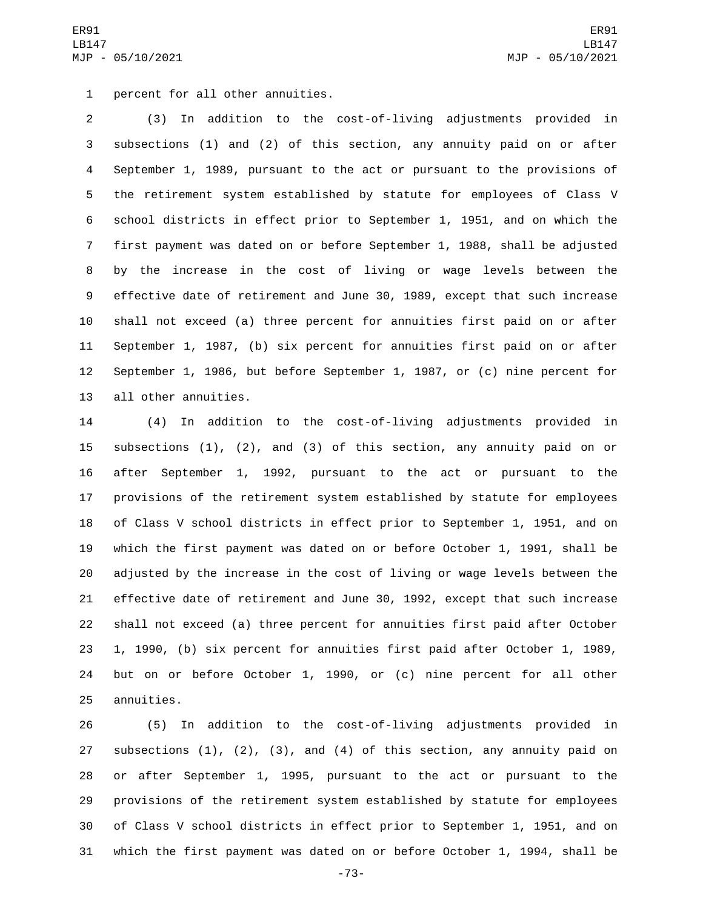1 percent for all other annuities.

 (3) In addition to the cost-of-living adjustments provided in subsections (1) and (2) of this section, any annuity paid on or after September 1, 1989, pursuant to the act or pursuant to the provisions of the retirement system established by statute for employees of Class V school districts in effect prior to September 1, 1951, and on which the first payment was dated on or before September 1, 1988, shall be adjusted by the increase in the cost of living or wage levels between the effective date of retirement and June 30, 1989, except that such increase shall not exceed (a) three percent for annuities first paid on or after September 1, 1987, (b) six percent for annuities first paid on or after September 1, 1986, but before September 1, 1987, or (c) nine percent for 13 all other annuities.

 (4) In addition to the cost-of-living adjustments provided in subsections (1), (2), and (3) of this section, any annuity paid on or after September 1, 1992, pursuant to the act or pursuant to the provisions of the retirement system established by statute for employees of Class V school districts in effect prior to September 1, 1951, and on which the first payment was dated on or before October 1, 1991, shall be adjusted by the increase in the cost of living or wage levels between the effective date of retirement and June 30, 1992, except that such increase shall not exceed (a) three percent for annuities first paid after October 1, 1990, (b) six percent for annuities first paid after October 1, 1989, but on or before October 1, 1990, or (c) nine percent for all other 25 annuities.

 (5) In addition to the cost-of-living adjustments provided in subsections (1), (2), (3), and (4) of this section, any annuity paid on or after September 1, 1995, pursuant to the act or pursuant to the provisions of the retirement system established by statute for employees of Class V school districts in effect prior to September 1, 1951, and on which the first payment was dated on or before October 1, 1994, shall be

-73-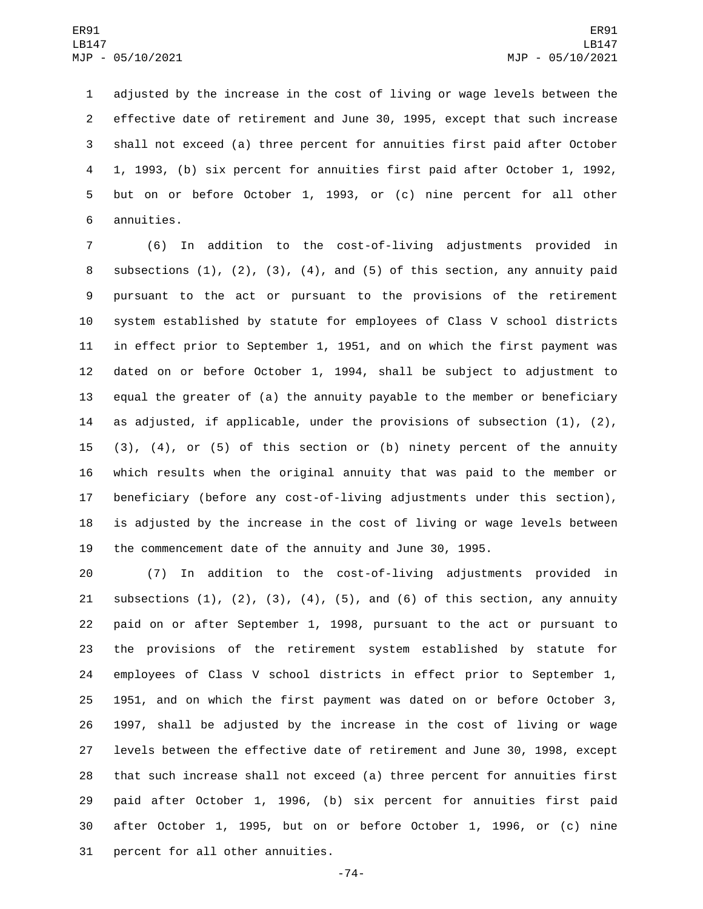adjusted by the increase in the cost of living or wage levels between the effective date of retirement and June 30, 1995, except that such increase shall not exceed (a) three percent for annuities first paid after October 1, 1993, (b) six percent for annuities first paid after October 1, 1992, but on or before October 1, 1993, or (c) nine percent for all other 6 annuities.

 (6) In addition to the cost-of-living adjustments provided in subsections (1), (2), (3), (4), and (5) of this section, any annuity paid pursuant to the act or pursuant to the provisions of the retirement system established by statute for employees of Class V school districts in effect prior to September 1, 1951, and on which the first payment was dated on or before October 1, 1994, shall be subject to adjustment to equal the greater of (a) the annuity payable to the member or beneficiary as adjusted, if applicable, under the provisions of subsection (1), (2), (3), (4), or (5) of this section or (b) ninety percent of the annuity which results when the original annuity that was paid to the member or beneficiary (before any cost-of-living adjustments under this section), is adjusted by the increase in the cost of living or wage levels between the commencement date of the annuity and June 30, 1995.

 (7) In addition to the cost-of-living adjustments provided in 21 subsections  $(1)$ ,  $(2)$ ,  $(3)$ ,  $(4)$ ,  $(5)$ , and  $(6)$  of this section, any annuity paid on or after September 1, 1998, pursuant to the act or pursuant to the provisions of the retirement system established by statute for employees of Class V school districts in effect prior to September 1, 1951, and on which the first payment was dated on or before October 3, 1997, shall be adjusted by the increase in the cost of living or wage levels between the effective date of retirement and June 30, 1998, except that such increase shall not exceed (a) three percent for annuities first paid after October 1, 1996, (b) six percent for annuities first paid after October 1, 1995, but on or before October 1, 1996, or (c) nine 31 percent for all other annuities.

-74-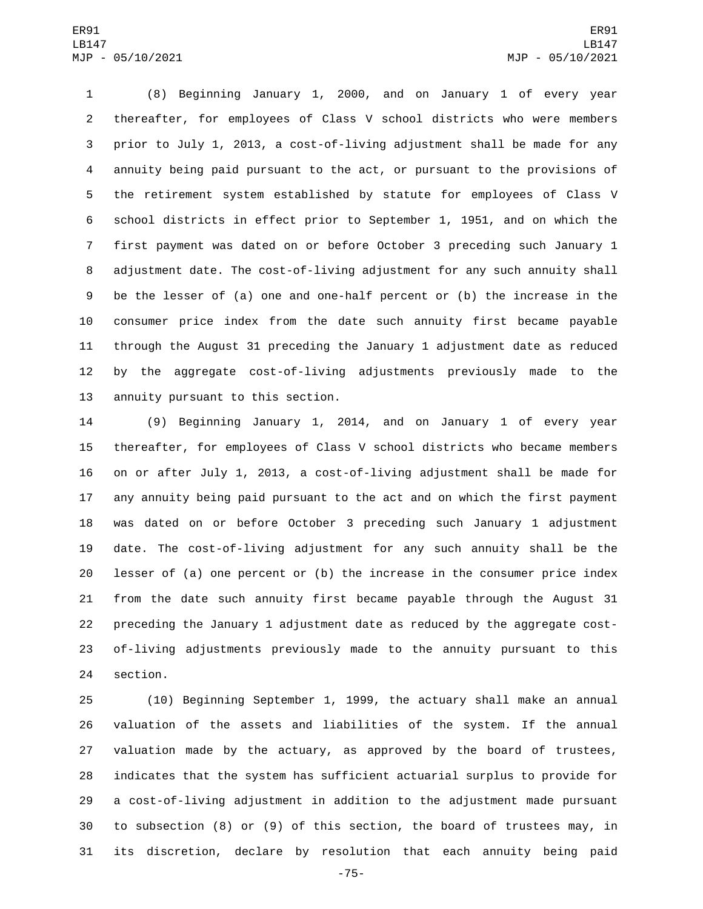(8) Beginning January 1, 2000, and on January 1 of every year thereafter, for employees of Class V school districts who were members prior to July 1, 2013, a cost-of-living adjustment shall be made for any annuity being paid pursuant to the act, or pursuant to the provisions of the retirement system established by statute for employees of Class V school districts in effect prior to September 1, 1951, and on which the first payment was dated on or before October 3 preceding such January 1 adjustment date. The cost-of-living adjustment for any such annuity shall be the lesser of (a) one and one-half percent or (b) the increase in the consumer price index from the date such annuity first became payable through the August 31 preceding the January 1 adjustment date as reduced by the aggregate cost-of-living adjustments previously made to the 13 annuity pursuant to this section.

 (9) Beginning January 1, 2014, and on January 1 of every year thereafter, for employees of Class V school districts who became members on or after July 1, 2013, a cost-of-living adjustment shall be made for any annuity being paid pursuant to the act and on which the first payment was dated on or before October 3 preceding such January 1 adjustment date. The cost-of-living adjustment for any such annuity shall be the lesser of (a) one percent or (b) the increase in the consumer price index from the date such annuity first became payable through the August 31 preceding the January 1 adjustment date as reduced by the aggregate cost- of-living adjustments previously made to the annuity pursuant to this 24 section.

 (10) Beginning September 1, 1999, the actuary shall make an annual valuation of the assets and liabilities of the system. If the annual valuation made by the actuary, as approved by the board of trustees, indicates that the system has sufficient actuarial surplus to provide for a cost-of-living adjustment in addition to the adjustment made pursuant to subsection (8) or (9) of this section, the board of trustees may, in its discretion, declare by resolution that each annuity being paid

-75-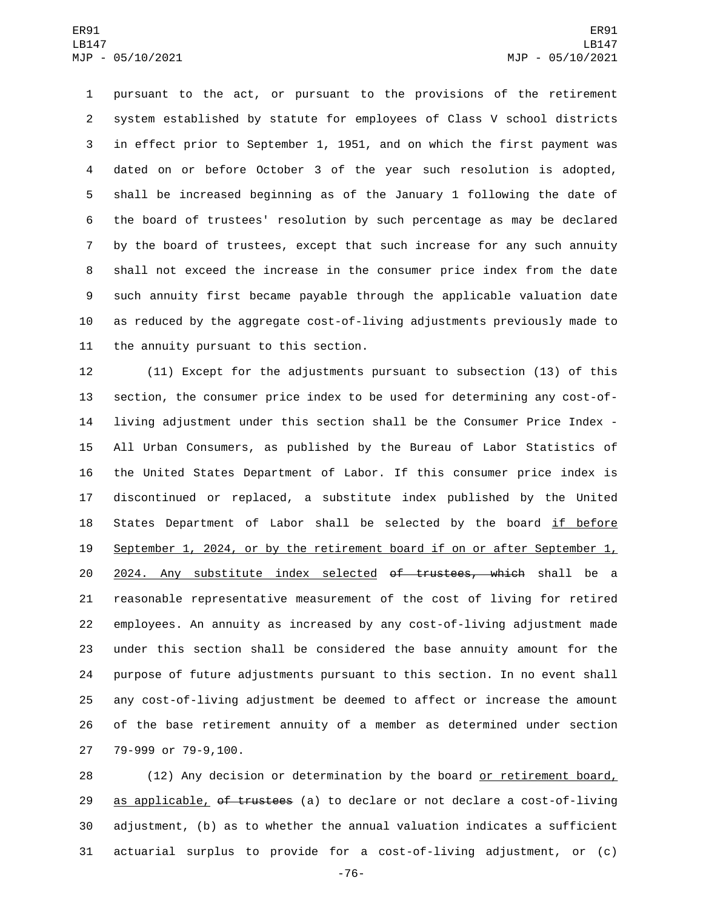pursuant to the act, or pursuant to the provisions of the retirement system established by statute for employees of Class V school districts in effect prior to September 1, 1951, and on which the first payment was dated on or before October 3 of the year such resolution is adopted, shall be increased beginning as of the January 1 following the date of the board of trustees' resolution by such percentage as may be declared by the board of trustees, except that such increase for any such annuity shall not exceed the increase in the consumer price index from the date such annuity first became payable through the applicable valuation date as reduced by the aggregate cost-of-living adjustments previously made to 11 the annuity pursuant to this section.

 (11) Except for the adjustments pursuant to subsection (13) of this section, the consumer price index to be used for determining any cost-of- living adjustment under this section shall be the Consumer Price Index - All Urban Consumers, as published by the Bureau of Labor Statistics of the United States Department of Labor. If this consumer price index is discontinued or replaced, a substitute index published by the United 18 States Department of Labor shall be selected by the board if before 19 September 1, 2024, or by the retirement board if on or after September  $1<sub>L</sub>$ 20 2024. Any substitute index selected of trustees, which shall be a reasonable representative measurement of the cost of living for retired employees. An annuity as increased by any cost-of-living adjustment made under this section shall be considered the base annuity amount for the purpose of future adjustments pursuant to this section. In no event shall any cost-of-living adjustment be deemed to affect or increase the amount of the base retirement annuity of a member as determined under section 27 79-999 or 79-9,100.

 (12) Any decision or determination by the board or retirement board, 29 as applicable, of trustees (a) to declare or not declare a cost-of-living adjustment, (b) as to whether the annual valuation indicates a sufficient actuarial surplus to provide for a cost-of-living adjustment, or (c)

-76-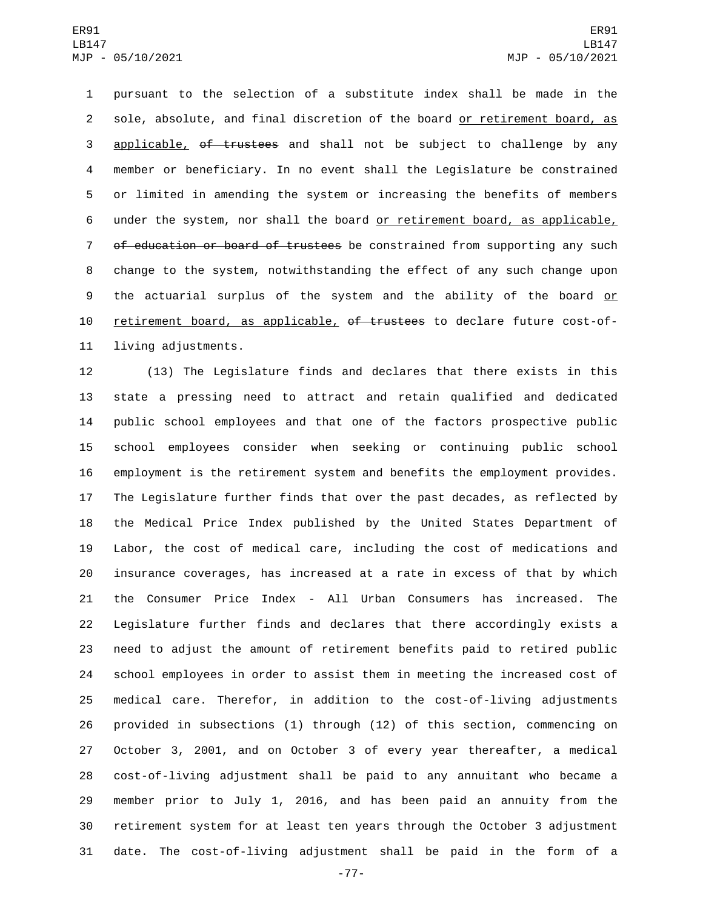pursuant to the selection of a substitute index shall be made in the sole, absolute, and final discretion of the board or retirement board, as 3 applicable, of trustees and shall not be subject to challenge by any member or beneficiary. In no event shall the Legislature be constrained or limited in amending the system or increasing the benefits of members under the system, nor shall the board or retirement board, as applicable, 7 of education or board of trustees be constrained from supporting any such change to the system, notwithstanding the effect of any such change upon 9 the actuarial surplus of the system and the ability of the board or 10 retirement board, as applicable, of trustees to declare future cost-of-11 living adjustments.

 (13) The Legislature finds and declares that there exists in this state a pressing need to attract and retain qualified and dedicated public school employees and that one of the factors prospective public school employees consider when seeking or continuing public school employment is the retirement system and benefits the employment provides. The Legislature further finds that over the past decades, as reflected by the Medical Price Index published by the United States Department of Labor, the cost of medical care, including the cost of medications and insurance coverages, has increased at a rate in excess of that by which the Consumer Price Index - All Urban Consumers has increased. The Legislature further finds and declares that there accordingly exists a need to adjust the amount of retirement benefits paid to retired public school employees in order to assist them in meeting the increased cost of medical care. Therefor, in addition to the cost-of-living adjustments provided in subsections (1) through (12) of this section, commencing on October 3, 2001, and on October 3 of every year thereafter, a medical cost-of-living adjustment shall be paid to any annuitant who became a member prior to July 1, 2016, and has been paid an annuity from the retirement system for at least ten years through the October 3 adjustment date. The cost-of-living adjustment shall be paid in the form of a

-77-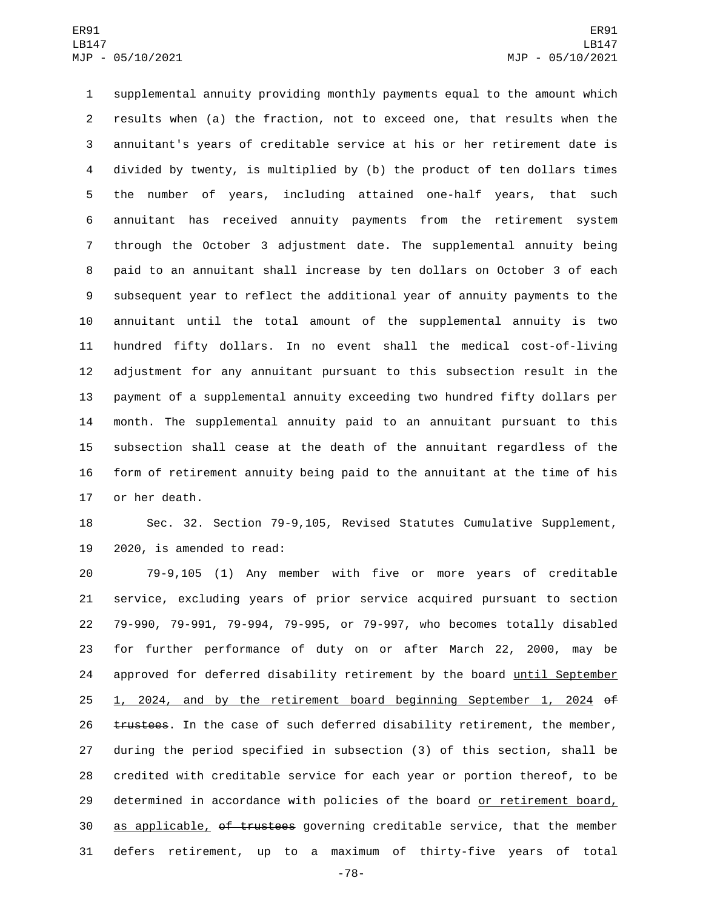supplemental annuity providing monthly payments equal to the amount which results when (a) the fraction, not to exceed one, that results when the annuitant's years of creditable service at his or her retirement date is divided by twenty, is multiplied by (b) the product of ten dollars times the number of years, including attained one-half years, that such annuitant has received annuity payments from the retirement system through the October 3 adjustment date. The supplemental annuity being paid to an annuitant shall increase by ten dollars on October 3 of each subsequent year to reflect the additional year of annuity payments to the annuitant until the total amount of the supplemental annuity is two hundred fifty dollars. In no event shall the medical cost-of-living adjustment for any annuitant pursuant to this subsection result in the payment of a supplemental annuity exceeding two hundred fifty dollars per month. The supplemental annuity paid to an annuitant pursuant to this subsection shall cease at the death of the annuitant regardless of the form of retirement annuity being paid to the annuitant at the time of his 17 or her death.

 Sec. 32. Section 79-9,105, Revised Statutes Cumulative Supplement, 2020, is amended to read:

 79-9,105 (1) Any member with five or more years of creditable service, excluding years of prior service acquired pursuant to section 79-990, 79-991, 79-994, 79-995, or 79-997, who becomes totally disabled for further performance of duty on or after March 22, 2000, may be 24 approved for deferred disability retirement by the board until September 1, 2024, and by the retirement board beginning September 1, 2024 of 26 trustees. In the case of such deferred disability retirement, the member, during the period specified in subsection (3) of this section, shall be credited with creditable service for each year or portion thereof, to be determined in accordance with policies of the board or retirement board, 30 as applicable, of trustees governing creditable service, that the member defers retirement, up to a maximum of thirty-five years of total

-78-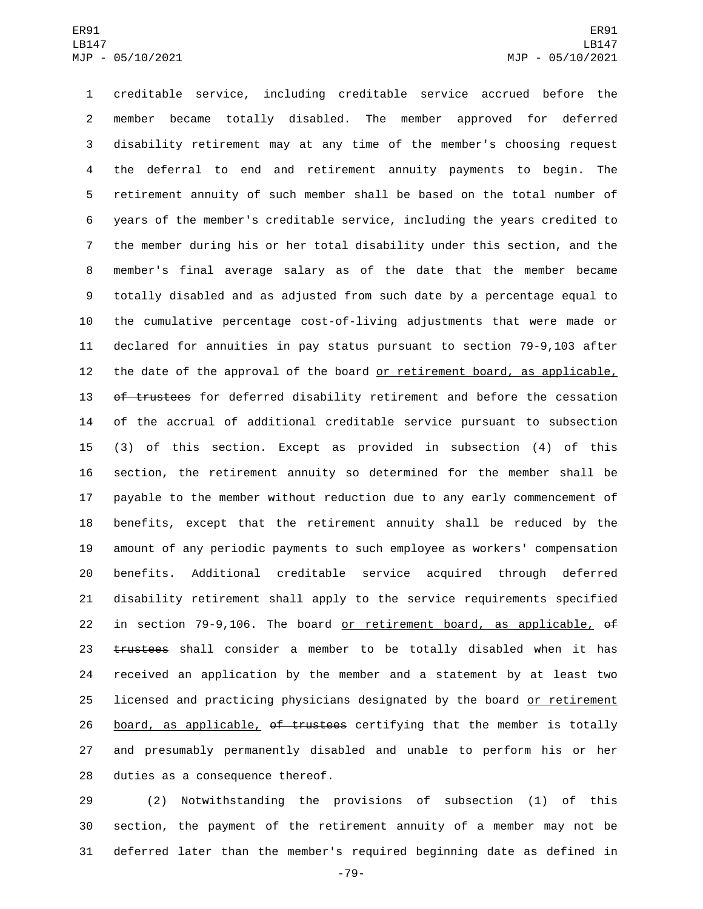creditable service, including creditable service accrued before the member became totally disabled. The member approved for deferred disability retirement may at any time of the member's choosing request the deferral to end and retirement annuity payments to begin. The retirement annuity of such member shall be based on the total number of years of the member's creditable service, including the years credited to the member during his or her total disability under this section, and the member's final average salary as of the date that the member became totally disabled and as adjusted from such date by a percentage equal to the cumulative percentage cost-of-living adjustments that were made or declared for annuities in pay status pursuant to section 79-9,103 after 12 the date of the approval of the board or retirement board, as applicable, 13 of trustees for deferred disability retirement and before the cessation of the accrual of additional creditable service pursuant to subsection (3) of this section. Except as provided in subsection (4) of this section, the retirement annuity so determined for the member shall be payable to the member without reduction due to any early commencement of benefits, except that the retirement annuity shall be reduced by the amount of any periodic payments to such employee as workers' compensation benefits. Additional creditable service acquired through deferred disability retirement shall apply to the service requirements specified in section 79-9,106. The board or retirement board, as applicable, of 23 trustees shall consider a member to be totally disabled when it has received an application by the member and a statement by at least two licensed and practicing physicians designated by the board or retirement 26 board, as applicable, of trustees certifying that the member is totally and presumably permanently disabled and unable to perform his or her 28 duties as a consequence thereof.

 (2) Notwithstanding the provisions of subsection (1) of this section, the payment of the retirement annuity of a member may not be deferred later than the member's required beginning date as defined in

-79-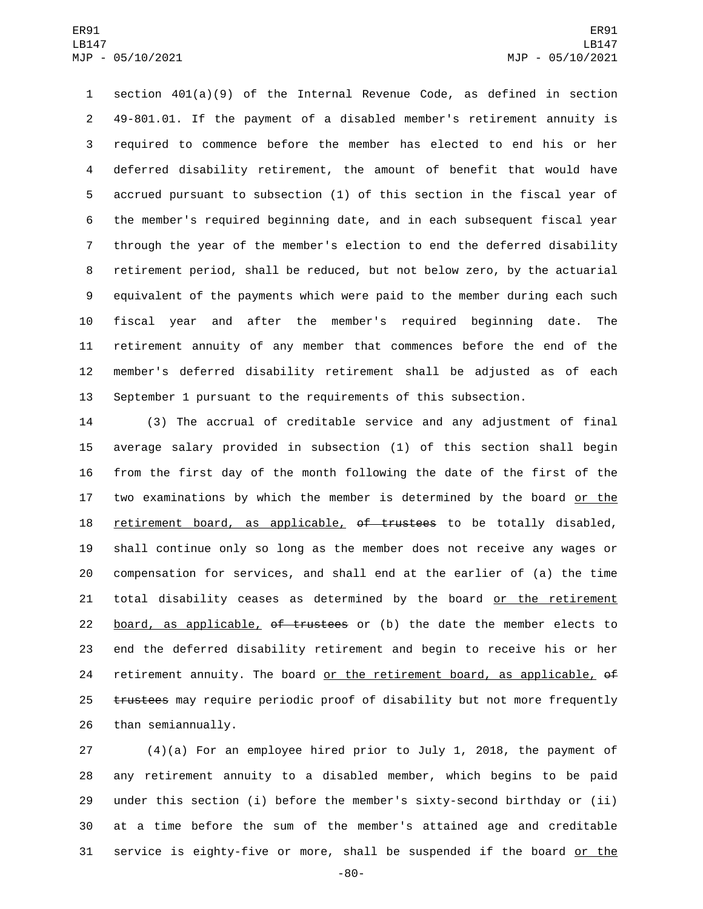section 401(a)(9) of the Internal Revenue Code, as defined in section 49-801.01. If the payment of a disabled member's retirement annuity is required to commence before the member has elected to end his or her deferred disability retirement, the amount of benefit that would have accrued pursuant to subsection (1) of this section in the fiscal year of the member's required beginning date, and in each subsequent fiscal year through the year of the member's election to end the deferred disability retirement period, shall be reduced, but not below zero, by the actuarial equivalent of the payments which were paid to the member during each such fiscal year and after the member's required beginning date. The retirement annuity of any member that commences before the end of the member's deferred disability retirement shall be adjusted as of each September 1 pursuant to the requirements of this subsection.

 (3) The accrual of creditable service and any adjustment of final average salary provided in subsection (1) of this section shall begin from the first day of the month following the date of the first of the two examinations by which the member is determined by the board or the retirement board, as applicable, of trustees to be totally disabled, shall continue only so long as the member does not receive any wages or compensation for services, and shall end at the earlier of (a) the time 21 total disability ceases as determined by the board or the retirement 22 board, as applicable, of trustees or (b) the date the member elects to end the deferred disability retirement and begin to receive his or her 24 retirement annuity. The board or the retirement board, as applicable,  $\theta$ f 25 trustees may require periodic proof of disability but not more frequently 26 than semiannually.

 (4)(a) For an employee hired prior to July 1, 2018, the payment of any retirement annuity to a disabled member, which begins to be paid under this section (i) before the member's sixty-second birthday or (ii) at a time before the sum of the member's attained age and creditable 31 service is eighty-five or more, shall be suspended if the board or the

-80-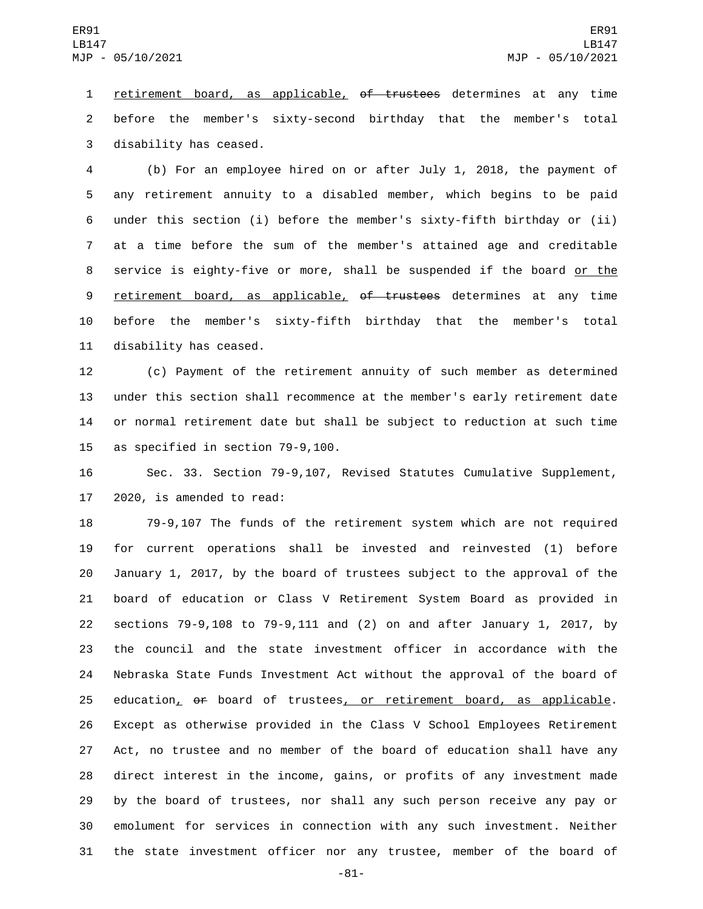1 retirement board, as applicable, of trustees determines at any time before the member's sixty-second birthday that the member's total 3 disability has ceased.

 (b) For an employee hired on or after July 1, 2018, the payment of any retirement annuity to a disabled member, which begins to be paid under this section (i) before the member's sixty-fifth birthday or (ii) at a time before the sum of the member's attained age and creditable 8 service is eighty-five or more, shall be suspended if the board or the 9 retirement board, as applicable, of trustees determines at any time before the member's sixty-fifth birthday that the member's total 11 disability has ceased.

 (c) Payment of the retirement annuity of such member as determined under this section shall recommence at the member's early retirement date or normal retirement date but shall be subject to reduction at such time 15 as specified in section 79-9,100.

 Sec. 33. Section 79-9,107, Revised Statutes Cumulative Supplement, 2020, is amended to read:

 79-9,107 The funds of the retirement system which are not required for current operations shall be invested and reinvested (1) before January 1, 2017, by the board of trustees subject to the approval of the board of education or Class V Retirement System Board as provided in sections 79-9,108 to 79-9,111 and (2) on and after January 1, 2017, by the council and the state investment officer in accordance with the Nebraska State Funds Investment Act without the approval of the board of 25 education, of board of trustees, or retirement board, as applicable. Except as otherwise provided in the Class V School Employees Retirement Act, no trustee and no member of the board of education shall have any direct interest in the income, gains, or profits of any investment made by the board of trustees, nor shall any such person receive any pay or emolument for services in connection with any such investment. Neither the state investment officer nor any trustee, member of the board of

-81-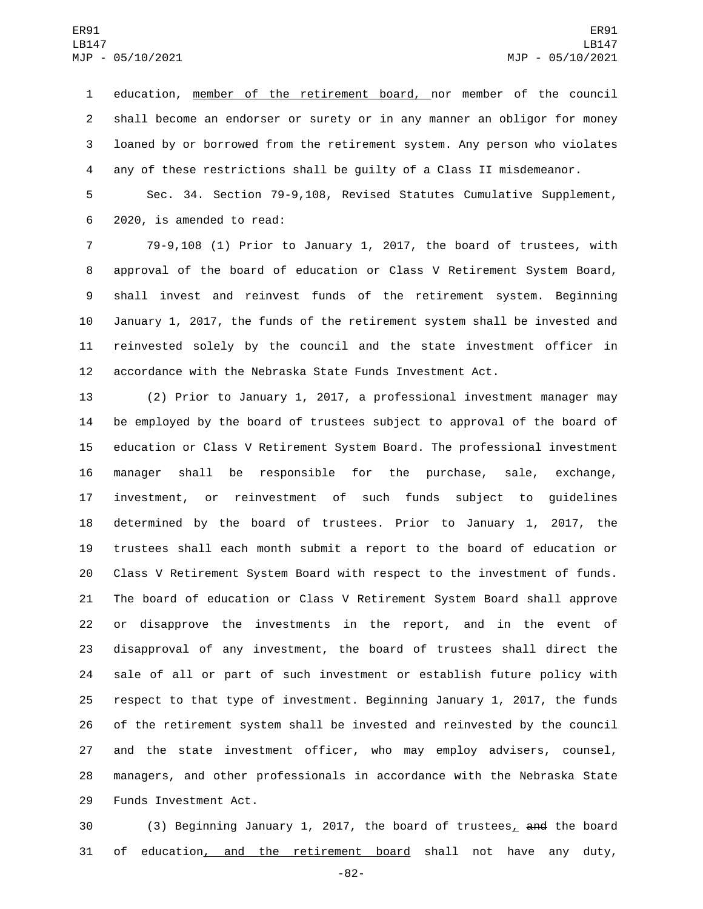1 education, member of the retirement board, nor member of the council shall become an endorser or surety or in any manner an obligor for money loaned by or borrowed from the retirement system. Any person who violates any of these restrictions shall be guilty of a Class II misdemeanor.

 Sec. 34. Section 79-9,108, Revised Statutes Cumulative Supplement, 2020, is amended to read:6

 79-9,108 (1) Prior to January 1, 2017, the board of trustees, with approval of the board of education or Class V Retirement System Board, shall invest and reinvest funds of the retirement system. Beginning January 1, 2017, the funds of the retirement system shall be invested and reinvested solely by the council and the state investment officer in accordance with the Nebraska State Funds Investment Act.

 (2) Prior to January 1, 2017, a professional investment manager may be employed by the board of trustees subject to approval of the board of education or Class V Retirement System Board. The professional investment manager shall be responsible for the purchase, sale, exchange, investment, or reinvestment of such funds subject to guidelines determined by the board of trustees. Prior to January 1, 2017, the trustees shall each month submit a report to the board of education or Class V Retirement System Board with respect to the investment of funds. The board of education or Class V Retirement System Board shall approve or disapprove the investments in the report, and in the event of disapproval of any investment, the board of trustees shall direct the sale of all or part of such investment or establish future policy with respect to that type of investment. Beginning January 1, 2017, the funds of the retirement system shall be invested and reinvested by the council and the state investment officer, who may employ advisers, counsel, managers, and other professionals in accordance with the Nebraska State 29 Funds Investment Act.

 (3) Beginning January 1, 2017, the board of trustees, and the board of education, and the retirement board shall not have any duty,

-82-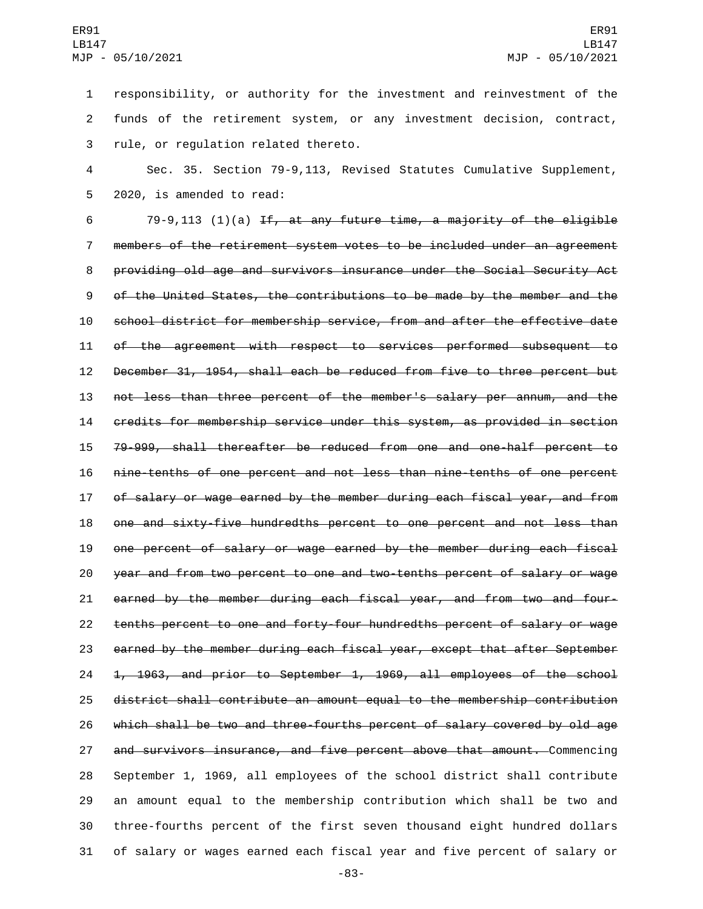responsibility, or authority for the investment and reinvestment of the funds of the retirement system, or any investment decision, contract, 3 rule, or regulation related thereto.

 Sec. 35. Section 79-9,113, Revised Statutes Cumulative Supplement, 5 2020, is amended to read:

 $79-9,113$  (1)(a) If, at any future time, a majority of the eligible members of the retirement system votes to be included under an agreement providing old age and survivors insurance under the Social Security Act of the United States, the contributions to be made by the member and the school district for membership service, from and after the effective date of the agreement with respect to services performed subsequent to December 31, 1954, shall each be reduced from five to three percent but not less than three percent of the member's salary per annum, and the credits for membership service under this system, as provided in section 79-999, shall thereafter be reduced from one and one-half percent to nine-tenths of one percent and not less than nine-tenths of one percent of salary or wage earned by the member during each fiscal year, and from one and sixty-five hundredths percent to one percent and not less than one percent of salary or wage earned by the member during each fiscal year and from two percent to one and two-tenths percent of salary or wage earned by the member during each fiscal year, and from two and four- tenths percent to one and forty-four hundredths percent of salary or wage earned by the member during each fiscal year, except that after September 1, 1963, and prior to September 1, 1969, all employees of the school district shall contribute an amount equal to the membership contribution which shall be two and three-fourths percent of salary covered by old age 27 and survivors insurance, and five percent above that amount. Commencing September 1, 1969, all employees of the school district shall contribute an amount equal to the membership contribution which shall be two and three-fourths percent of the first seven thousand eight hundred dollars of salary or wages earned each fiscal year and five percent of salary or

-83-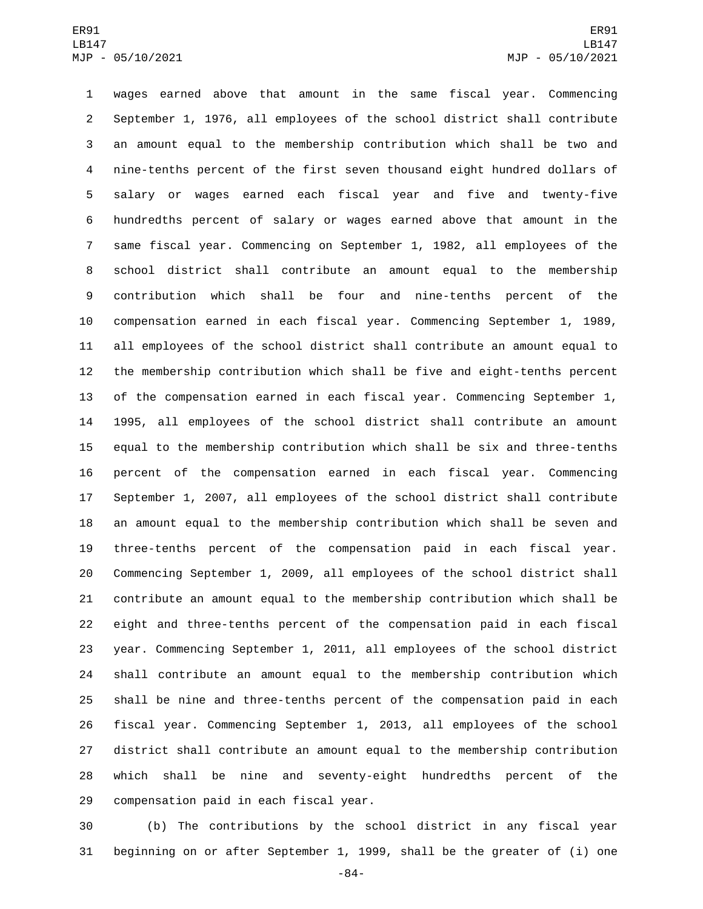wages earned above that amount in the same fiscal year. Commencing September 1, 1976, all employees of the school district shall contribute an amount equal to the membership contribution which shall be two and nine-tenths percent of the first seven thousand eight hundred dollars of salary or wages earned each fiscal year and five and twenty-five hundredths percent of salary or wages earned above that amount in the same fiscal year. Commencing on September 1, 1982, all employees of the school district shall contribute an amount equal to the membership contribution which shall be four and nine-tenths percent of the compensation earned in each fiscal year. Commencing September 1, 1989, all employees of the school district shall contribute an amount equal to the membership contribution which shall be five and eight-tenths percent of the compensation earned in each fiscal year. Commencing September 1, 1995, all employees of the school district shall contribute an amount equal to the membership contribution which shall be six and three-tenths percent of the compensation earned in each fiscal year. Commencing September 1, 2007, all employees of the school district shall contribute an amount equal to the membership contribution which shall be seven and three-tenths percent of the compensation paid in each fiscal year. Commencing September 1, 2009, all employees of the school district shall contribute an amount equal to the membership contribution which shall be eight and three-tenths percent of the compensation paid in each fiscal year. Commencing September 1, 2011, all employees of the school district shall contribute an amount equal to the membership contribution which shall be nine and three-tenths percent of the compensation paid in each fiscal year. Commencing September 1, 2013, all employees of the school district shall contribute an amount equal to the membership contribution which shall be nine and seventy-eight hundredths percent of the 29 compensation paid in each fiscal year.

 (b) The contributions by the school district in any fiscal year beginning on or after September 1, 1999, shall be the greater of (i) one

-84-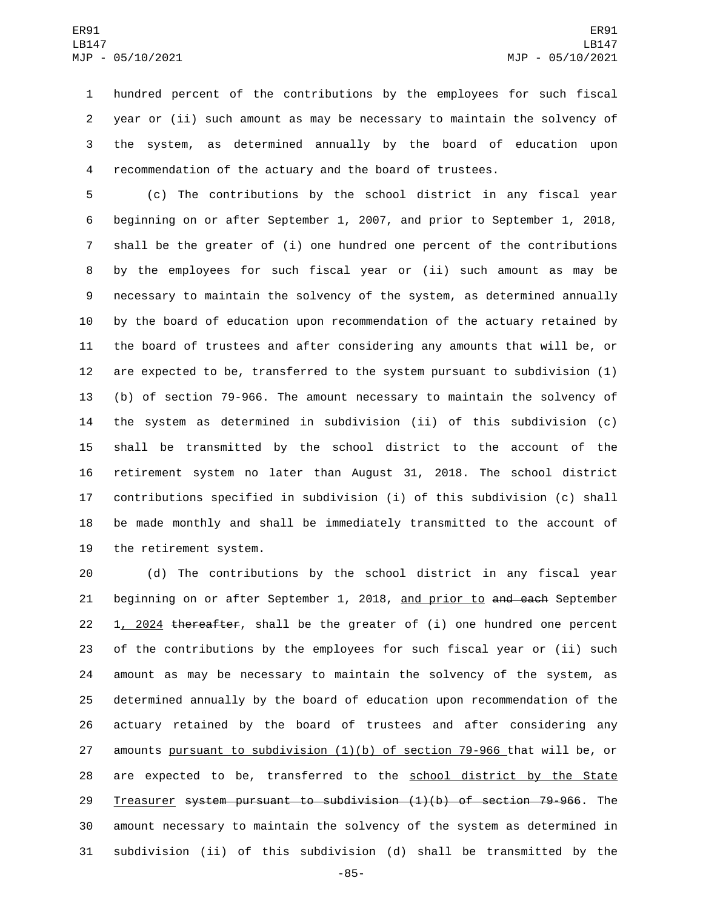hundred percent of the contributions by the employees for such fiscal year or (ii) such amount as may be necessary to maintain the solvency of the system, as determined annually by the board of education upon recommendation of the actuary and the board of trustees.

 (c) The contributions by the school district in any fiscal year beginning on or after September 1, 2007, and prior to September 1, 2018, shall be the greater of (i) one hundred one percent of the contributions by the employees for such fiscal year or (ii) such amount as may be necessary to maintain the solvency of the system, as determined annually by the board of education upon recommendation of the actuary retained by the board of trustees and after considering any amounts that will be, or are expected to be, transferred to the system pursuant to subdivision (1) (b) of section 79-966. The amount necessary to maintain the solvency of the system as determined in subdivision (ii) of this subdivision (c) shall be transmitted by the school district to the account of the retirement system no later than August 31, 2018. The school district contributions specified in subdivision (i) of this subdivision (c) shall be made monthly and shall be immediately transmitted to the account of 19 the retirement system.

 (d) The contributions by the school district in any fiscal year 21 beginning on or after September 1, 2018, and prior to and each September  $1, 2024$  thereafter, shall be the greater of (i) one hundred one percent of the contributions by the employees for such fiscal year or (ii) such amount as may be necessary to maintain the solvency of the system, as determined annually by the board of education upon recommendation of the actuary retained by the board of trustees and after considering any 27 amounts pursuant to subdivision  $(1)(b)$  of section 79-966 that will be, or are expected to be, transferred to the school district by the State Treasurer system pursuant to subdivision (1)(b) of section 79-966. The amount necessary to maintain the solvency of the system as determined in subdivision (ii) of this subdivision (d) shall be transmitted by the

-85-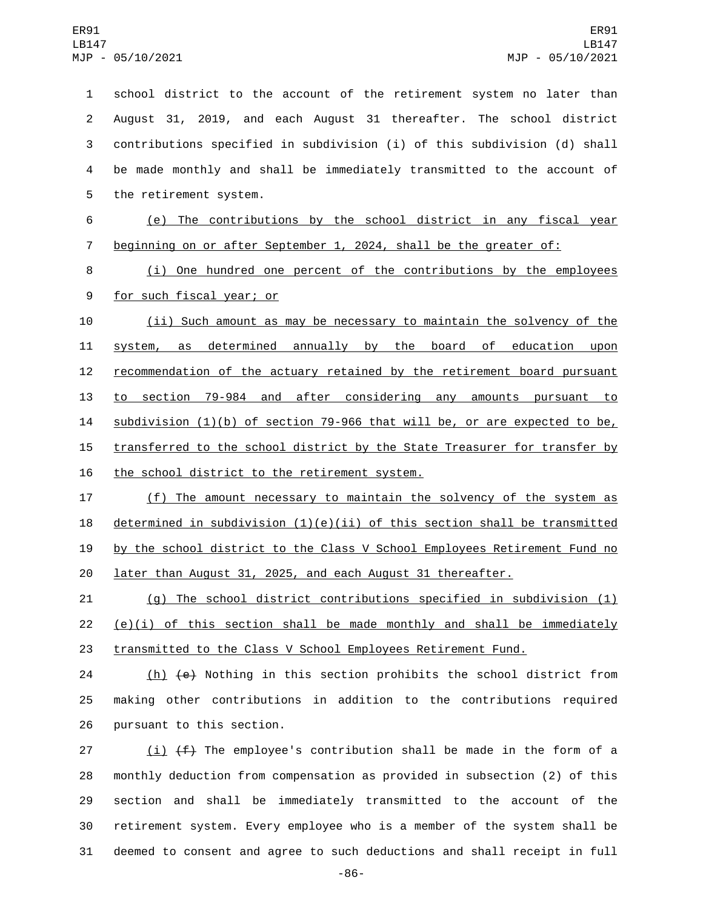school district to the account of the retirement system no later than August 31, 2019, and each August 31 thereafter. The school district contributions specified in subdivision (i) of this subdivision (d) shall be made monthly and shall be immediately transmitted to the account of 5 the retirement system. (e) The contributions by the school district in any fiscal year beginning on or after September 1, 2024, shall be the greater of: (i) One hundred one percent of the contributions by the employees 9 for such fiscal year; or (ii) Such amount as may be necessary to maintain the solvency of the system, as determined annually by the board of education upon 12 recommendation of the actuary retained by the retirement board pursuant to section 79-984 and after considering any amounts pursuant to subdivision (1)(b) of section 79-966 that will be, or are expected to be, 15 transferred to the school district by the State Treasurer for transfer by 16 the school district to the retirement system.

 (f) The amount necessary to maintain the solvency of the system as 18 determined in subdivision  $(1)(e)(ii)$  of this section shall be transmitted by the school district to the Class V School Employees Retirement Fund no later than August 31, 2025, and each August 31 thereafter.

 (g) The school district contributions specified in subdivision (1) (e)(i) of this section shall be made monthly and shall be immediately transmitted to the Class V School Employees Retirement Fund.

 (h) (e) Nothing in this section prohibits the school district from making other contributions in addition to the contributions required 26 pursuant to this section.

 $(i)$   $(f)$  The employee's contribution shall be made in the form of a monthly deduction from compensation as provided in subsection (2) of this section and shall be immediately transmitted to the account of the retirement system. Every employee who is a member of the system shall be deemed to consent and agree to such deductions and shall receipt in full

-86-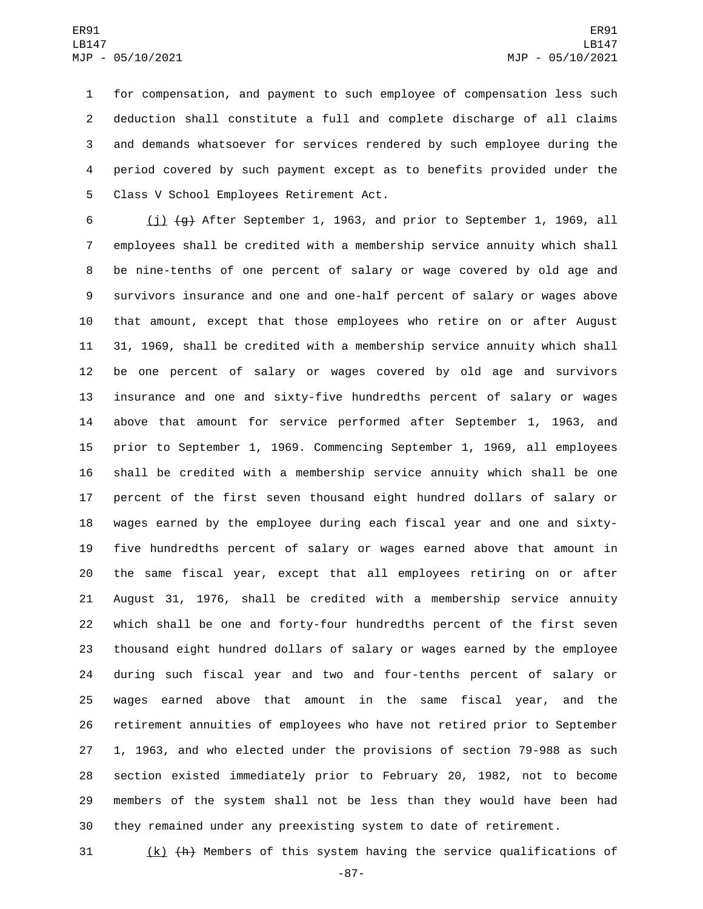for compensation, and payment to such employee of compensation less such deduction shall constitute a full and complete discharge of all claims and demands whatsoever for services rendered by such employee during the period covered by such payment except as to benefits provided under the 5 Class V School Employees Retirement Act.

 (j) (g) After September 1, 1963, and prior to September 1, 1969, all employees shall be credited with a membership service annuity which shall be nine-tenths of one percent of salary or wage covered by old age and survivors insurance and one and one-half percent of salary or wages above that amount, except that those employees who retire on or after August 31, 1969, shall be credited with a membership service annuity which shall be one percent of salary or wages covered by old age and survivors insurance and one and sixty-five hundredths percent of salary or wages above that amount for service performed after September 1, 1963, and prior to September 1, 1969. Commencing September 1, 1969, all employees shall be credited with a membership service annuity which shall be one percent of the first seven thousand eight hundred dollars of salary or wages earned by the employee during each fiscal year and one and sixty- five hundredths percent of salary or wages earned above that amount in the same fiscal year, except that all employees retiring on or after August 31, 1976, shall be credited with a membership service annuity which shall be one and forty-four hundredths percent of the first seven thousand eight hundred dollars of salary or wages earned by the employee during such fiscal year and two and four-tenths percent of salary or wages earned above that amount in the same fiscal year, and the retirement annuities of employees who have not retired prior to September 1, 1963, and who elected under the provisions of section 79-988 as such section existed immediately prior to February 20, 1982, not to become members of the system shall not be less than they would have been had they remained under any preexisting system to date of retirement.

(k) (h) Members of this system having the service qualifications of

-87-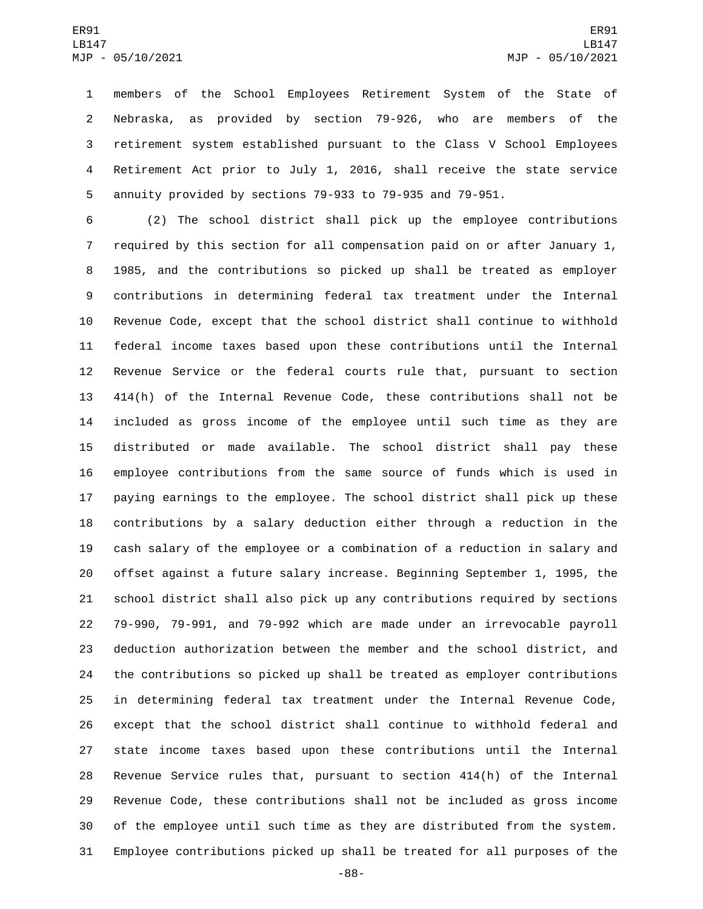members of the School Employees Retirement System of the State of Nebraska, as provided by section 79-926, who are members of the retirement system established pursuant to the Class V School Employees Retirement Act prior to July 1, 2016, shall receive the state service annuity provided by sections 79-933 to 79-935 and 79-951.

 (2) The school district shall pick up the employee contributions required by this section for all compensation paid on or after January 1, 1985, and the contributions so picked up shall be treated as employer contributions in determining federal tax treatment under the Internal Revenue Code, except that the school district shall continue to withhold federal income taxes based upon these contributions until the Internal Revenue Service or the federal courts rule that, pursuant to section 414(h) of the Internal Revenue Code, these contributions shall not be included as gross income of the employee until such time as they are distributed or made available. The school district shall pay these employee contributions from the same source of funds which is used in paying earnings to the employee. The school district shall pick up these contributions by a salary deduction either through a reduction in the cash salary of the employee or a combination of a reduction in salary and offset against a future salary increase. Beginning September 1, 1995, the school district shall also pick up any contributions required by sections 79-990, 79-991, and 79-992 which are made under an irrevocable payroll deduction authorization between the member and the school district, and the contributions so picked up shall be treated as employer contributions in determining federal tax treatment under the Internal Revenue Code, except that the school district shall continue to withhold federal and state income taxes based upon these contributions until the Internal Revenue Service rules that, pursuant to section 414(h) of the Internal Revenue Code, these contributions shall not be included as gross income of the employee until such time as they are distributed from the system. Employee contributions picked up shall be treated for all purposes of the

-88-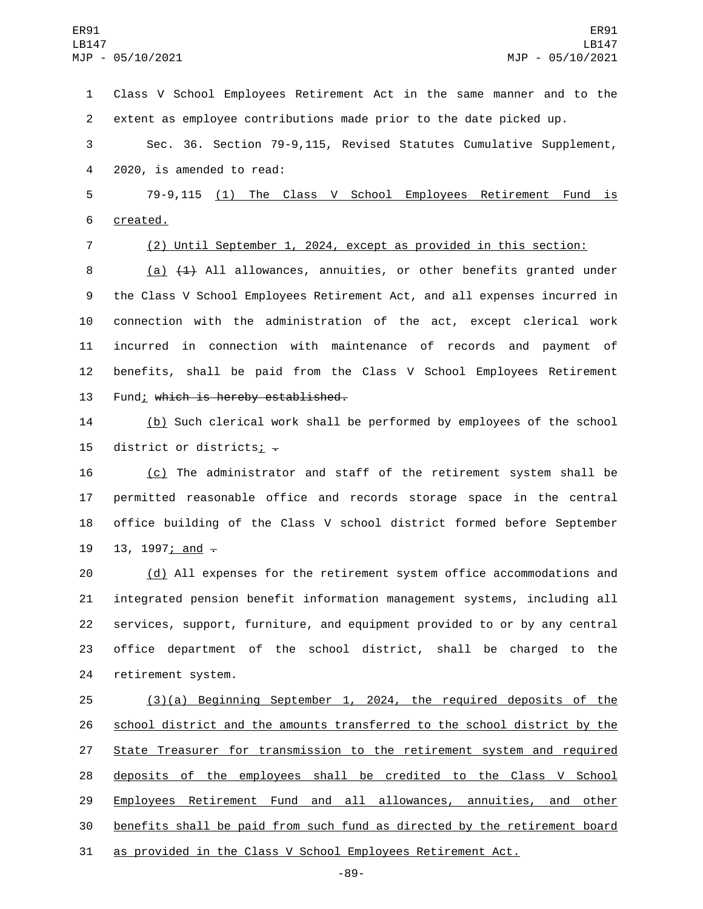Class V School Employees Retirement Act in the same manner and to the extent as employee contributions made prior to the date picked up.

 Sec. 36. Section 79-9,115, Revised Statutes Cumulative Supplement, 4 2020, is amended to read:

 79-9,115 (1) The Class V School Employees Retirement Fund is 6 created.

(2) Until September 1, 2024, except as provided in this section:

 (a) (1) All allowances, annuities, or other benefits granted under the Class V School Employees Retirement Act, and all expenses incurred in connection with the administration of the act, except clerical work incurred in connection with maintenance of records and payment of benefits, shall be paid from the Class V School Employees Retirement 13 Fund; which is hereby established.

 (b) Such clerical work shall be performed by employees of the school 15 district or districts;  $-$ 

 (c) The administrator and staff of the retirement system shall be permitted reasonable office and records storage space in the central office building of the Class V school district formed before September 19 13, 1997; and  $-$ 

 (d) All expenses for the retirement system office accommodations and integrated pension benefit information management systems, including all services, support, furniture, and equipment provided to or by any central office department of the school district, shall be charged to the 24 retirement system.

 (3)(a) Beginning September 1, 2024, the required deposits of the 26 school district and the amounts transferred to the school district by the 27 State Treasurer for transmission to the retirement system and required deposits of the employees shall be credited to the Class V School Employees Retirement Fund and all allowances, annuities, and other benefits shall be paid from such fund as directed by the retirement board as provided in the Class V School Employees Retirement Act.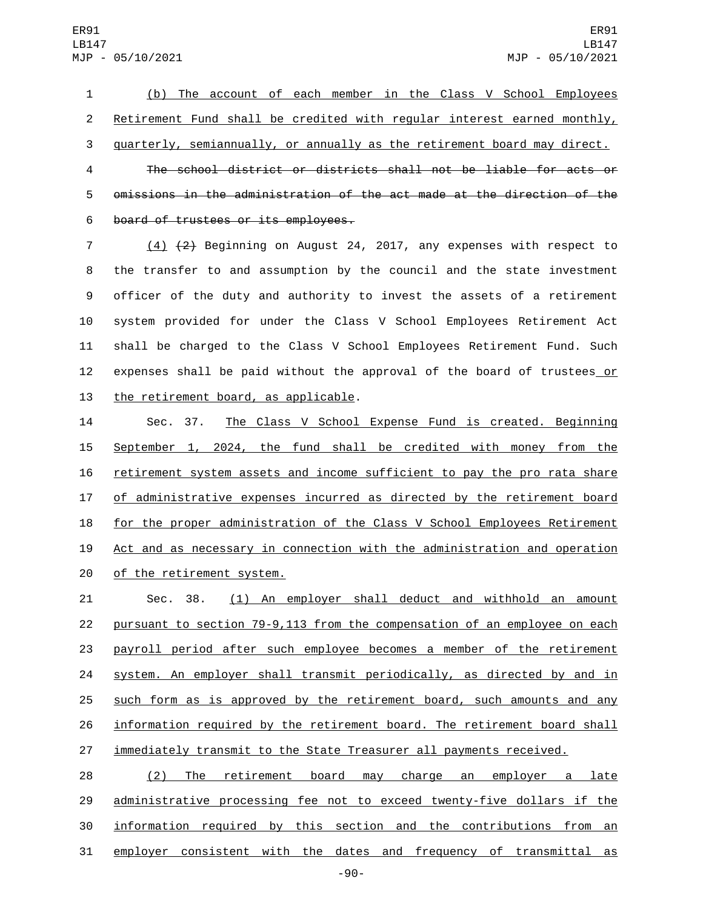(b) The account of each member in the Class V School Employees Retirement Fund shall be credited with regular interest earned monthly, quarterly, semiannually, or annually as the retirement board may direct. The school district or districts shall not be liable for acts or

 omissions in the administration of the act made at the direction of the 6 board of trustees or its employees.

 (4) (2) Beginning on August 24, 2017, any expenses with respect to the transfer to and assumption by the council and the state investment officer of the duty and authority to invest the assets of a retirement system provided for under the Class V School Employees Retirement Act shall be charged to the Class V School Employees Retirement Fund. Such 12 expenses shall be paid without the approval of the board of trustees or 13 the retirement board, as applicable.

 Sec. 37. The Class V School Expense Fund is created. Beginning September 1, 2024, the fund shall be credited with money from the retirement system assets and income sufficient to pay the pro rata share of administrative expenses incurred as directed by the retirement board 18 for the proper administration of the Class V School Employees Retirement Act and as necessary in connection with the administration and operation 20 of the retirement system.

 Sec. 38. (1) An employer shall deduct and withhold an amount pursuant to section 79-9,113 from the compensation of an employee on each payroll period after such employee becomes a member of the retirement system. An employer shall transmit periodically, as directed by and in such form as is approved by the retirement board, such amounts and any information required by the retirement board. The retirement board shall 27 immediately transmit to the State Treasurer all payments received.

 (2) The retirement board may charge an employer a late administrative processing fee not to exceed twenty-five dollars if the information required by this section and the contributions from an employer consistent with the dates and frequency of transmittal as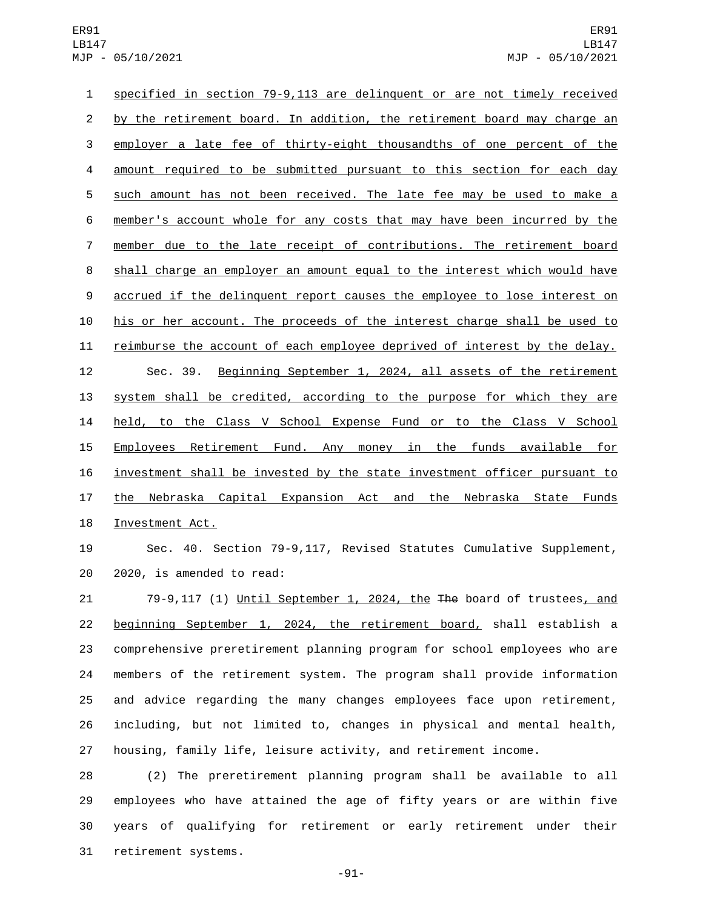specified in section 79-9,113 are delinquent or are not timely received 2 by the retirement board. In addition, the retirement board may charge an employer a late fee of thirty-eight thousandths of one percent of the amount required to be submitted pursuant to this section for each day such amount has not been received. The late fee may be used to make a member's account whole for any costs that may have been incurred by the member due to the late receipt of contributions. The retirement board shall charge an employer an amount equal to the interest which would have 9 accrued if the delinquent report causes the employee to lose interest on his or her account. The proceeds of the interest charge shall be used to reimburse the account of each employee deprived of interest by the delay. Sec. 39. Beginning September 1, 2024, all assets of the retirement system shall be credited, according to the purpose for which they are 14 held, to the Class V School Expense Fund or to the Class V School Employees Retirement Fund. Any money in the funds available for investment shall be invested by the state investment officer pursuant to 17 the Nebraska Capital Expansion Act and the Nebraska State Funds 18 Investment Act.

 Sec. 40. Section 79-9,117, Revised Statutes Cumulative Supplement, 20 2020, is amended to read:

21 79-9,117 (1) Until September 1, 2024, the The board of trustees, and beginning September 1, 2024, the retirement board, shall establish a comprehensive preretirement planning program for school employees who are members of the retirement system. The program shall provide information and advice regarding the many changes employees face upon retirement, including, but not limited to, changes in physical and mental health, housing, family life, leisure activity, and retirement income.

 (2) The preretirement planning program shall be available to all employees who have attained the age of fifty years or are within five years of qualifying for retirement or early retirement under their 31 retirement systems.

-91-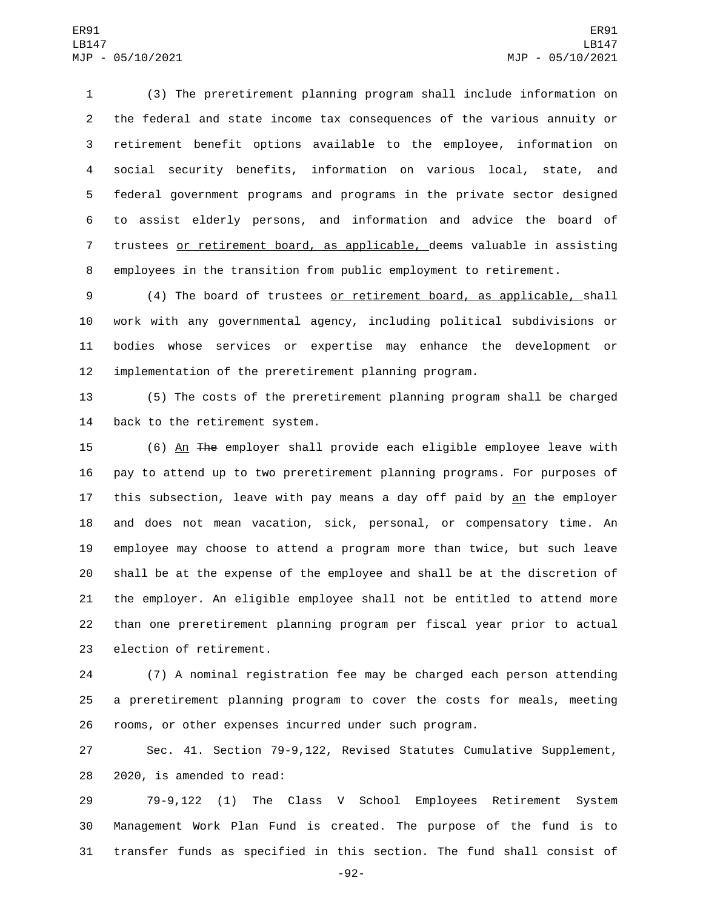(3) The preretirement planning program shall include information on the federal and state income tax consequences of the various annuity or retirement benefit options available to the employee, information on social security benefits, information on various local, state, and federal government programs and programs in the private sector designed to assist elderly persons, and information and advice the board of trustees or retirement board, as applicable, deems valuable in assisting employees in the transition from public employment to retirement.

 (4) The board of trustees or retirement board, as applicable, shall work with any governmental agency, including political subdivisions or bodies whose services or expertise may enhance the development or implementation of the preretirement planning program.

 (5) The costs of the preretirement planning program shall be charged 14 back to the retirement system.

15 (6) An The employer shall provide each eligible employee leave with pay to attend up to two preretirement planning programs. For purposes of 17 this subsection, leave with pay means a day off paid by an the employer and does not mean vacation, sick, personal, or compensatory time. An employee may choose to attend a program more than twice, but such leave shall be at the expense of the employee and shall be at the discretion of the employer. An eligible employee shall not be entitled to attend more than one preretirement planning program per fiscal year prior to actual 23 election of retirement.

 (7) A nominal registration fee may be charged each person attending a preretirement planning program to cover the costs for meals, meeting rooms, or other expenses incurred under such program.

 Sec. 41. Section 79-9,122, Revised Statutes Cumulative Supplement, 28 2020, is amended to read:

 79-9,122 (1) The Class V School Employees Retirement System Management Work Plan Fund is created. The purpose of the fund is to transfer funds as specified in this section. The fund shall consist of

-92-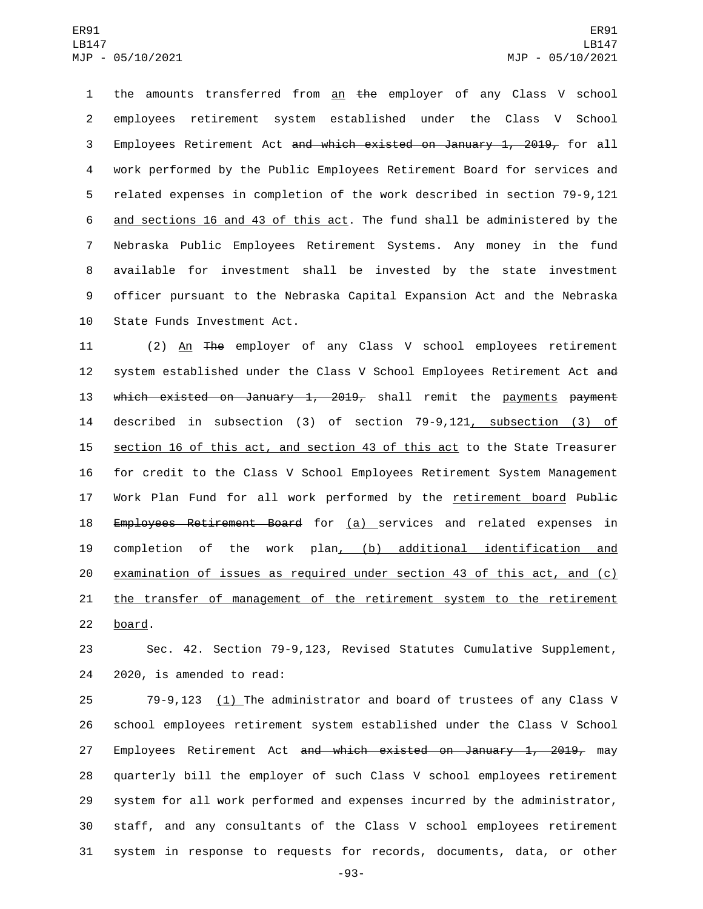1 the amounts transferred from an the employer of any Class V school employees retirement system established under the Class V School Employees Retirement Act and which existed on January 1, 2019, for all work performed by the Public Employees Retirement Board for services and related expenses in completion of the work described in section 79-9,121 6 and sections 16 and 43 of this act. The fund shall be administered by the Nebraska Public Employees Retirement Systems. Any money in the fund available for investment shall be invested by the state investment officer pursuant to the Nebraska Capital Expansion Act and the Nebraska 10 State Funds Investment Act.

11 (2) An The employer of any Class V school employees retirement 12 system established under the Class V School Employees Retirement Act and 13 which existed on January 1, 2019, shall remit the payments payment 14 described in subsection (3) of section 79-9,121, subsection (3) of 15 section 16 of this act, and section 43 of this act to the State Treasurer 16 for credit to the Class V School Employees Retirement System Management 17 Work Plan Fund for all work performed by the retirement board Public 18 Employees Retirement Board for (a) services and related expenses in 19 completion of the work plan, (b) additional identification and 20 examination of issues as required under section 43 of this act, and (c) 21 the transfer of management of the retirement system to the retirement 22 board.

23 Sec. 42. Section 79-9,123, Revised Statutes Cumulative Supplement, 24 2020, is amended to read:

 79-9,123 (1) The administrator and board of trustees of any Class V school employees retirement system established under the Class V School 27 Employees Retirement Act and which existed on January 1, 2019, may quarterly bill the employer of such Class V school employees retirement system for all work performed and expenses incurred by the administrator, staff, and any consultants of the Class V school employees retirement system in response to requests for records, documents, data, or other

-93-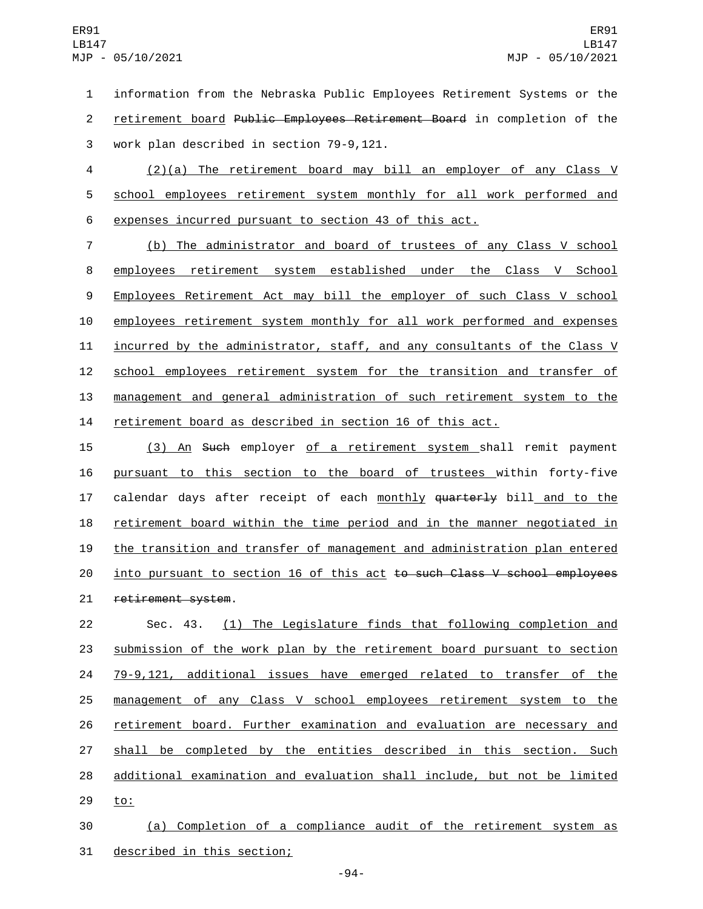1 information from the Nebraska Public Employees Retirement Systems or the 2 retirement board Public Employees Retirement Board in completion of the 3 work plan described in section 79-9,121.

4 (2)(a) The retirement board may bill an employer of any Class V 5 school employees retirement system monthly for all work performed and 6 expenses incurred pursuant to section 43 of this act.

 (b) The administrator and board of trustees of any Class V school employees retirement system established under the Class V School 9 Employees Retirement Act may bill the employer of such Class V school employees retirement system monthly for all work performed and expenses incurred by the administrator, staff, and any consultants of the Class V 12 school employees retirement system for the transition and transfer of management and general administration of such retirement system to the retirement board as described in section 16 of this act.

15 (3) An Such employer of a retirement system shall remit payment 16 pursuant to this section to the board of trustees within forty-five 17 calendar days after receipt of each monthly quarterly bill and to the 18 retirement board within the time period and in the manner negotiated in 19 the transition and transfer of management and administration plan entered 20 <u>into pursuant to section 16 of this act</u> to such Class V school employees 21 retirement system.

 Sec. 43. (1) The Legislature finds that following completion and submission of the work plan by the retirement board pursuant to section 79-9,121, additional issues have emerged related to transfer of the management of any Class V school employees retirement system to the retirement board. Further examination and evaluation are necessary and 27 shall be completed by the entities described in this section. Such additional examination and evaluation shall include, but not be limited 29 to:

30 (a) Completion of a compliance audit of the retirement system as 31 described in this section;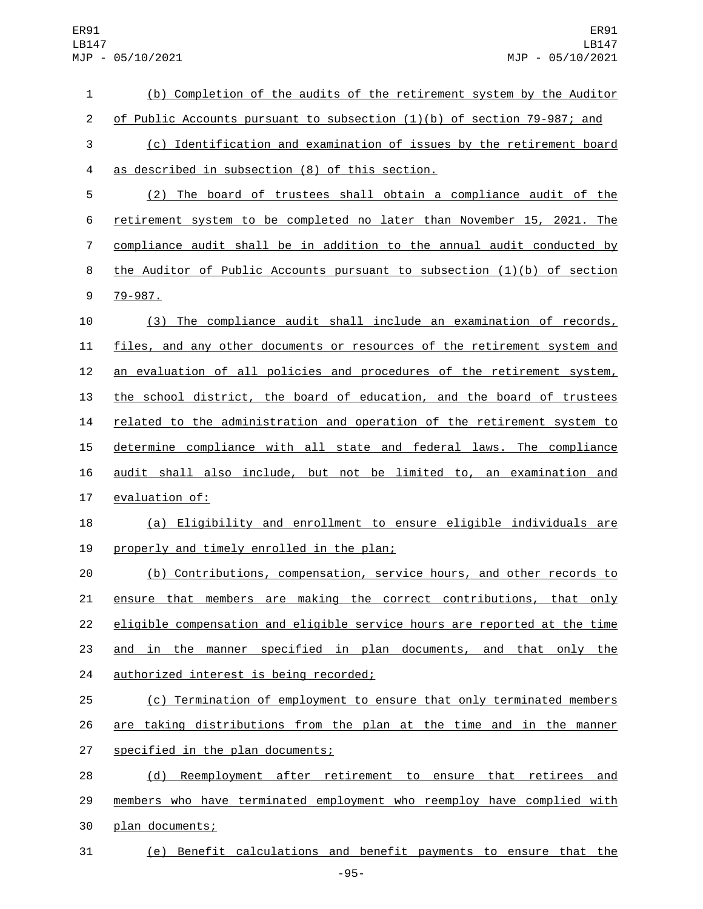| $\mathbf 1$    | (b) Completion of the audits of the retirement system by the Auditor      |
|----------------|---------------------------------------------------------------------------|
| $\overline{c}$ | of Public Accounts pursuant to subsection (1)(b) of section 79-987; and   |
| 3              | (c) Identification and examination of issues by the retirement board      |
| 4              | as described in subsection (8) of this section.                           |
| 5              | (2) The board of trustees shall obtain a compliance audit of the          |
| 6              | retirement system to be completed no later than November 15, 2021. The    |
| $\overline{7}$ | compliance audit shall be in addition to the annual audit conducted by    |
| 8              | the Auditor of Public Accounts pursuant to subsection $(1)(b)$ of section |
| 9              | 79-987.                                                                   |
| 10             | (3) The compliance audit shall include an examination of records,         |
| 11             | files, and any other documents or resources of the retirement system and  |
| 12             | an evaluation of all policies and procedures of the retirement system,    |
| 13             | the school district, the board of education, and the board of trustees    |
| 14             | related to the administration and operation of the retirement system to   |
| 15             | determine compliance with all state and federal laws. The compliance      |
| 16             | audit shall also include, but not be limited to, an examination and       |
| 17             | evaluation of:                                                            |
| 18             | (a) Eligibility and enrollment to ensure eligible individuals are         |
| 19             | properly and timely enrolled in the plan;                                 |
| 20             | (b) Contributions, compensation, service hours, and other records to      |
| 21             | ensure that members are making the correct contributions, that only       |
| 22             | eligible compensation and eligible service hours are reported at the time |
| 23             | and in the manner specified in plan documents, and that only the          |
| 24             | authorized interest is being recorded;                                    |
| 25             | (c) Termination of employment to ensure that only terminated members      |
| 26             | are taking distributions from the plan at the time and in the manner      |
| 27             | specified in the plan documents;                                          |
| 28             | (d) Reemployment after retirement to ensure that retirees and             |
| 29             | members who have terminated employment who reemploy have complied with    |
| 30             | plan documents;                                                           |

(e) Benefit calculations and benefit payments to ensure that the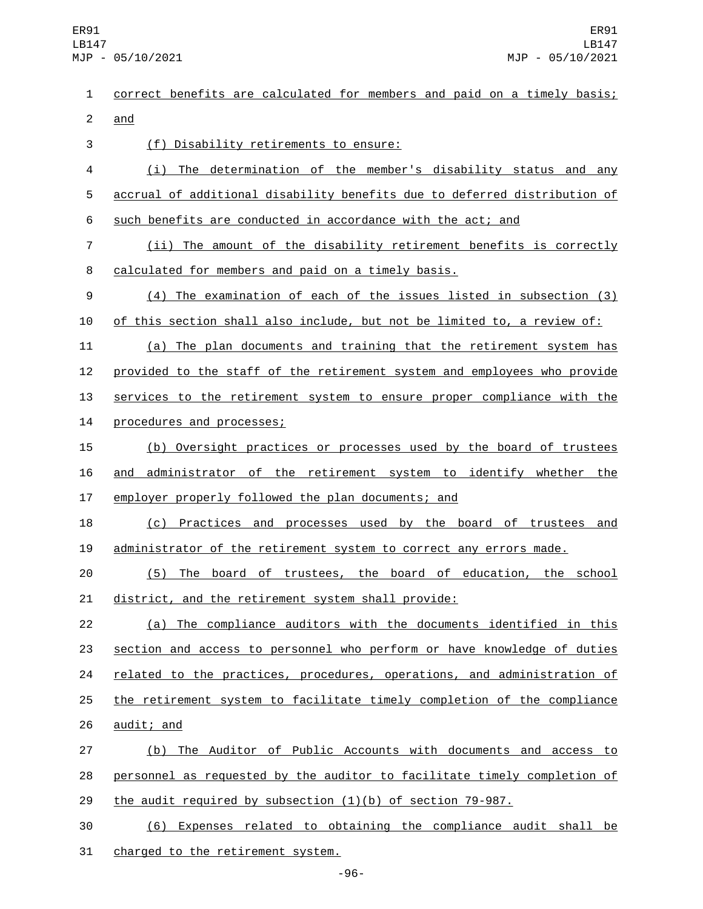correct benefits are calculated for members and paid on a timely basis; 2 and (f) Disability retirements to ensure:3 (i) The determination of the member's disability status and any accrual of additional disability benefits due to deferred distribution of such benefits are conducted in accordance with the act; and (ii) The amount of the disability retirement benefits is correctly 8 calculated for members and paid on a timely basis. (4) The examination of each of the issues listed in subsection (3) of this section shall also include, but not be limited to, a review of: (a) The plan documents and training that the retirement system has provided to the staff of the retirement system and employees who provide services to the retirement system to ensure proper compliance with the 14 procedures and processes; (b) Oversight practices or processes used by the board of trustees and administrator of the retirement system to identify whether the employer properly followed the plan documents; and (c) Practices and processes used by the board of trustees and administrator of the retirement system to correct any errors made. (5) The board of trustees, the board of education, the school district, and the retirement system shall provide: (a) The compliance auditors with the documents identified in this section and access to personnel who perform or have knowledge of duties 24 related to the practices, procedures, operations, and administration of the retirement system to facilitate timely completion of the compliance 26 audit; and (b) The Auditor of Public Accounts with documents and access to personnel as requested by the auditor to facilitate timely completion of the audit required by subsection (1)(b) of section 79-987. (6) Expenses related to obtaining the compliance audit shall be 31 charged to the retirement system.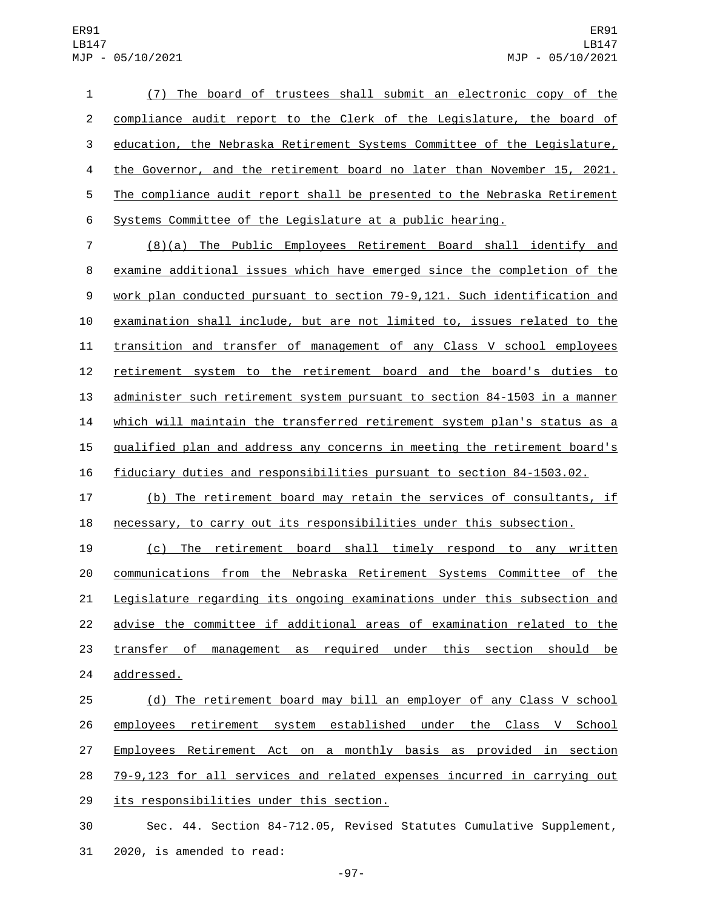(7) The board of trustees shall submit an electronic copy of the compliance audit report to the Clerk of the Legislature, the board of education, the Nebraska Retirement Systems Committee of the Legislature, the Governor, and the retirement board no later than November 15, 2021. The compliance audit report shall be presented to the Nebraska Retirement Systems Committee of the Legislature at a public hearing.

 (8)(a) The Public Employees Retirement Board shall identify and examine additional issues which have emerged since the completion of the work plan conducted pursuant to section 79-9,121. Such identification and examination shall include, but are not limited to, issues related to the transition and transfer of management of any Class V school employees retirement system to the retirement board and the board's duties to administer such retirement system pursuant to section 84-1503 in a manner which will maintain the transferred retirement system plan's status as a 15 qualified plan and address any concerns in meeting the retirement board's fiduciary duties and responsibilities pursuant to section 84-1503.02.

 (b) The retirement board may retain the services of consultants, if necessary, to carry out its responsibilities under this subsection.

 (c) The retirement board shall timely respond to any written communications from the Nebraska Retirement Systems Committee of the Legislature regarding its ongoing examinations under this subsection and advise the committee if additional areas of examination related to the 23 transfer of management as required under this section should be 24 addressed.

 (d) The retirement board may bill an employer of any Class V school 26 employees retirement system established under the Class V School Employees Retirement Act on a monthly basis as provided in section 79-9,123 for all services and related expenses incurred in carrying out 29 its responsibilities under this section.

 Sec. 44. Section 84-712.05, Revised Statutes Cumulative Supplement, 31 2020, is amended to read:

-97-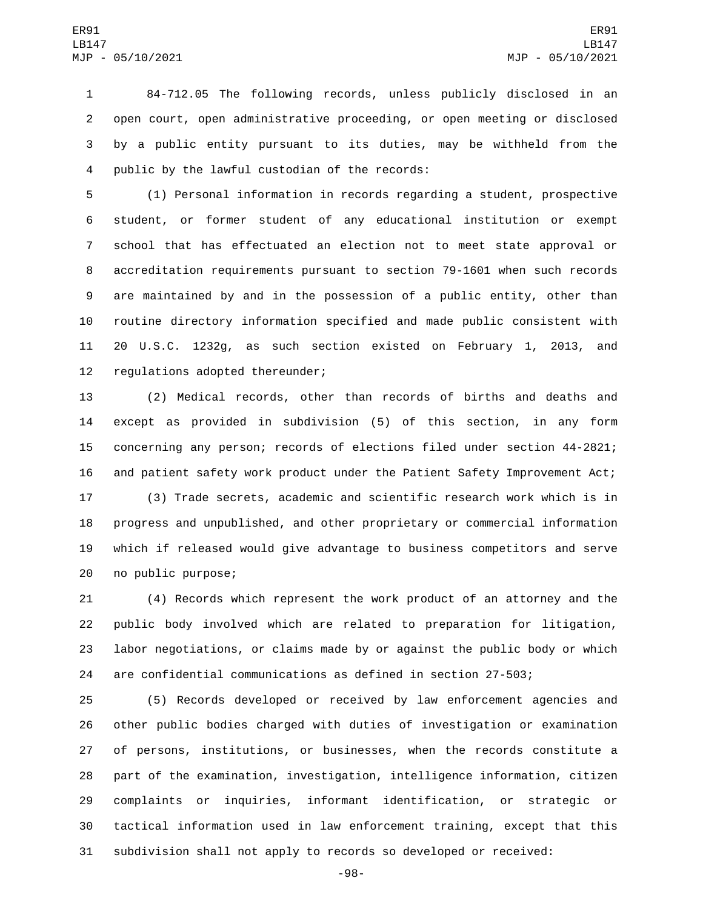84-712.05 The following records, unless publicly disclosed in an open court, open administrative proceeding, or open meeting or disclosed by a public entity pursuant to its duties, may be withheld from the 4 public by the lawful custodian of the records:

 (1) Personal information in records regarding a student, prospective student, or former student of any educational institution or exempt school that has effectuated an election not to meet state approval or accreditation requirements pursuant to section 79-1601 when such records are maintained by and in the possession of a public entity, other than routine directory information specified and made public consistent with 20 U.S.C. 1232g, as such section existed on February 1, 2013, and 12 regulations adopted thereunder;

 (2) Medical records, other than records of births and deaths and except as provided in subdivision (5) of this section, in any form concerning any person; records of elections filed under section 44-2821; and patient safety work product under the Patient Safety Improvement Act;

 (3) Trade secrets, academic and scientific research work which is in progress and unpublished, and other proprietary or commercial information which if released would give advantage to business competitors and serve 20 no public purpose;

 (4) Records which represent the work product of an attorney and the public body involved which are related to preparation for litigation, labor negotiations, or claims made by or against the public body or which are confidential communications as defined in section 27-503;

 (5) Records developed or received by law enforcement agencies and other public bodies charged with duties of investigation or examination of persons, institutions, or businesses, when the records constitute a part of the examination, investigation, intelligence information, citizen complaints or inquiries, informant identification, or strategic or tactical information used in law enforcement training, except that this subdivision shall not apply to records so developed or received:

-98-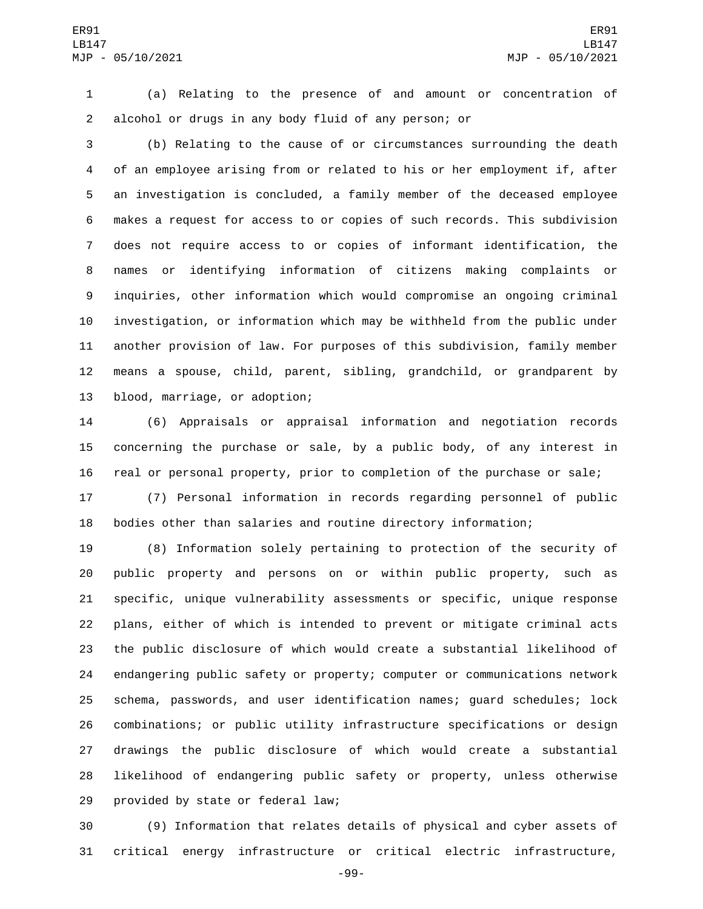(a) Relating to the presence of and amount or concentration of alcohol or drugs in any body fluid of any person; or

 (b) Relating to the cause of or circumstances surrounding the death of an employee arising from or related to his or her employment if, after an investigation is concluded, a family member of the deceased employee makes a request for access to or copies of such records. This subdivision does not require access to or copies of informant identification, the names or identifying information of citizens making complaints or inquiries, other information which would compromise an ongoing criminal investigation, or information which may be withheld from the public under another provision of law. For purposes of this subdivision, family member means a spouse, child, parent, sibling, grandchild, or grandparent by 13 blood, marriage, or adoption;

 (6) Appraisals or appraisal information and negotiation records concerning the purchase or sale, by a public body, of any interest in real or personal property, prior to completion of the purchase or sale;

 (7) Personal information in records regarding personnel of public bodies other than salaries and routine directory information;

 (8) Information solely pertaining to protection of the security of public property and persons on or within public property, such as specific, unique vulnerability assessments or specific, unique response plans, either of which is intended to prevent or mitigate criminal acts the public disclosure of which would create a substantial likelihood of endangering public safety or property; computer or communications network schema, passwords, and user identification names; guard schedules; lock combinations; or public utility infrastructure specifications or design drawings the public disclosure of which would create a substantial likelihood of endangering public safety or property, unless otherwise 29 provided by state or federal law;

 (9) Information that relates details of physical and cyber assets of critical energy infrastructure or critical electric infrastructure,

-99-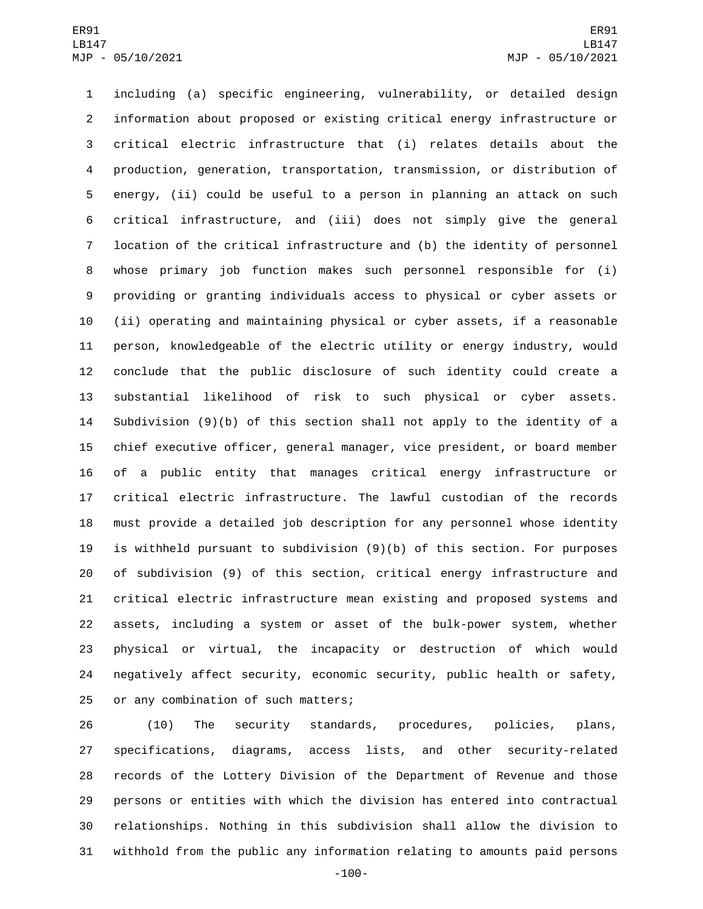including (a) specific engineering, vulnerability, or detailed design information about proposed or existing critical energy infrastructure or critical electric infrastructure that (i) relates details about the production, generation, transportation, transmission, or distribution of energy, (ii) could be useful to a person in planning an attack on such critical infrastructure, and (iii) does not simply give the general location of the critical infrastructure and (b) the identity of personnel whose primary job function makes such personnel responsible for (i) providing or granting individuals access to physical or cyber assets or (ii) operating and maintaining physical or cyber assets, if a reasonable person, knowledgeable of the electric utility or energy industry, would conclude that the public disclosure of such identity could create a substantial likelihood of risk to such physical or cyber assets. Subdivision (9)(b) of this section shall not apply to the identity of a chief executive officer, general manager, vice president, or board member of a public entity that manages critical energy infrastructure or critical electric infrastructure. The lawful custodian of the records must provide a detailed job description for any personnel whose identity is withheld pursuant to subdivision (9)(b) of this section. For purposes of subdivision (9) of this section, critical energy infrastructure and critical electric infrastructure mean existing and proposed systems and assets, including a system or asset of the bulk-power system, whether physical or virtual, the incapacity or destruction of which would negatively affect security, economic security, public health or safety, 25 or any combination of such matters;

 (10) The security standards, procedures, policies, plans, specifications, diagrams, access lists, and other security-related records of the Lottery Division of the Department of Revenue and those persons or entities with which the division has entered into contractual relationships. Nothing in this subdivision shall allow the division to withhold from the public any information relating to amounts paid persons

-100-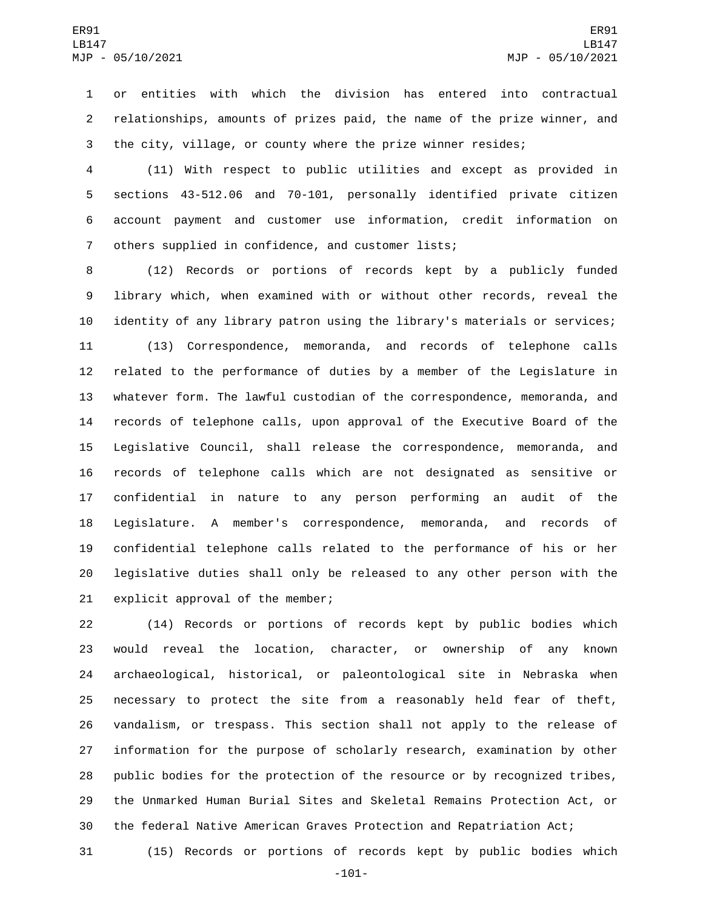or entities with which the division has entered into contractual relationships, amounts of prizes paid, the name of the prize winner, and the city, village, or county where the prize winner resides;

 (11) With respect to public utilities and except as provided in sections 43-512.06 and 70-101, personally identified private citizen account payment and customer use information, credit information on 7 others supplied in confidence, and customer lists;

 (12) Records or portions of records kept by a publicly funded library which, when examined with or without other records, reveal the identity of any library patron using the library's materials or services; (13) Correspondence, memoranda, and records of telephone calls related to the performance of duties by a member of the Legislature in whatever form. The lawful custodian of the correspondence, memoranda, and records of telephone calls, upon approval of the Executive Board of the Legislative Council, shall release the correspondence, memoranda, and records of telephone calls which are not designated as sensitive or confidential in nature to any person performing an audit of the Legislature. A member's correspondence, memoranda, and records of confidential telephone calls related to the performance of his or her legislative duties shall only be released to any other person with the 21 explicit approval of the member;

 (14) Records or portions of records kept by public bodies which would reveal the location, character, or ownership of any known archaeological, historical, or paleontological site in Nebraska when necessary to protect the site from a reasonably held fear of theft, vandalism, or trespass. This section shall not apply to the release of information for the purpose of scholarly research, examination by other public bodies for the protection of the resource or by recognized tribes, the Unmarked Human Burial Sites and Skeletal Remains Protection Act, or the federal Native American Graves Protection and Repatriation Act;

(15) Records or portions of records kept by public bodies which

-101-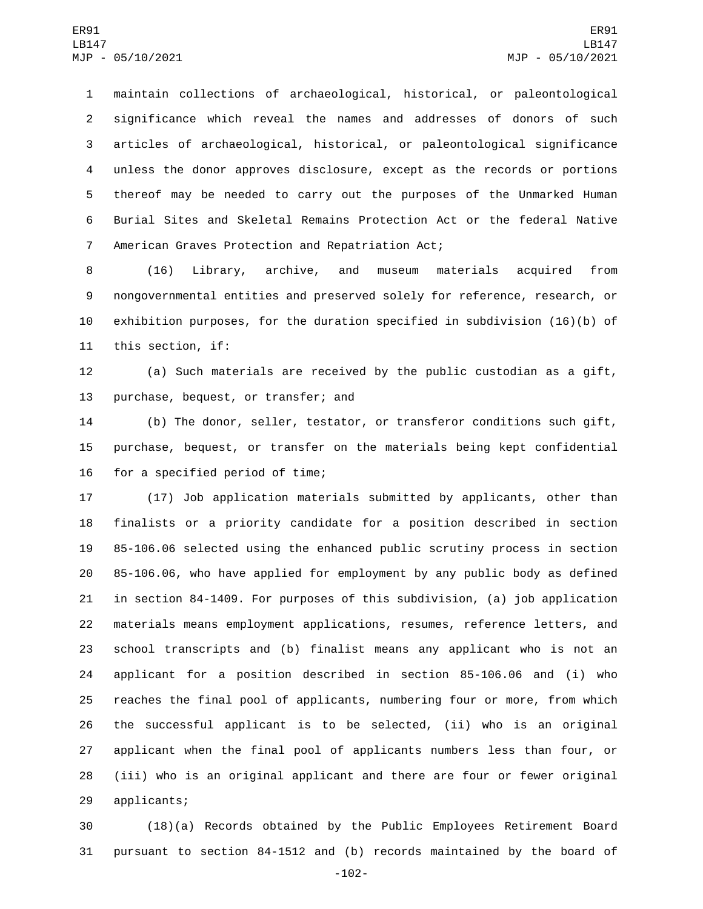maintain collections of archaeological, historical, or paleontological significance which reveal the names and addresses of donors of such articles of archaeological, historical, or paleontological significance unless the donor approves disclosure, except as the records or portions thereof may be needed to carry out the purposes of the Unmarked Human Burial Sites and Skeletal Remains Protection Act or the federal Native 7 American Graves Protection and Repatriation Act;

 (16) Library, archive, and museum materials acquired from nongovernmental entities and preserved solely for reference, research, or exhibition purposes, for the duration specified in subdivision (16)(b) of 11 this section, if:

 (a) Such materials are received by the public custodian as a gift, 13 purchase, bequest, or transfer; and

 (b) The donor, seller, testator, or transferor conditions such gift, purchase, bequest, or transfer on the materials being kept confidential 16 for a specified period of time;

 (17) Job application materials submitted by applicants, other than finalists or a priority candidate for a position described in section 85-106.06 selected using the enhanced public scrutiny process in section 85-106.06, who have applied for employment by any public body as defined in section 84-1409. For purposes of this subdivision, (a) job application materials means employment applications, resumes, reference letters, and school transcripts and (b) finalist means any applicant who is not an applicant for a position described in section 85-106.06 and (i) who reaches the final pool of applicants, numbering four or more, from which the successful applicant is to be selected, (ii) who is an original applicant when the final pool of applicants numbers less than four, or (iii) who is an original applicant and there are four or fewer original 29 applicants;

 (18)(a) Records obtained by the Public Employees Retirement Board pursuant to section 84-1512 and (b) records maintained by the board of

-102-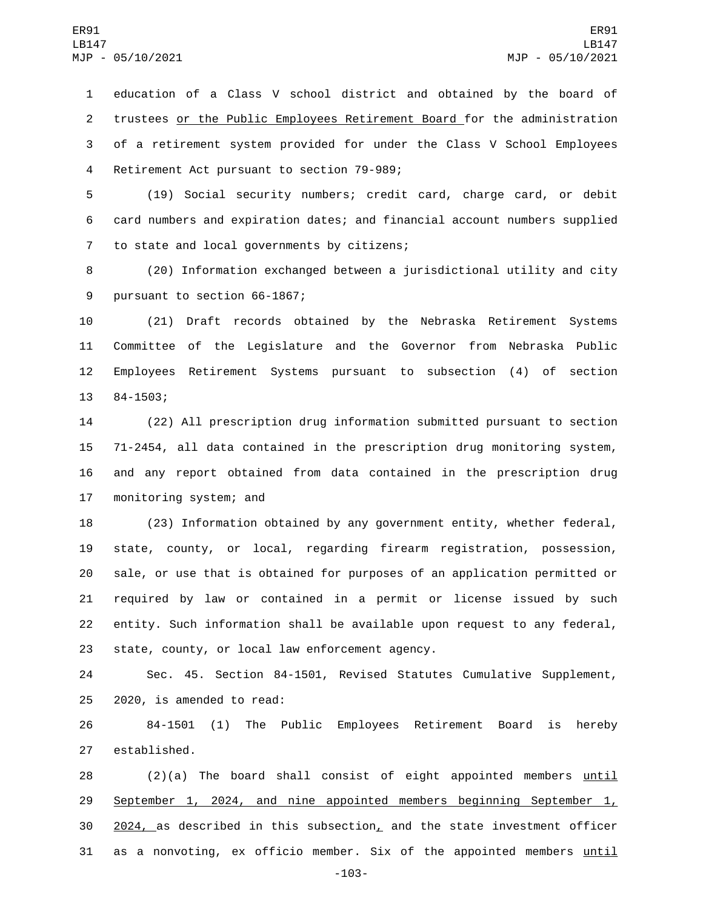education of a Class V school district and obtained by the board of trustees or the Public Employees Retirement Board for the administration of a retirement system provided for under the Class V School Employees 4 Retirement Act pursuant to section 79-989;

 (19) Social security numbers; credit card, charge card, or debit card numbers and expiration dates; and financial account numbers supplied 7 to state and local governments by citizens;

 (20) Information exchanged between a jurisdictional utility and city 9 pursuant to section 66-1867;

 (21) Draft records obtained by the Nebraska Retirement Systems Committee of the Legislature and the Governor from Nebraska Public Employees Retirement Systems pursuant to subsection (4) of section 13 84-1503;

 (22) All prescription drug information submitted pursuant to section 71-2454, all data contained in the prescription drug monitoring system, and any report obtained from data contained in the prescription drug 17 monitoring system; and

 (23) Information obtained by any government entity, whether federal, state, county, or local, regarding firearm registration, possession, sale, or use that is obtained for purposes of an application permitted or required by law or contained in a permit or license issued by such entity. Such information shall be available upon request to any federal, 23 state, county, or local law enforcement agency.

 Sec. 45. Section 84-1501, Revised Statutes Cumulative Supplement,  $2020$ , is amended to read:

 84-1501 (1) The Public Employees Retirement Board is hereby 27 established.

 (2)(a) The board shall consist of eight appointed members until September 1, 2024, and nine appointed members beginning September 1,  $2024$ , as described in this subsection, and the state investment officer as a nonvoting, ex officio member. Six of the appointed members until

-103-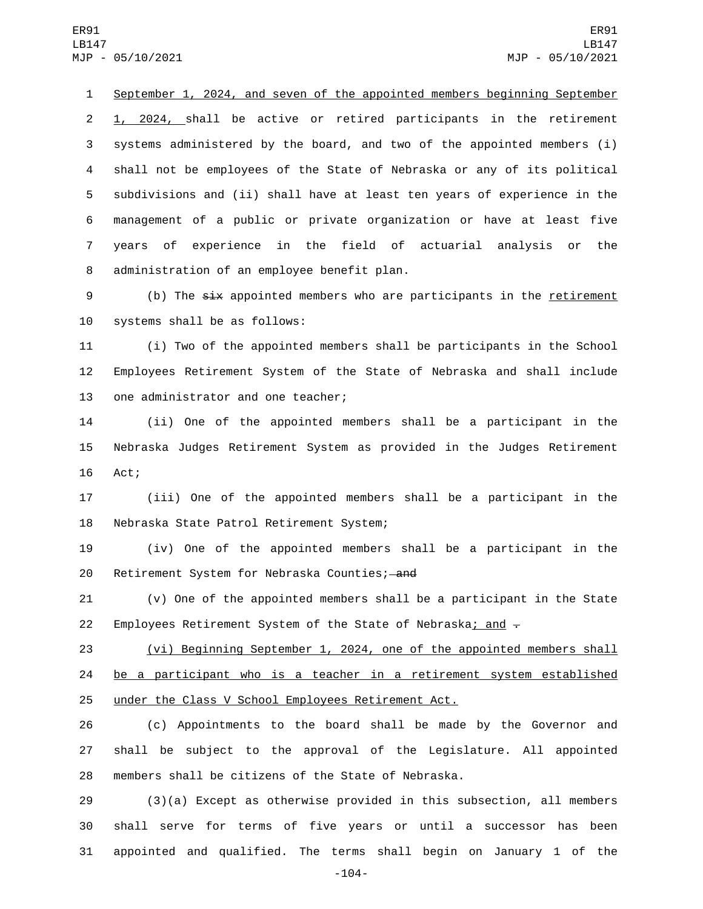September 1, 2024, and seven of the appointed members beginning September 1, 2024, shall be active or retired participants in the retirement systems administered by the board, and two of the appointed members (i) shall not be employees of the State of Nebraska or any of its political subdivisions and (ii) shall have at least ten years of experience in the management of a public or private organization or have at least five years of experience in the field of actuarial analysis or the 8 administration of an employee benefit plan.

9 (b) The six appointed members who are participants in the retirement 10 systems shall be as follows:

 (i) Two of the appointed members shall be participants in the School Employees Retirement System of the State of Nebraska and shall include 13 one administrator and one teacher;

 (ii) One of the appointed members shall be a participant in the Nebraska Judges Retirement System as provided in the Judges Retirement 16 Act;

 (iii) One of the appointed members shall be a participant in the 18 Nebraska State Patrol Retirement System;

 (iv) One of the appointed members shall be a participant in the 20 Retirement System for Nebraska Counties; and

 (v) One of the appointed members shall be a participant in the State 22 Employees Retirement System of the State of Nebraska; and  $-$ 

 (vi) Beginning September 1, 2024, one of the appointed members shall be a participant who is a teacher in a retirement system established under the Class V School Employees Retirement Act.

 (c) Appointments to the board shall be made by the Governor and shall be subject to the approval of the Legislature. All appointed members shall be citizens of the State of Nebraska.

 (3)(a) Except as otherwise provided in this subsection, all members shall serve for terms of five years or until a successor has been appointed and qualified. The terms shall begin on January 1 of the

-104-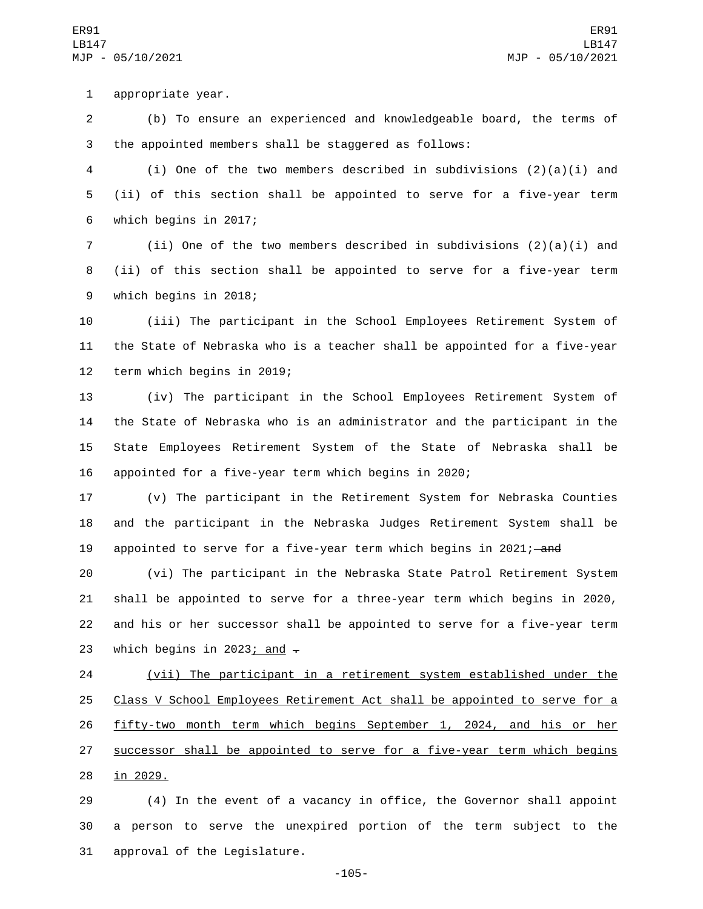1 appropriate year.

2 (b) To ensure an experienced and knowledgeable board, the terms of 3 the appointed members shall be staggered as follows:

4 (i) One of the two members described in subdivisions (2)(a)(i) and 5 (ii) of this section shall be appointed to serve for a five-year term 6 which begins in 2017;

7 (ii) One of the two members described in subdivisions  $(2)(a)(i)$  and 8 (ii) of this section shall be appointed to serve for a five-year term 9 which begins in 2018;

10 (iii) The participant in the School Employees Retirement System of 11 the State of Nebraska who is a teacher shall be appointed for a five-year 12 term which begins in 2019;

 (iv) The participant in the School Employees Retirement System of the State of Nebraska who is an administrator and the participant in the State Employees Retirement System of the State of Nebraska shall be appointed for a five-year term which begins in 2020;

17 (v) The participant in the Retirement System for Nebraska Counties 18 and the participant in the Nebraska Judges Retirement System shall be 19 appointed to serve for a five-year term which begins in 2021;—and

 (vi) The participant in the Nebraska State Patrol Retirement System shall be appointed to serve for a three-year term which begins in 2020, and his or her successor shall be appointed to serve for a five-year term 23 which begins in 2023; and  $\overline{z}$ 

24 (vii) The participant in a retirement system established under the 25 Class V School Employees Retirement Act shall be appointed to serve for a 26 fifty-two month term which begins September 1, 2024, and his or her 27 successor shall be appointed to serve for a five-year term which begins 28 in 2029.

29 (4) In the event of a vacancy in office, the Governor shall appoint 30 a person to serve the unexpired portion of the term subject to the 31 approval of the Legislature.

-105-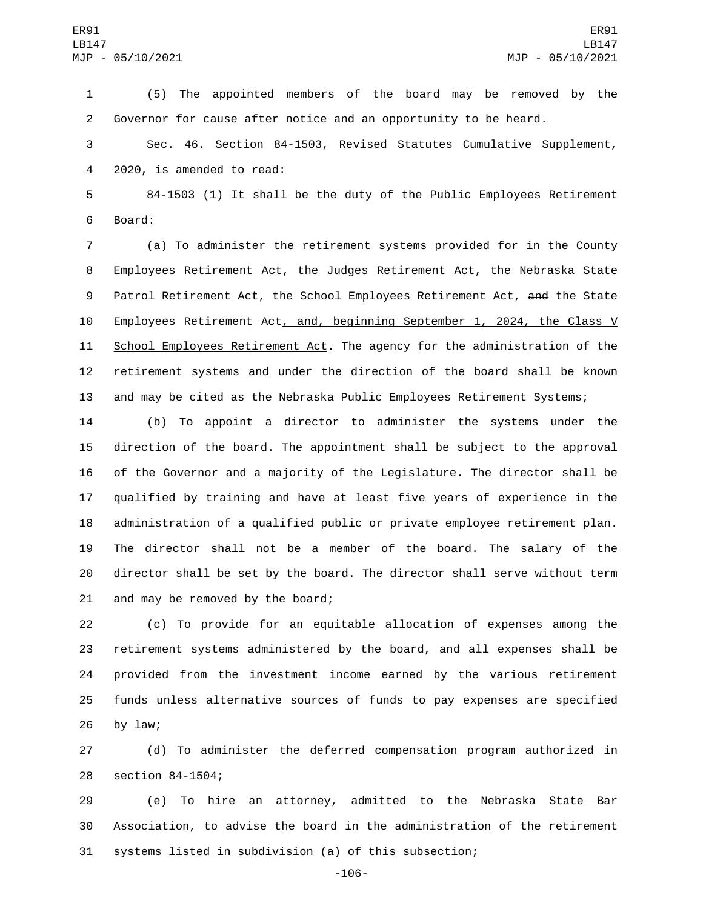(5) The appointed members of the board may be removed by the Governor for cause after notice and an opportunity to be heard.

 Sec. 46. Section 84-1503, Revised Statutes Cumulative Supplement, 4 2020, is amended to read:

 84-1503 (1) It shall be the duty of the Public Employees Retirement 6 Board:

 (a) To administer the retirement systems provided for in the County Employees Retirement Act, the Judges Retirement Act, the Nebraska State 9 Patrol Retirement Act, the School Employees Retirement Act, and the State Employees Retirement Act, and, beginning September 1, 2024, the Class V School Employees Retirement Act. The agency for the administration of the retirement systems and under the direction of the board shall be known and may be cited as the Nebraska Public Employees Retirement Systems;

 (b) To appoint a director to administer the systems under the direction of the board. The appointment shall be subject to the approval of the Governor and a majority of the Legislature. The director shall be qualified by training and have at least five years of experience in the administration of a qualified public or private employee retirement plan. The director shall not be a member of the board. The salary of the director shall be set by the board. The director shall serve without term 21 and may be removed by the board;

 (c) To provide for an equitable allocation of expenses among the retirement systems administered by the board, and all expenses shall be provided from the investment income earned by the various retirement funds unless alternative sources of funds to pay expenses are specified by law;

 (d) To administer the deferred compensation program authorized in 28 section 84-1504;

 (e) To hire an attorney, admitted to the Nebraska State Bar Association, to advise the board in the administration of the retirement systems listed in subdivision (a) of this subsection;

-106-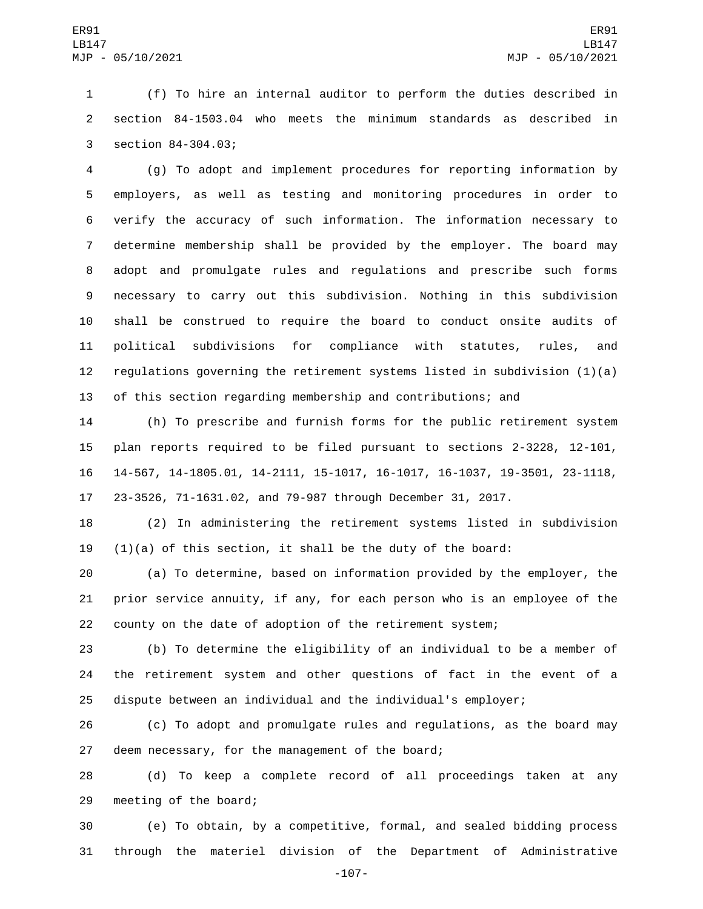(f) To hire an internal auditor to perform the duties described in section 84-1503.04 who meets the minimum standards as described in 3 section 84-304.03;

 (g) To adopt and implement procedures for reporting information by employers, as well as testing and monitoring procedures in order to verify the accuracy of such information. The information necessary to determine membership shall be provided by the employer. The board may adopt and promulgate rules and regulations and prescribe such forms necessary to carry out this subdivision. Nothing in this subdivision shall be construed to require the board to conduct onsite audits of political subdivisions for compliance with statutes, rules, and regulations governing the retirement systems listed in subdivision (1)(a) of this section regarding membership and contributions; and

 (h) To prescribe and furnish forms for the public retirement system plan reports required to be filed pursuant to sections 2-3228, 12-101, 14-567, 14-1805.01, 14-2111, 15-1017, 16-1017, 16-1037, 19-3501, 23-1118, 23-3526, 71-1631.02, and 79-987 through December 31, 2017.

 (2) In administering the retirement systems listed in subdivision 19  $(1)(a)$  of this section, it shall be the duty of the board:

 (a) To determine, based on information provided by the employer, the prior service annuity, if any, for each person who is an employee of the county on the date of adoption of the retirement system;

 (b) To determine the eligibility of an individual to be a member of the retirement system and other questions of fact in the event of a dispute between an individual and the individual's employer;

 (c) To adopt and promulgate rules and regulations, as the board may 27 deem necessary, for the management of the board;

 (d) To keep a complete record of all proceedings taken at any 29 meeting of the board;

 (e) To obtain, by a competitive, formal, and sealed bidding process through the materiel division of the Department of Administrative

-107-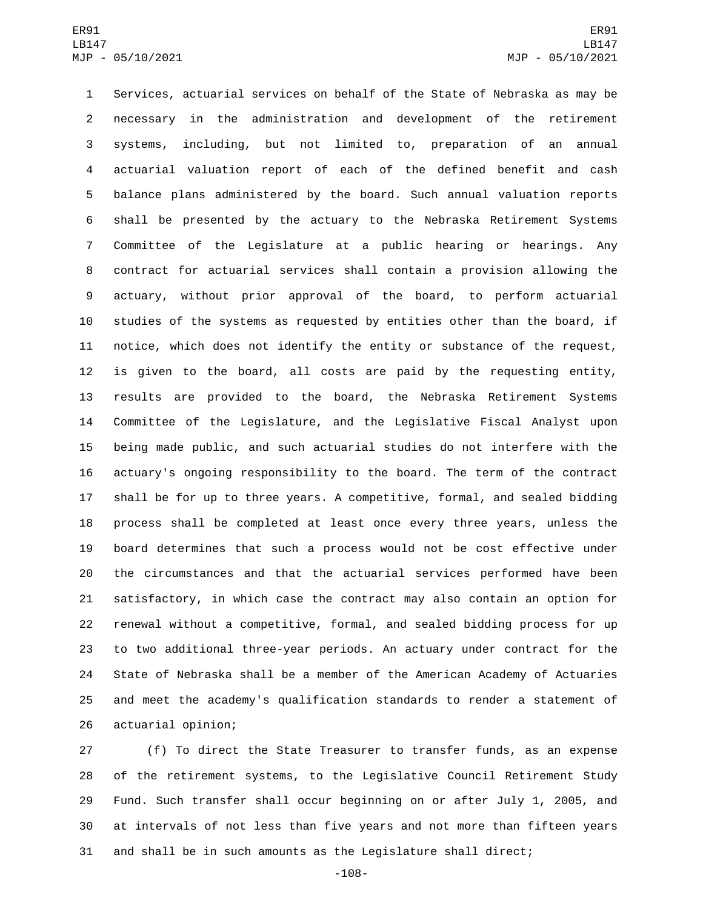Services, actuarial services on behalf of the State of Nebraska as may be necessary in the administration and development of the retirement systems, including, but not limited to, preparation of an annual actuarial valuation report of each of the defined benefit and cash balance plans administered by the board. Such annual valuation reports shall be presented by the actuary to the Nebraska Retirement Systems Committee of the Legislature at a public hearing or hearings. Any contract for actuarial services shall contain a provision allowing the actuary, without prior approval of the board, to perform actuarial studies of the systems as requested by entities other than the board, if notice, which does not identify the entity or substance of the request, is given to the board, all costs are paid by the requesting entity, results are provided to the board, the Nebraska Retirement Systems Committee of the Legislature, and the Legislative Fiscal Analyst upon being made public, and such actuarial studies do not interfere with the actuary's ongoing responsibility to the board. The term of the contract shall be for up to three years. A competitive, formal, and sealed bidding process shall be completed at least once every three years, unless the board determines that such a process would not be cost effective under the circumstances and that the actuarial services performed have been satisfactory, in which case the contract may also contain an option for renewal without a competitive, formal, and sealed bidding process for up to two additional three-year periods. An actuary under contract for the State of Nebraska shall be a member of the American Academy of Actuaries and meet the academy's qualification standards to render a statement of 26 actuarial opinion;

 (f) To direct the State Treasurer to transfer funds, as an expense of the retirement systems, to the Legislative Council Retirement Study Fund. Such transfer shall occur beginning on or after July 1, 2005, and at intervals of not less than five years and not more than fifteen years and shall be in such amounts as the Legislature shall direct;

-108-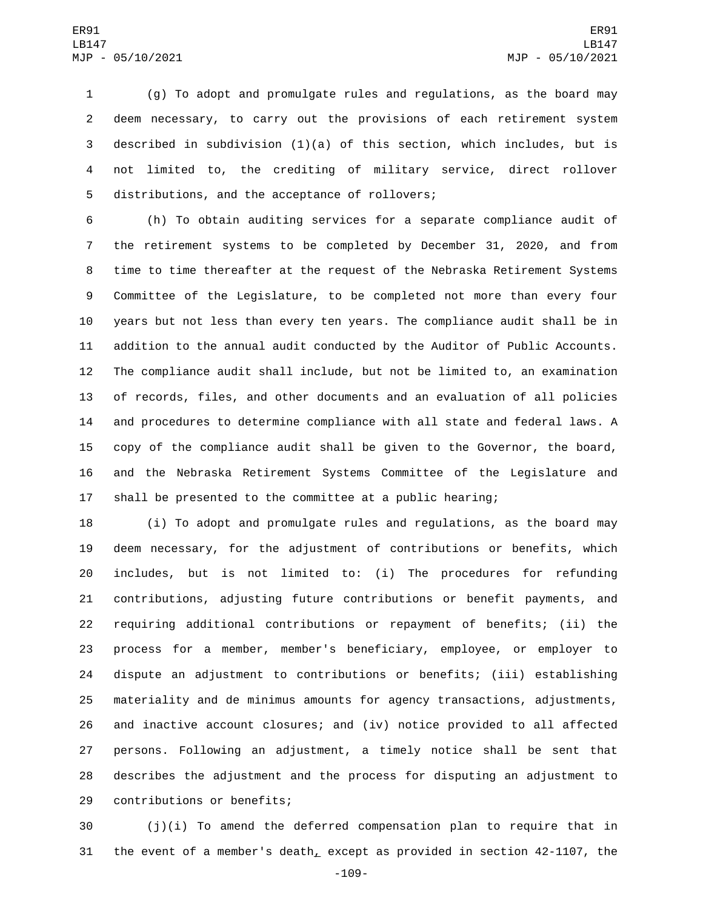(g) To adopt and promulgate rules and regulations, as the board may deem necessary, to carry out the provisions of each retirement system described in subdivision (1)(a) of this section, which includes, but is not limited to, the crediting of military service, direct rollover 5 distributions, and the acceptance of rollovers;

 (h) To obtain auditing services for a separate compliance audit of the retirement systems to be completed by December 31, 2020, and from time to time thereafter at the request of the Nebraska Retirement Systems Committee of the Legislature, to be completed not more than every four years but not less than every ten years. The compliance audit shall be in addition to the annual audit conducted by the Auditor of Public Accounts. The compliance audit shall include, but not be limited to, an examination of records, files, and other documents and an evaluation of all policies and procedures to determine compliance with all state and federal laws. A copy of the compliance audit shall be given to the Governor, the board, and the Nebraska Retirement Systems Committee of the Legislature and shall be presented to the committee at a public hearing;

 (i) To adopt and promulgate rules and regulations, as the board may deem necessary, for the adjustment of contributions or benefits, which includes, but is not limited to: (i) The procedures for refunding contributions, adjusting future contributions or benefit payments, and requiring additional contributions or repayment of benefits; (ii) the process for a member, member's beneficiary, employee, or employer to dispute an adjustment to contributions or benefits; (iii) establishing materiality and de minimus amounts for agency transactions, adjustments, and inactive account closures; and (iv) notice provided to all affected persons. Following an adjustment, a timely notice shall be sent that describes the adjustment and the process for disputing an adjustment to 29 contributions or benefits;

 (j)(i) To amend the deferred compensation plan to require that in the event of a member's death, except as provided in section 42-1107, the

-109-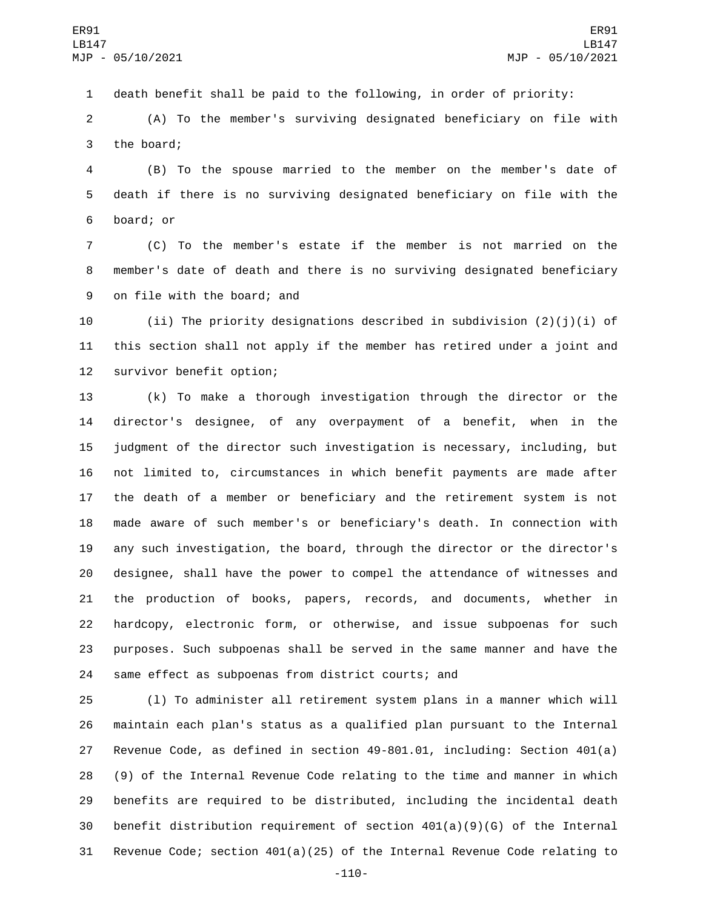death benefit shall be paid to the following, in order of priority:

 (A) To the member's surviving designated beneficiary on file with 3 the board;

 (B) To the spouse married to the member on the member's date of death if there is no surviving designated beneficiary on file with the 6 board; or

 (C) To the member's estate if the member is not married on the member's date of death and there is no surviving designated beneficiary 9 on file with the board; and

10 (ii) The priority designations described in subdivision  $(2)(j)(i)$  of this section shall not apply if the member has retired under a joint and 12 survivor benefit option;

 (k) To make a thorough investigation through the director or the director's designee, of any overpayment of a benefit, when in the judgment of the director such investigation is necessary, including, but not limited to, circumstances in which benefit payments are made after the death of a member or beneficiary and the retirement system is not made aware of such member's or beneficiary's death. In connection with any such investigation, the board, through the director or the director's designee, shall have the power to compel the attendance of witnesses and the production of books, papers, records, and documents, whether in hardcopy, electronic form, or otherwise, and issue subpoenas for such purposes. Such subpoenas shall be served in the same manner and have the same effect as subpoenas from district courts; and

 (l) To administer all retirement system plans in a manner which will maintain each plan's status as a qualified plan pursuant to the Internal Revenue Code, as defined in section 49-801.01, including: Section 401(a) (9) of the Internal Revenue Code relating to the time and manner in which benefits are required to be distributed, including the incidental death benefit distribution requirement of section 401(a)(9)(G) of the Internal Revenue Code; section 401(a)(25) of the Internal Revenue Code relating to

-110-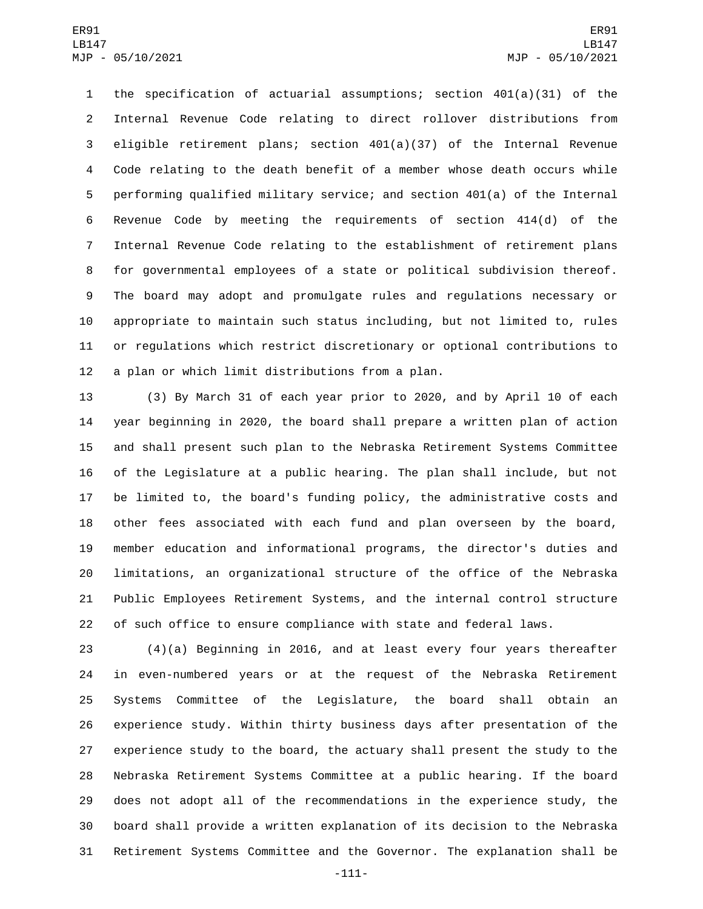the specification of actuarial assumptions; section 401(a)(31) of the Internal Revenue Code relating to direct rollover distributions from eligible retirement plans; section 401(a)(37) of the Internal Revenue Code relating to the death benefit of a member whose death occurs while performing qualified military service; and section 401(a) of the Internal Revenue Code by meeting the requirements of section 414(d) of the Internal Revenue Code relating to the establishment of retirement plans for governmental employees of a state or political subdivision thereof. The board may adopt and promulgate rules and regulations necessary or appropriate to maintain such status including, but not limited to, rules or regulations which restrict discretionary or optional contributions to 12 a plan or which limit distributions from a plan.

 (3) By March 31 of each year prior to 2020, and by April 10 of each year beginning in 2020, the board shall prepare a written plan of action and shall present such plan to the Nebraska Retirement Systems Committee of the Legislature at a public hearing. The plan shall include, but not be limited to, the board's funding policy, the administrative costs and other fees associated with each fund and plan overseen by the board, member education and informational programs, the director's duties and limitations, an organizational structure of the office of the Nebraska Public Employees Retirement Systems, and the internal control structure of such office to ensure compliance with state and federal laws.

 (4)(a) Beginning in 2016, and at least every four years thereafter in even-numbered years or at the request of the Nebraska Retirement Systems Committee of the Legislature, the board shall obtain an experience study. Within thirty business days after presentation of the experience study to the board, the actuary shall present the study to the Nebraska Retirement Systems Committee at a public hearing. If the board does not adopt all of the recommendations in the experience study, the board shall provide a written explanation of its decision to the Nebraska Retirement Systems Committee and the Governor. The explanation shall be

-111-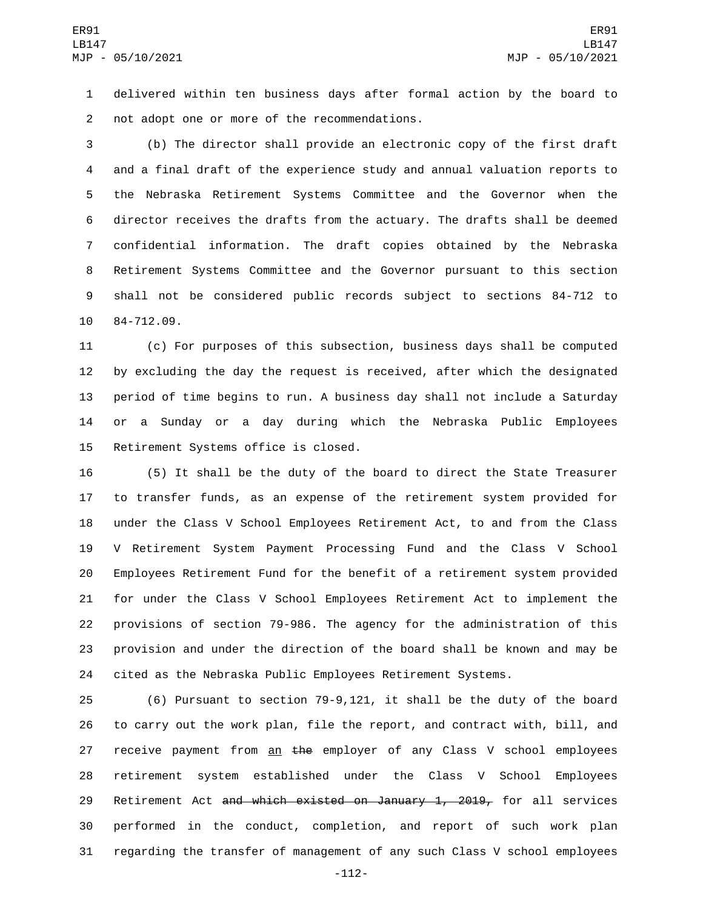delivered within ten business days after formal action by the board to 2 not adopt one or more of the recommendations.

 (b) The director shall provide an electronic copy of the first draft and a final draft of the experience study and annual valuation reports to the Nebraska Retirement Systems Committee and the Governor when the director receives the drafts from the actuary. The drafts shall be deemed confidential information. The draft copies obtained by the Nebraska Retirement Systems Committee and the Governor pursuant to this section shall not be considered public records subject to sections 84-712 to 10 84-712.09.

 (c) For purposes of this subsection, business days shall be computed by excluding the day the request is received, after which the designated period of time begins to run. A business day shall not include a Saturday or a Sunday or a day during which the Nebraska Public Employees 15 Retirement Systems office is closed.

 (5) It shall be the duty of the board to direct the State Treasurer to transfer funds, as an expense of the retirement system provided for under the Class V School Employees Retirement Act, to and from the Class V Retirement System Payment Processing Fund and the Class V School Employees Retirement Fund for the benefit of a retirement system provided for under the Class V School Employees Retirement Act to implement the provisions of section 79-986. The agency for the administration of this provision and under the direction of the board shall be known and may be cited as the Nebraska Public Employees Retirement Systems.

 (6) Pursuant to section 79-9,121, it shall be the duty of the board to carry out the work plan, file the report, and contract with, bill, and 27 receive payment from an the employer of any Class V school employees retirement system established under the Class V School Employees 29 Retirement Act and which existed on January 1, 2019, for all services performed in the conduct, completion, and report of such work plan regarding the transfer of management of any such Class V school employees

-112-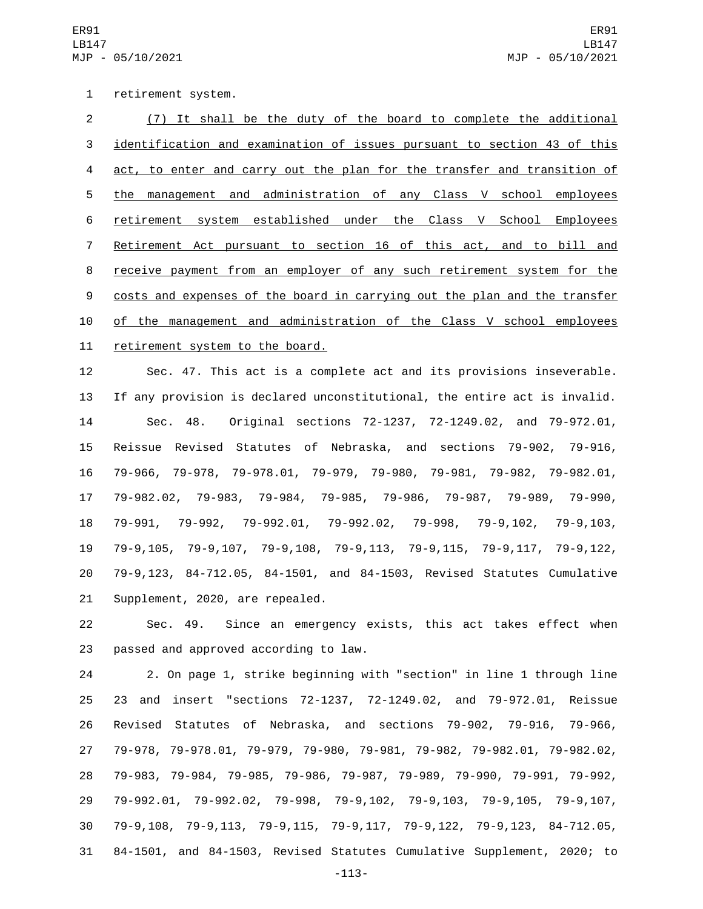1 retirement system.

 (7) It shall be the duty of the board to complete the additional identification and examination of issues pursuant to section 43 of this act, to enter and carry out the plan for the transfer and transition of the management and administration of any Class V school employees retirement system established under the Class V School Employees Retirement Act pursuant to section 16 of this act, and to bill and receive payment from an employer of any such retirement system for the 9 costs and expenses of the board in carrying out the plan and the transfer of the management and administration of the Class V school employees 11 retirement system to the board.

 Sec. 47. This act is a complete act and its provisions inseverable. If any provision is declared unconstitutional, the entire act is invalid. Sec. 48. Original sections 72-1237, 72-1249.02, and 79-972.01, Reissue Revised Statutes of Nebraska, and sections 79-902, 79-916, 79-966, 79-978, 79-978.01, 79-979, 79-980, 79-981, 79-982, 79-982.01, 79-982.02, 79-983, 79-984, 79-985, 79-986, 79-987, 79-989, 79-990, 79-991, 79-992, 79-992.01, 79-992.02, 79-998, 79-9,102, 79-9,103, 79-9,105, 79-9,107, 79-9,108, 79-9,113, 79-9,115, 79-9,117, 79-9,122,

 79-9,123, 84-712.05, 84-1501, and 84-1503, Revised Statutes Cumulative 21 Supplement, 2020, are repealed.

 Sec. 49. Since an emergency exists, this act takes effect when 23 passed and approved according to law.

 2. On page 1, strike beginning with "section" in line 1 through line 23 and insert "sections 72-1237, 72-1249.02, and 79-972.01, Reissue Revised Statutes of Nebraska, and sections 79-902, 79-916, 79-966, 79-978, 79-978.01, 79-979, 79-980, 79-981, 79-982, 79-982.01, 79-982.02, 79-983, 79-984, 79-985, 79-986, 79-987, 79-989, 79-990, 79-991, 79-992, 79-992.01, 79-992.02, 79-998, 79-9,102, 79-9,103, 79-9,105, 79-9,107, 79-9,108, 79-9,113, 79-9,115, 79-9,117, 79-9,122, 79-9,123, 84-712.05, 84-1501, and 84-1503, Revised Statutes Cumulative Supplement, 2020; to

-113-